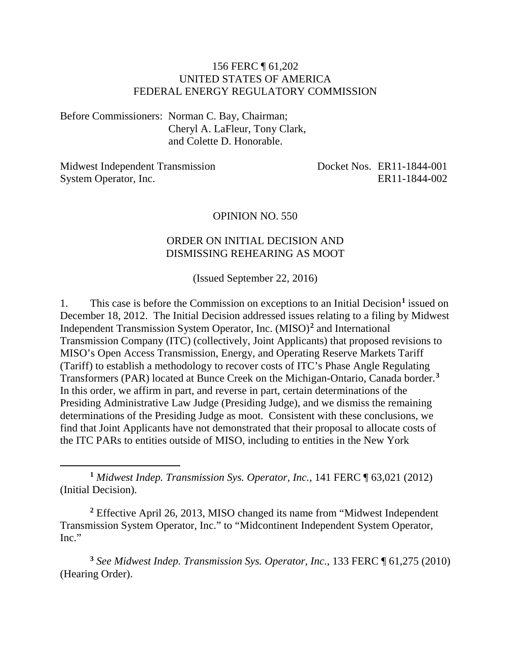#### 156 FERC ¶ 61,202 UNITED STATES OF AMERICA FEDERAL ENERGY REGULATORY COMMISSION

Before Commissioners: Norman C. Bay, Chairman; Cheryl A. LaFleur, Tony Clark, and Colette D. Honorable.

Midwest Independent Transmission System Operator, Inc. Docket Nos. ER11-1844-001 ER11-1844-002

#### OPINION NO. 550

#### ORDER ON INITIAL DECISION AND DISMISSING REHEARING AS MOOT

(Issued September 22, 2016)

1. This case is before the Commission on exceptions to an Initial Decision**[1](#page-0-0)** issued on December 18, 2012. The Initial Decision addressed issues relating to a filing by Midwest Independent Transmission System Operator, Inc. (MISO)**[2](#page-0-1)** and International Transmission Company (ITC) (collectively, Joint Applicants) that proposed revisions to MISO's Open Access Transmission, Energy, and Operating Reserve Markets Tariff (Tariff) to establish a methodology to recover costs of ITC's Phase Angle Regulating Transformers (PAR) located at Bunce Creek on the Michigan-Ontario, Canada border.**[3](#page-0-2)** In this order, we affirm in part, and reverse in part, certain determinations of the Presiding Administrative Law Judge (Presiding Judge), and we dismiss the remaining determinations of the Presiding Judge as moot. Consistent with these conclusions, we find that Joint Applicants have not demonstrated that their proposal to allocate costs of the ITC PARs to entities outside of MISO, including to entities in the New York

<span id="page-0-0"></span>**<sup>1</sup>** *Midwest Indep. Transmission Sys. Operator, Inc.*, 141 FERC ¶ 63,021 (2012) (Initial Decision).

 $\overline{a}$ 

<span id="page-0-1"></span>**<sup>2</sup>** Effective April 26, 2013, MISO changed its name from "Midwest Independent Transmission System Operator, Inc." to "Midcontinent Independent System Operator, Inc."

<span id="page-0-2"></span>**<sup>3</sup>** *See Midwest Indep. Transmission Sys. Operator, Inc.*, 133 FERC ¶ 61,275 (2010) (Hearing Order).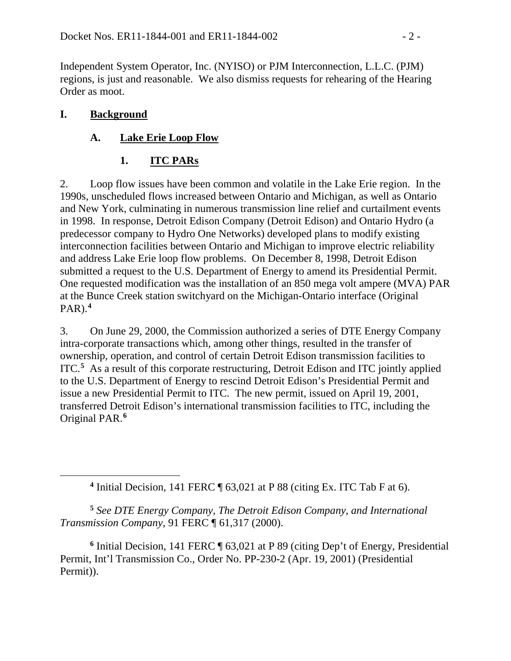Independent System Operator, Inc. (NYISO) or PJM Interconnection, L.L.C. (PJM) regions, is just and reasonable. We also dismiss requests for rehearing of the Hearing Order as moot.

## **I. Background**

<span id="page-1-0"></span> $\overline{a}$ 

# **A. Lake Erie Loop Flow**

# **1. ITC PARs**

2. Loop flow issues have been common and volatile in the Lake Erie region. In the 1990s, unscheduled flows increased between Ontario and Michigan, as well as Ontario and New York, culminating in numerous transmission line relief and curtailment events in 1998. In response, Detroit Edison Company (Detroit Edison) and Ontario Hydro (a predecessor company to Hydro One Networks) developed plans to modify existing interconnection facilities between Ontario and Michigan to improve electric reliability and address Lake Erie loop flow problems. On December 8, 1998, Detroit Edison submitted a request to the U.S. Department of Energy to amend its Presidential Permit. One requested modification was the installation of an 850 mega volt ampere (MVA) PAR at the Bunce Creek station switchyard on the Michigan-Ontario interface (Original PAR).**[4](#page-1-0)**

3. On June 29, 2000, the Commission authorized a series of DTE Energy Company intra-corporate transactions which, among other things, resulted in the transfer of ownership, operation, and control of certain Detroit Edison transmission facilities to ITC.**[5](#page-1-1)** As a result of this corporate restructuring, Detroit Edison and ITC jointly applied to the U.S. Department of Energy to rescind Detroit Edison's Presidential Permit and issue a new Presidential Permit to ITC. The new permit, issued on April 19, 2001, transferred Detroit Edison's international transmission facilities to ITC, including the Original PAR.**[6](#page-1-2)**

**<sup>4</sup>** Initial Decision, 141 FERC ¶ 63,021 at P 88 (citing Ex. ITC Tab F at 6).

<span id="page-1-1"></span>**<sup>5</sup>** *See DTE Energy Company, The Detroit Edison Company, and International Transmission Company*, 91 FERC ¶ 61,317 (2000).

<span id="page-1-2"></span>**<sup>6</sup>** Initial Decision, 141 FERC ¶ 63,021 at P 89 (citing Dep't of Energy, Presidential Permit, Int'l Transmission Co., Order No. PP-230-2 (Apr. 19, 2001) (Presidential Permit)).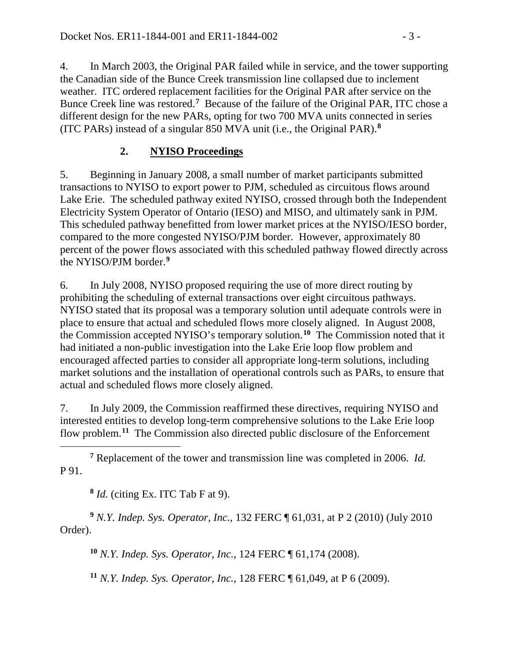4. In March 2003, the Original PAR failed while in service, and the tower supporting the Canadian side of the Bunce Creek transmission line collapsed due to inclement weather. ITC ordered replacement facilities for the Original PAR after service on the Bunce Creek line was restored.**[7](#page-2-0)** Because of the failure of the Original PAR, ITC chose a different design for the new PARs, opting for two 700 MVA units connected in series (ITC PARs) instead of a singular 850 MVA unit (i.e., the Original PAR). **[8](#page-2-1)**

## **2. NYISO Proceedings**

5. Beginning in January 2008, a small number of market participants submitted transactions to NYISO to export power to PJM, scheduled as circuitous flows around Lake Erie. The scheduled pathway exited NYISO, crossed through both the Independent Electricity System Operator of Ontario (IESO) and MISO, and ultimately sank in PJM. This scheduled pathway benefitted from lower market prices at the NYISO/IESO border, compared to the more congested NYISO/PJM border. However, approximately 80 percent of the power flows associated with this scheduled pathway flowed directly across the NYISO/PJM border.**[9](#page-2-2)**

6. In July 2008, NYISO proposed requiring the use of more direct routing by prohibiting the scheduling of external transactions over eight circuitous pathways. NYISO stated that its proposal was a temporary solution until adequate controls were in place to ensure that actual and scheduled flows more closely aligned. In August 2008, the Commission accepted NYISO's temporary solution.**[10](#page-2-3)** The Commission noted that it had initiated a non-public investigation into the Lake Erie loop flow problem and encouraged affected parties to consider all appropriate long-term solutions, including market solutions and the installation of operational controls such as PARs, to ensure that actual and scheduled flows more closely aligned.

7. In July 2009, the Commission reaffirmed these directives, requiring NYISO and interested entities to develop long-term comprehensive solutions to the Lake Erie loop flow problem.**[11](#page-2-4)** The Commission also directed public disclosure of the Enforcement

<span id="page-2-0"></span> $\overline{a}$ **<sup>7</sup>** Replacement of the tower and transmission line was completed in 2006. *Id.* P 91.

**<sup>8</sup>** *Id.* (citing Ex. ITC Tab F at 9).

<span id="page-2-4"></span><span id="page-2-3"></span><span id="page-2-2"></span><span id="page-2-1"></span>**<sup>9</sup>** *N.Y. Indep. Sys. Operator, Inc.*, 132 FERC ¶ 61,031, at P 2 (2010) (July 2010 Order).

**<sup>10</sup>** *N.Y. Indep. Sys. Operator, Inc.*, 124 FERC ¶ 61,174 (2008).

**<sup>11</sup>** *N.Y. Indep. Sys. Operator, Inc.*, 128 FERC ¶ 61,049, at P 6 (2009).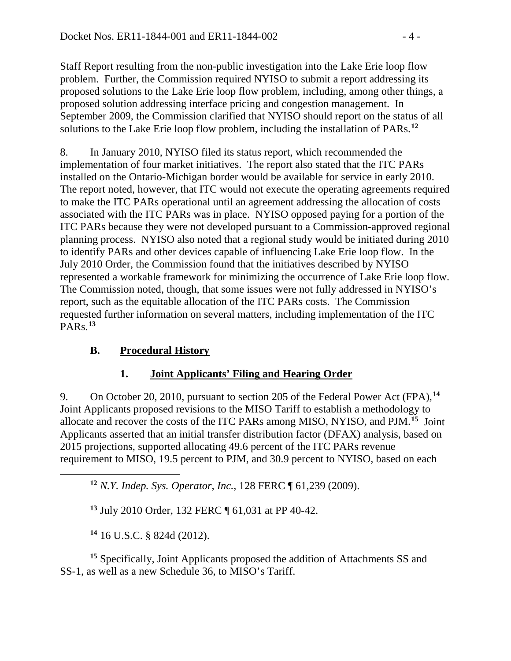Staff Report resulting from the non-public investigation into the Lake Erie loop flow problem. Further, the Commission required NYISO to submit a report addressing its proposed solutions to the Lake Erie loop flow problem, including, among other things, a proposed solution addressing interface pricing and congestion management. In September 2009, the Commission clarified that NYISO should report on the status of all solutions to the Lake Erie loop flow problem, including the installation of PARs.**[12](#page-3-0)**

8. In January 2010, NYISO filed its status report, which recommended the implementation of four market initiatives. The report also stated that the ITC PARs installed on the Ontario-Michigan border would be available for service in early 2010. The report noted, however, that ITC would not execute the operating agreements required to make the ITC PARs operational until an agreement addressing the allocation of costs associated with the ITC PARs was in place. NYISO opposed paying for a portion of the ITC PARs because they were not developed pursuant to a Commission-approved regional planning process. NYISO also noted that a regional study would be initiated during 2010 to identify PARs and other devices capable of influencing Lake Erie loop flow. In the July 2010 Order, the Commission found that the initiatives described by NYISO represented a workable framework for minimizing the occurrence of Lake Erie loop flow. The Commission noted, though, that some issues were not fully addressed in NYISO's report, such as the equitable allocation of the ITC PARs costs. The Commission requested further information on several matters, including implementation of the ITC PARs.**[13](#page-3-1)**

## **B. Procedural History**

### **1. Joint Applicants' Filing and Hearing Order**

9. On October 20, 2010, pursuant to section 205 of the Federal Power Act (FPA),**[14](#page-3-2)** Joint Applicants proposed revisions to the MISO Tariff to establish a methodology to allocate and recover the costs of the ITC PARs among MISO, NYISO, and PJM.**[15](#page-3-3)** Joint Applicants asserted that an initial transfer distribution factor (DFAX) analysis, based on 2015 projections, supported allocating 49.6 percent of the ITC PARs revenue requirement to MISO, 19.5 percent to PJM, and 30.9 percent to NYISO, based on each

**<sup>12</sup>** *N.Y. Indep. Sys. Operator, Inc.*, 128 FERC ¶ 61,239 (2009).

**<sup>13</sup>** July 2010 Order, 132 FERC ¶ 61,031 at PP 40-42.

**<sup>14</sup>** 16 U.S.C. § 824d (2012).

<span id="page-3-1"></span><span id="page-3-0"></span> $\overline{a}$ 

<span id="page-3-3"></span><span id="page-3-2"></span>**<sup>15</sup>** Specifically, Joint Applicants proposed the addition of Attachments SS and SS-1, as well as a new Schedule 36, to MISO's Tariff.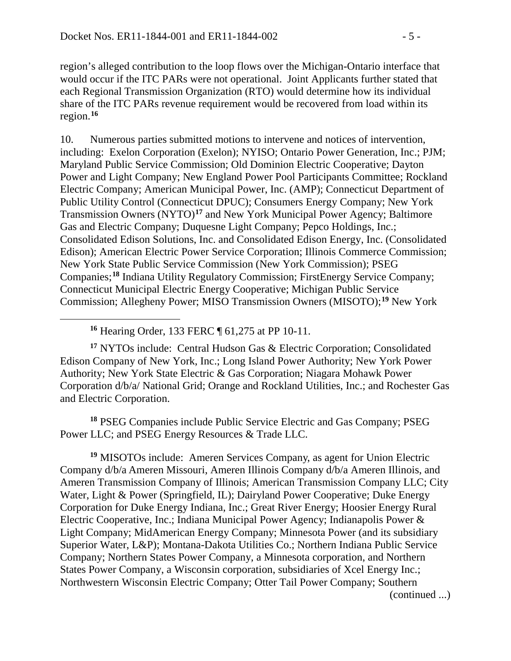region's alleged contribution to the loop flows over the Michigan-Ontario interface that would occur if the ITC PARs were not operational. Joint Applicants further stated that each Regional Transmission Organization (RTO) would determine how its individual share of the ITC PARs revenue requirement would be recovered from load within its region.**[16](#page-4-0)**

10. Numerous parties submitted motions to intervene and notices of intervention, including: Exelon Corporation (Exelon); NYISO; Ontario Power Generation, Inc.; PJM; Maryland Public Service Commission; Old Dominion Electric Cooperative; Dayton Power and Light Company; New England Power Pool Participants Committee; Rockland Electric Company; American Municipal Power, Inc. (AMP); Connecticut Department of Public Utility Control (Connecticut DPUC); Consumers Energy Company; New York Transmission Owners (NYTO)**[17](#page-4-1)** and New York Municipal Power Agency; Baltimore Gas and Electric Company; Duquesne Light Company; Pepco Holdings, Inc.; Consolidated Edison Solutions, Inc. and Consolidated Edison Energy, Inc. (Consolidated Edison); American Electric Power Service Corporation; Illinois Commerce Commission; New York State Public Service Commission (New York Commission); PSEG Companies;**[18](#page-4-2)** Indiana Utility Regulatory Commission; FirstEnergy Service Company; Connecticut Municipal Electric Energy Cooperative; Michigan Public Service Commission; Allegheny Power; MISO Transmission Owners (MISOTO);**[19](#page-4-3)** New York

**<sup>16</sup>** Hearing Order, 133 FERC ¶ 61,275 at PP 10-11.

<span id="page-4-0"></span> $\overline{a}$ 

<span id="page-4-1"></span>**<sup>17</sup>** NYTOs include: Central Hudson Gas & Electric Corporation; Consolidated Edison Company of New York, Inc.; Long Island Power Authority; New York Power Authority; New York State Electric & Gas Corporation; Niagara Mohawk Power Corporation d/b/a/ National Grid; Orange and Rockland Utilities, Inc.; and Rochester Gas and Electric Corporation.

<span id="page-4-2"></span>**<sup>18</sup>** PSEG Companies include Public Service Electric and Gas Company; PSEG Power LLC; and PSEG Energy Resources & Trade LLC.

<span id="page-4-3"></span>**<sup>19</sup>** MISOTOs include: Ameren Services Company, as agent for Union Electric Company d/b/a Ameren Missouri, Ameren Illinois Company d/b/a Ameren Illinois, and Ameren Transmission Company of Illinois; American Transmission Company LLC; City Water, Light & Power (Springfield, IL); Dairyland Power Cooperative; Duke Energy Corporation for Duke Energy Indiana, Inc.; Great River Energy; Hoosier Energy Rural Electric Cooperative, Inc.; Indiana Municipal Power Agency; Indianapolis Power & Light Company; MidAmerican Energy Company; Minnesota Power (and its subsidiary Superior Water, L&P); Montana-Dakota Utilities Co.; Northern Indiana Public Service Company; Northern States Power Company, a Minnesota corporation, and Northern States Power Company, a Wisconsin corporation, subsidiaries of Xcel Energy Inc.; Northwestern Wisconsin Electric Company; Otter Tail Power Company; Southern (continued ...)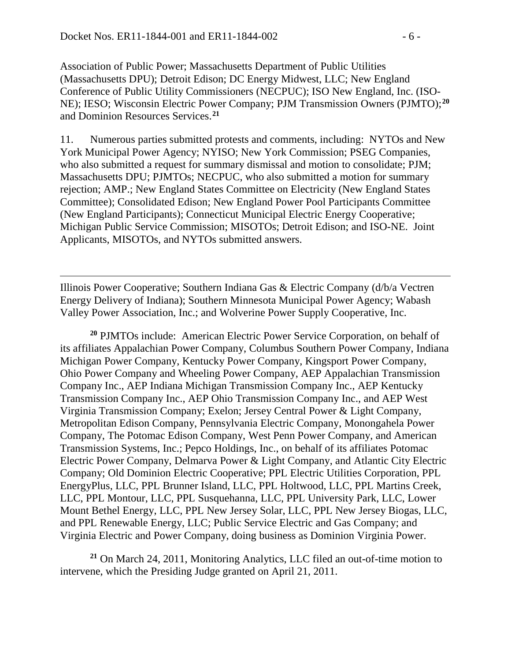$\overline{a}$ 

Association of Public Power; Massachusetts Department of Public Utilities (Massachusetts DPU); Detroit Edison; DC Energy Midwest, LLC; New England Conference of Public Utility Commissioners (NECPUC); ISO New England, Inc. (ISO-NE); IESO; Wisconsin Electric Power Company; PJM Transmission Owners (PJMTO);**[20](#page-5-0)** and Dominion Resources Services.**[21](#page-5-1)**

11. Numerous parties submitted protests and comments, including: NYTOs and New York Municipal Power Agency; NYISO; New York Commission; PSEG Companies, who also submitted a request for summary dismissal and motion to consolidate; PJM; Massachusetts DPU; PJMTOs; NECPUC, who also submitted a motion for summary rejection; AMP.; New England States Committee on Electricity (New England States Committee); Consolidated Edison; New England Power Pool Participants Committee (New England Participants); Connecticut Municipal Electric Energy Cooperative; Michigan Public Service Commission; MISOTOs; Detroit Edison; and ISO-NE. Joint Applicants, MISOTOs, and NYTOs submitted answers.

Illinois Power Cooperative; Southern Indiana Gas & Electric Company (d/b/a Vectren Energy Delivery of Indiana); Southern Minnesota Municipal Power Agency; Wabash Valley Power Association, Inc.; and Wolverine Power Supply Cooperative, Inc.

<span id="page-5-0"></span>**<sup>20</sup>** PJMTOs include: American Electric Power Service Corporation, on behalf of its affiliates Appalachian Power Company, Columbus Southern Power Company, Indiana Michigan Power Company, Kentucky Power Company, Kingsport Power Company, Ohio Power Company and Wheeling Power Company, AEP Appalachian Transmission Company Inc., AEP Indiana Michigan Transmission Company Inc., AEP Kentucky Transmission Company Inc., AEP Ohio Transmission Company Inc., and AEP West Virginia Transmission Company; Exelon; Jersey Central Power & Light Company, Metropolitan Edison Company, Pennsylvania Electric Company, Monongahela Power Company, The Potomac Edison Company, West Penn Power Company, and American Transmission Systems, Inc.; Pepco Holdings, Inc., on behalf of its affiliates Potomac Electric Power Company, Delmarva Power & Light Company, and Atlantic City Electric Company; Old Dominion Electric Cooperative; PPL Electric Utilities Corporation, PPL EnergyPlus, LLC, PPL Brunner Island, LLC, PPL Holtwood, LLC, PPL Martins Creek, LLC, PPL Montour, LLC, PPL Susquehanna, LLC, PPL University Park, LLC, Lower Mount Bethel Energy, LLC, PPL New Jersey Solar, LLC, PPL New Jersey Biogas, LLC, and PPL Renewable Energy, LLC; Public Service Electric and Gas Company; and Virginia Electric and Power Company, doing business as Dominion Virginia Power.

<span id="page-5-1"></span>**<sup>21</sup>** On March 24, 2011, Monitoring Analytics, LLC filed an out-of-time motion to intervene, which the Presiding Judge granted on April 21, 2011.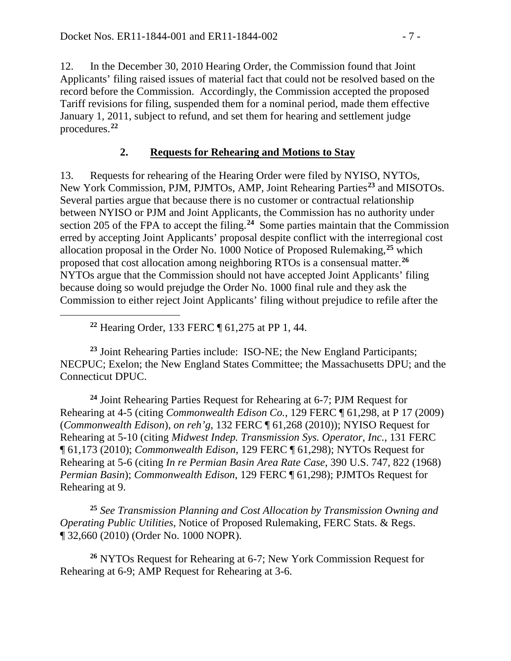12. In the December 30, 2010 Hearing Order, the Commission found that Joint Applicants' filing raised issues of material fact that could not be resolved based on the record before the Commission. Accordingly, the Commission accepted the proposed Tariff revisions for filing, suspended them for a nominal period, made them effective January 1, 2011, subject to refund, and set them for hearing and settlement judge procedures.**[22](#page-6-0)**

#### **2. Requests for Rehearing and Motions to Stay**

13. Requests for rehearing of the Hearing Order were filed by NYISO, NYTOs, New York Commission, PJM, PJMTOs, AMP, Joint Rehearing Parties**[23](#page-6-1)** and MISOTOs. Several parties argue that because there is no customer or contractual relationship between NYISO or PJM and Joint Applicants, the Commission has no authority under section 205 of the FPA to accept the filing.**[24](#page-6-2)** Some parties maintain that the Commission erred by accepting Joint Applicants' proposal despite conflict with the interregional cost allocation proposal in the Order No. 1000 Notice of Proposed Rulemaking,**[25](#page-6-3)** which proposed that cost allocation among neighboring RTOs is a consensual matter.**[26](#page-6-4)** NYTOs argue that the Commission should not have accepted Joint Applicants' filing because doing so would prejudge the Order No. 1000 final rule and they ask the Commission to either reject Joint Applicants' filing without prejudice to refile after the

**<sup>22</sup>** Hearing Order, 133 FERC ¶ 61,275 at PP 1, 44.

<span id="page-6-0"></span> $\overline{a}$ 

<span id="page-6-1"></span>**<sup>23</sup>** Joint Rehearing Parties include: ISO-NE; the New England Participants; NECPUC; Exelon; the New England States Committee; the Massachusetts DPU; and the Connecticut DPUC.

<span id="page-6-2"></span>**<sup>24</sup>** Joint Rehearing Parties Request for Rehearing at 6-7; PJM Request for Rehearing at 4-5 (citing *Commonwealth Edison Co.*, 129 FERC ¶ 61,298, at P 17 (2009) (*Commonwealth Edison*), *on reh'g*, 132 FERC ¶ 61,268 (2010)); NYISO Request for Rehearing at 5-10 (citing *Midwest Indep. Transmission Sys. Operator, Inc.*, 131 FERC ¶ 61,173 (2010); *Commonwealth Edison*, 129 FERC ¶ 61,298); NYTOs Request for Rehearing at 5-6 (citing *In re Permian Basin Area Rate Case*, 390 U.S. 747, 822 (1968) *Permian Basin*); *Commonwealth Edison*, 129 FERC ¶ 61,298); PJMTOs Request for Rehearing at 9.

<span id="page-6-3"></span>**<sup>25</sup>** *See Transmission Planning and Cost Allocation by Transmission Owning and Operating Public Utilities*, Notice of Proposed Rulemaking, FERC Stats. & Regs. ¶ 32,660 (2010) (Order No. 1000 NOPR).

<span id="page-6-4"></span>**<sup>26</sup>** NYTOs Request for Rehearing at 6-7; New York Commission Request for Rehearing at 6-9; AMP Request for Rehearing at 3-6.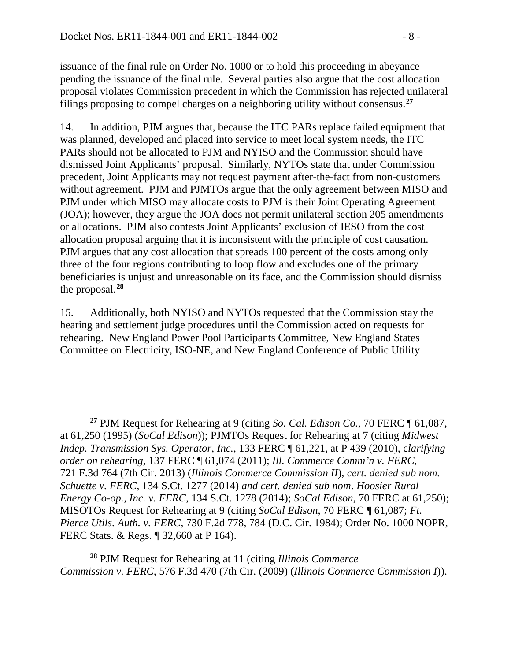$\overline{a}$ 

issuance of the final rule on Order No. 1000 or to hold this proceeding in abeyance pending the issuance of the final rule. Several parties also argue that the cost allocation proposal violates Commission precedent in which the Commission has rejected unilateral filings proposing to compel charges on a neighboring utility without consensus.**[27](#page-7-0)**

14. In addition, PJM argues that, because the ITC PARs replace failed equipment that was planned, developed and placed into service to meet local system needs, the ITC PARs should not be allocated to PJM and NYISO and the Commission should have dismissed Joint Applicants' proposal. Similarly, NYTOs state that under Commission precedent, Joint Applicants may not request payment after-the-fact from non-customers without agreement. PJM and PJMTOs argue that the only agreement between MISO and PJM under which MISO may allocate costs to PJM is their Joint Operating Agreement (JOA); however, they argue the JOA does not permit unilateral section 205 amendments or allocations. PJM also contests Joint Applicants' exclusion of IESO from the cost allocation proposal arguing that it is inconsistent with the principle of cost causation. PJM argues that any cost allocation that spreads 100 percent of the costs among only three of the four regions contributing to loop flow and excludes one of the primary beneficiaries is unjust and unreasonable on its face, and the Commission should dismiss the proposal.**[28](#page-7-1)**

15. Additionally, both NYISO and NYTOs requested that the Commission stay the hearing and settlement judge procedures until the Commission acted on requests for rehearing. New England Power Pool Participants Committee, New England States Committee on Electricity, ISO-NE, and New England Conference of Public Utility

<span id="page-7-1"></span>**<sup>28</sup>** PJM Request for Rehearing at 11 (citing *Illinois Commerce Commission v. FERC*, 576 F.3d 470 (7th Cir. (2009) (*Illinois Commerce Commission I*)).

<span id="page-7-0"></span>**<sup>27</sup>** PJM Request for Rehearing at 9 (citing *So. Cal. Edison Co.*, 70 FERC ¶ 61,087, at 61,250 (1995) (*SoCal Edison*)); PJMTOs Request for Rehearing at 7 (citing *Midwest Indep. Transmission Sys. Operator, Inc.*, 133 FERC ¶ 61,221, at P 439 (2010), c*larifying order on rehearing*, 137 FERC ¶ 61,074 (2011); *Ill. Commerce Comm'n v. FERC*, 721 F.3d 764 (7th Cir. 2013) (*Illinois Commerce Commission II*), *cert. denied sub nom. Schuette v. FERC*, 134 S.Ct. 1277 (2014) *and cert. denied sub nom*. *Hoosier Rural Energy Co-op., Inc. v. FERC*, 134 S.Ct. 1278 (2014); *SoCal Edison*, 70 FERC at 61,250); MISOTOs Request for Rehearing at 9 (citing *SoCal Edison*, 70 FERC ¶ 61,087; *Ft. Pierce Utils. Auth. v. FERC*, 730 F.2d 778, 784 (D.C. Cir. 1984); Order No. 1000 NOPR, FERC Stats. & Regs. ¶ 32,660 at P 164).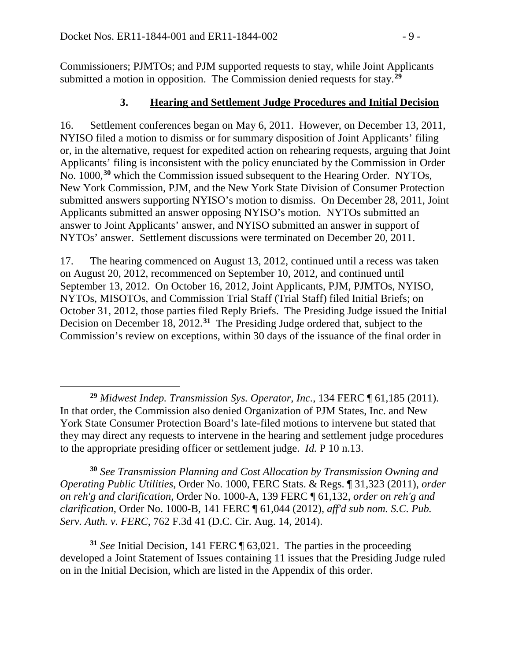Commissioners; PJMTOs; and PJM supported requests to stay, while Joint Applicants submitted a motion in opposition. The Commission denied requests for stay.**[29](#page-8-0)**

#### **3. Hearing and Settlement Judge Procedures and Initial Decision**

16. Settlement conferences began on May 6, 2011. However, on December 13, 2011, NYISO filed a motion to dismiss or for summary disposition of Joint Applicants' filing or, in the alternative, request for expedited action on rehearing requests, arguing that Joint Applicants' filing is inconsistent with the policy enunciated by the Commission in Order No. 1000,**[30](#page-8-1)** which the Commission issued subsequent to the Hearing Order. NYTOs, New York Commission, PJM, and the New York State Division of Consumer Protection submitted answers supporting NYISO's motion to dismiss. On December 28, 2011, Joint Applicants submitted an answer opposing NYISO's motion. NYTOs submitted an answer to Joint Applicants' answer, and NYISO submitted an answer in support of NYTOs' answer. Settlement discussions were terminated on December 20, 2011.

17. The hearing commenced on August 13, 2012, continued until a recess was taken on August 20, 2012, recommenced on September 10, 2012, and continued until September 13, 2012. On October 16, 2012, Joint Applicants, PJM, PJMTOs, NYISO, NYTOs, MISOTOs, and Commission Trial Staff (Trial Staff) filed Initial Briefs; on October 31, 2012, those parties filed Reply Briefs. The Presiding Judge issued the Initial Decision on December 18, 2012.**[31](#page-8-2)** The Presiding Judge ordered that, subject to the Commission's review on exceptions, within 30 days of the issuance of the final order in

<span id="page-8-1"></span>**<sup>30</sup>** *See Transmission Planning and Cost Allocation by Transmission Owning and Operating Public Utilities*, Order No. 1000, FERC Stats. & Regs. ¶ 31,323 (2011), *order on reh'g and clarification*, Order No. 1000-A, 139 FERC ¶ 61,132, *order on reh'g and clarification*, Order No. 1000-B, 141 FERC ¶ 61,044 (2012), *aff'd sub nom. S.C. Pub. Serv. Auth. v. FERC*, 762 F.3d 41 (D.C. Cir. Aug. 14, 2014).

<span id="page-8-2"></span>**<sup>31</sup>** *See* Initial Decision, 141 FERC ¶ 63,021. The parties in the proceeding developed a Joint Statement of Issues containing 11 issues that the Presiding Judge ruled on in the Initial Decision, which are listed in the Appendix of this order.

<span id="page-8-0"></span> $\overline{a}$ **<sup>29</sup>** *Midwest Indep. Transmission Sys. Operator, Inc.*, 134 FERC ¶ 61,185 (2011). In that order, the Commission also denied Organization of PJM States, Inc. and New York State Consumer Protection Board's late-filed motions to intervene but stated that they may direct any requests to intervene in the hearing and settlement judge procedures to the appropriate presiding officer or settlement judge. *Id.* P 10 n.13.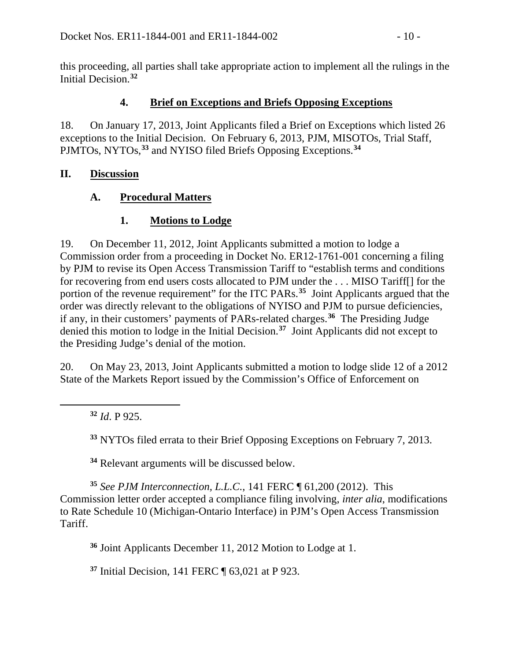this proceeding, all parties shall take appropriate action to implement all the rulings in the Initial Decision.**[32](#page-9-0)**

## **4. Brief on Exceptions and Briefs Opposing Exceptions**

18. On January 17, 2013, Joint Applicants filed a Brief on Exceptions which listed 26 exceptions to the Initial Decision. On February 6, 2013, PJM, MISOTOs, Trial Staff, PJMTOs, NYTOs,**[33](#page-9-1)** and NYISO filed Briefs Opposing Exceptions.**[34](#page-9-2)**

## **II. Discussion**

## **A. Procedural Matters**

## **1. Motions to Lodge**

19. On December 11, 2012, Joint Applicants submitted a motion to lodge a Commission order from a proceeding in Docket No. ER12-1761-001 concerning a filing by PJM to revise its Open Access Transmission Tariff to "establish terms and conditions for recovering from end users costs allocated to PJM under the . . . MISO Tariff[] for the portion of the revenue requirement" for the ITC PARs.**[35](#page-9-3)** Joint Applicants argued that the order was directly relevant to the obligations of NYISO and PJM to pursue deficiencies, if any, in their customers' payments of PARs-related charges.**[36](#page-9-4)** The Presiding Judge denied this motion to lodge in the Initial Decision.**[37](#page-9-5)** Joint Applicants did not except to the Presiding Judge's denial of the motion.

20. On May 23, 2013, Joint Applicants submitted a motion to lodge slide 12 of a 2012 State of the Markets Report issued by the Commission's Office of Enforcement on

**<sup>32</sup>** *Id*. P 925.

<span id="page-9-1"></span><span id="page-9-0"></span> $\overline{a}$ 

**<sup>33</sup>** NYTOs filed errata to their Brief Opposing Exceptions on February 7, 2013.

**<sup>34</sup>** Relevant arguments will be discussed below.

<span id="page-9-4"></span><span id="page-9-3"></span><span id="page-9-2"></span>**<sup>35</sup>** *See PJM Interconnection, L.L.C.*, 141 FERC ¶ 61,200 (2012). This Commission letter order accepted a compliance filing involving, *inter alia*, modifications to Rate Schedule 10 (Michigan-Ontario Interface) in PJM's Open Access Transmission Tariff.

**<sup>36</sup>** Joint Applicants December 11, 2012 Motion to Lodge at 1.

<span id="page-9-5"></span>**<sup>37</sup>** Initial Decision, 141 FERC ¶ 63,021 at P 923.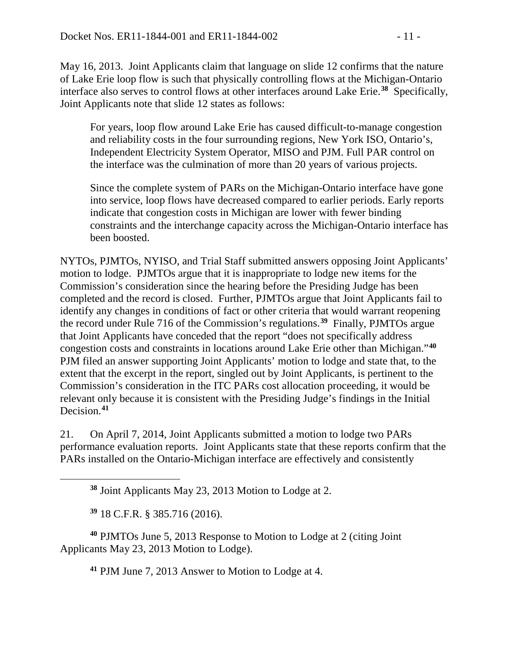May 16, 2013. Joint Applicants claim that language on slide 12 confirms that the nature of Lake Erie loop flow is such that physically controlling flows at the Michigan-Ontario interface also serves to control flows at other interfaces around Lake Erie. **[38](#page-10-0)** Specifically, Joint Applicants note that slide 12 states as follows:

For years, loop flow around Lake Erie has caused difficult-to-manage congestion and reliability costs in the four surrounding regions, New York ISO, Ontario's, Independent Electricity System Operator, MISO and PJM. Full PAR control on the interface was the culmination of more than 20 years of various projects.

Since the complete system of PARs on the Michigan-Ontario interface have gone into service, loop flows have decreased compared to earlier periods. Early reports indicate that congestion costs in Michigan are lower with fewer binding constraints and the interchange capacity across the Michigan-Ontario interface has been boosted.

NYTOs, PJMTOs, NYISO, and Trial Staff submitted answers opposing Joint Applicants' motion to lodge. PJMTOs argue that it is inappropriate to lodge new items for the Commission's consideration since the hearing before the Presiding Judge has been completed and the record is closed. Further, PJMTOs argue that Joint Applicants fail to identify any changes in conditions of fact or other criteria that would warrant reopening the record under Rule 716 of the Commission's regulations.**[39](#page-10-1)** Finally, PJMTOs argue that Joint Applicants have conceded that the report "does not specifically address congestion costs and constraints in locations around Lake Erie other than Michigan."**[40](#page-10-2)** PJM filed an answer supporting Joint Applicants' motion to lodge and state that, to the extent that the excerpt in the report, singled out by Joint Applicants, is pertinent to the Commission's consideration in the ITC PARs cost allocation proceeding, it would be relevant only because it is consistent with the Presiding Judge's findings in the Initial Decision.**[41](#page-10-3)**

21. On April 7, 2014, Joint Applicants submitted a motion to lodge two PARs performance evaluation reports. Joint Applicants state that these reports confirm that the PARs installed on the Ontario-Michigan interface are effectively and consistently

**<sup>38</sup>** Joint Applicants May 23, 2013 Motion to Lodge at 2.

**<sup>39</sup>** 18 C.F.R. § 385.716 (2016).

<span id="page-10-0"></span> $\overline{a}$ 

<span id="page-10-3"></span><span id="page-10-2"></span><span id="page-10-1"></span>**<sup>40</sup>** PJMTOs June 5, 2013 Response to Motion to Lodge at 2 (citing Joint Applicants May 23, 2013 Motion to Lodge).

**<sup>41</sup>** PJM June 7, 2013 Answer to Motion to Lodge at 4.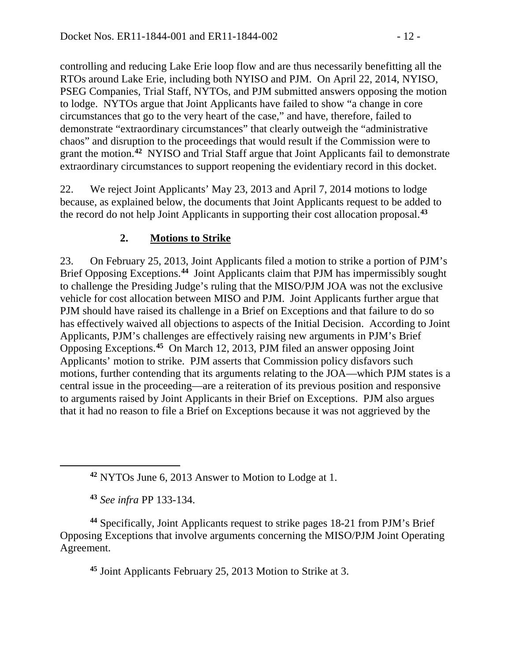controlling and reducing Lake Erie loop flow and are thus necessarily benefitting all the RTOs around Lake Erie, including both NYISO and PJM. On April 22, 2014, NYISO, PSEG Companies, Trial Staff, NYTOs, and PJM submitted answers opposing the motion to lodge. NYTOs argue that Joint Applicants have failed to show "a change in core circumstances that go to the very heart of the case," and have, therefore, failed to demonstrate "extraordinary circumstances" that clearly outweigh the "administrative chaos" and disruption to the proceedings that would result if the Commission were to grant the motion.**[42](#page-11-0)** NYISO and Trial Staff argue that Joint Applicants fail to demonstrate extraordinary circumstances to support reopening the evidentiary record in this docket.

22. We reject Joint Applicants' May 23, 2013 and April 7, 2014 motions to lodge because, as explained below, the documents that Joint Applicants request to be added to the record do not help Joint Applicants in supporting their cost allocation proposal.**[43](#page-11-1)**

## **2. Motions to Strike**

23. On February 25, 2013, Joint Applicants filed a motion to strike a portion of PJM's Brief Opposing Exceptions.**[44](#page-11-2)** Joint Applicants claim that PJM has impermissibly sought to challenge the Presiding Judge's ruling that the MISO/PJM JOA was not the exclusive vehicle for cost allocation between MISO and PJM. Joint Applicants further argue that PJM should have raised its challenge in a Brief on Exceptions and that failure to do so has effectively waived all objections to aspects of the Initial Decision. According to Joint Applicants, PJM's challenges are effectively raising new arguments in PJM's Brief Opposing Exceptions.**[45](#page-11-3)** On March 12, 2013, PJM filed an answer opposing Joint Applicants' motion to strike. PJM asserts that Commission policy disfavors such motions, further contending that its arguments relating to the JOA—which PJM states is a central issue in the proceeding—are a reiteration of its previous position and responsive to arguments raised by Joint Applicants in their Brief on Exceptions. PJM also argues that it had no reason to file a Brief on Exceptions because it was not aggrieved by the

<span id="page-11-0"></span> $\overline{a}$ 

<span id="page-11-3"></span><span id="page-11-2"></span><span id="page-11-1"></span>**<sup>44</sup>** Specifically, Joint Applicants request to strike pages 18-21 from PJM's Brief Opposing Exceptions that involve arguments concerning the MISO/PJM Joint Operating Agreement.

**<sup>45</sup>** Joint Applicants February 25, 2013 Motion to Strike at 3.

**<sup>42</sup>** NYTOs June 6, 2013 Answer to Motion to Lodge at 1.

**<sup>43</sup>** *See infra* PP 133-134.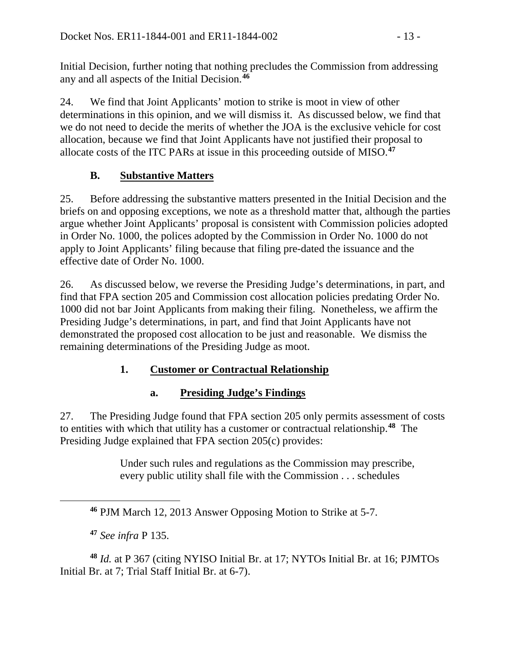Initial Decision, further noting that nothing precludes the Commission from addressing any and all aspects of the Initial Decision.**[46](#page-12-0)**

24. We find that Joint Applicants' motion to strike is moot in view of other determinations in this opinion, and we will dismiss it. As discussed below, we find that we do not need to decide the merits of whether the JOA is the exclusive vehicle for cost allocation, because we find that Joint Applicants have not justified their proposal to allocate costs of the ITC PARs at issue in this proceeding outside of MISO. **[47](#page-12-1)**

# **B. Substantive Matters**

25. Before addressing the substantive matters presented in the Initial Decision and the briefs on and opposing exceptions, we note as a threshold matter that, although the parties argue whether Joint Applicants' proposal is consistent with Commission policies adopted in Order No. 1000, the polices adopted by the Commission in Order No. 1000 do not apply to Joint Applicants' filing because that filing pre-dated the issuance and the effective date of Order No. 1000.

26. As discussed below, we reverse the Presiding Judge's determinations, in part, and find that FPA section 205 and Commission cost allocation policies predating Order No. 1000 did not bar Joint Applicants from making their filing. Nonetheless, we affirm the Presiding Judge's determinations, in part, and find that Joint Applicants have not demonstrated the proposed cost allocation to be just and reasonable. We dismiss the remaining determinations of the Presiding Judge as moot.

# **1. Customer or Contractual Relationship**

# **a. Presiding Judge's Findings**

27. The Presiding Judge found that FPA section 205 only permits assessment of costs to entities with which that utility has a customer or contractual relationship.**[48](#page-12-2)** The Presiding Judge explained that FPA section 205(c) provides:

> Under such rules and regulations as the Commission may prescribe, every public utility shall file with the Commission . . . schedules

**<sup>46</sup>** PJM March 12, 2013 Answer Opposing Motion to Strike at 5-7.

**<sup>47</sup>** *See infra* P 135.

<span id="page-12-0"></span> $\overline{a}$ 

<span id="page-12-2"></span><span id="page-12-1"></span>**<sup>48</sup>** *Id.* at P 367 (citing NYISO Initial Br. at 17; NYTOs Initial Br. at 16; PJMTOs Initial Br. at 7; Trial Staff Initial Br. at 6-7).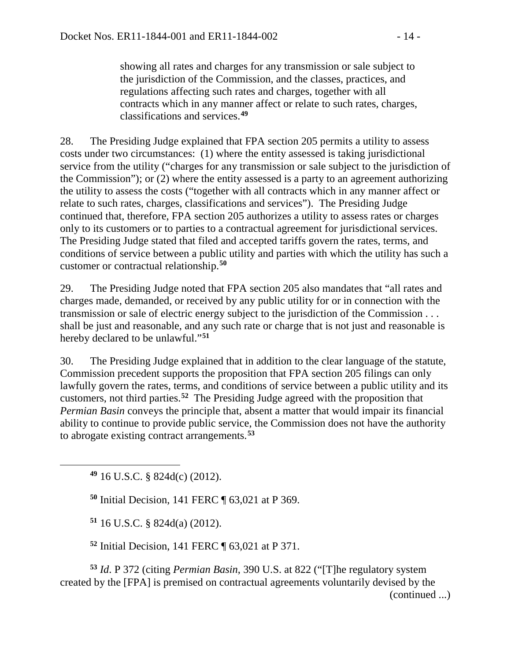showing all rates and charges for any transmission or sale subject to the jurisdiction of the Commission, and the classes, practices, and regulations affecting such rates and charges, together with all contracts which in any manner affect or relate to such rates, charges, classifications and services.**[49](#page-13-0)**

28. The Presiding Judge explained that FPA section 205 permits a utility to assess costs under two circumstances: (1) where the entity assessed is taking jurisdictional service from the utility ("charges for any transmission or sale subject to the jurisdiction of the Commission"); or (2) where the entity assessed is a party to an agreement authorizing the utility to assess the costs ("together with all contracts which in any manner affect or relate to such rates, charges, classifications and services"). The Presiding Judge continued that, therefore, FPA section 205 authorizes a utility to assess rates or charges only to its customers or to parties to a contractual agreement for jurisdictional services. The Presiding Judge stated that filed and accepted tariffs govern the rates, terms, and conditions of service between a public utility and parties with which the utility has such a customer or contractual relationship.**[50](#page-13-1)**

29. The Presiding Judge noted that FPA section 205 also mandates that "all rates and charges made, demanded, or received by any public utility for or in connection with the transmission or sale of electric energy subject to the jurisdiction of the Commission . . . shall be just and reasonable, and any such rate or charge that is not just and reasonable is hereby declared to be unlawful."**[51](#page-13-2)**

30. The Presiding Judge explained that in addition to the clear language of the statute, Commission precedent supports the proposition that FPA section 205 filings can only lawfully govern the rates, terms, and conditions of service between a public utility and its customers, not third parties.**[52](#page-13-3)** The Presiding Judge agreed with the proposition that *Permian Basin* conveys the principle that, absent a matter that would impair its financial ability to continue to provide public service, the Commission does not have the authority to abrogate existing contract arrangements.**[53](#page-13-4)**

**<sup>49</sup>** 16 U.S.C. § 824d(c) (2012).

<span id="page-13-1"></span><span id="page-13-0"></span> $\overline{a}$ 

**<sup>50</sup>** Initial Decision, 141 FERC ¶ 63,021 at P 369.

**<sup>51</sup>** 16 U.S.C. § 824d(a) (2012).

**<sup>52</sup>** Initial Decision, 141 FERC ¶ 63,021 at P 371.

<span id="page-13-4"></span><span id="page-13-3"></span><span id="page-13-2"></span>**<sup>53</sup>** *Id*. P 372 (citing *Permian Basin*, 390 U.S. at 822 ("[T]he regulatory system created by the [FPA] is premised on contractual agreements voluntarily devised by the (continued ...)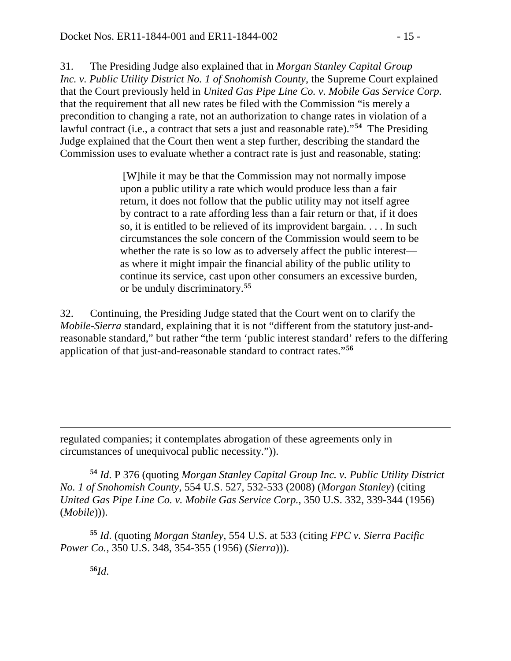31. The Presiding Judge also explained that in *Morgan Stanley Capital Group Inc. v. Public Utility District No. 1 of Snohomish County*, the Supreme Court explained that the Court previously held in *United Gas Pipe Line Co. v. Mobile Gas Service Corp.*  that the requirement that all new rates be filed with the Commission "is merely a precondition to changing a rate, not an authorization to change rates in violation of a lawful contract (i.e., a contract that sets a just and reasonable rate)."**[54](#page-14-0)** The Presiding Judge explained that the Court then went a step further, describing the standard the Commission uses to evaluate whether a contract rate is just and reasonable, stating:

> [W]hile it may be that the Commission may not normally impose upon a public utility a rate which would produce less than a fair return, it does not follow that the public utility may not itself agree by contract to a rate affording less than a fair return or that, if it does so, it is entitled to be relieved of its improvident bargain. . . . In such circumstances the sole concern of the Commission would seem to be whether the rate is so low as to adversely affect the public interest as where it might impair the financial ability of the public utility to continue its service, cast upon other consumers an excessive burden, or be unduly discriminatory.**[55](#page-14-1)**

32. Continuing, the Presiding Judge stated that the Court went on to clarify the *Mobile-Sierra* standard, explaining that it is not "different from the statutory just-andreasonable standard," but rather "the term 'public interest standard' refers to the differing application of that just-and-reasonable standard to contract rates."**[56](#page-14-2)**

regulated companies; it contemplates abrogation of these agreements only in circumstances of unequivocal public necessity.")).

<span id="page-14-0"></span>**<sup>54</sup>** *Id*. P 376 (quoting *Morgan Stanley Capital Group Inc. v. Public Utility District No. 1 of Snohomish County*, 554 U.S. 527, 532-533 (2008) (*Morgan Stanley*) (citing *United Gas Pipe Line Co. v. Mobile Gas Service Corp.*, 350 U.S. 332, 339-344 (1956) (*Mobile*))).

<span id="page-14-2"></span><span id="page-14-1"></span>**<sup>55</sup>** *Id*. (quoting *Morgan Stanley*, 554 U.S. at 533 (citing *FPC v. Sierra Pacific Power Co.*, 350 U.S. 348, 354-355 (1956) (*Sierra*))).

**56***Id*.

 $\overline{a}$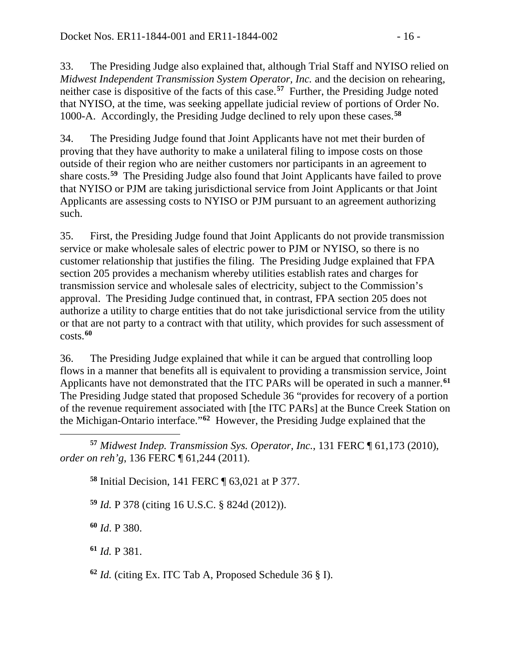33. The Presiding Judge also explained that, although Trial Staff and NYISO relied on *Midwest Independent Transmission System Operator, Inc.* and the decision on rehearing, neither case is dispositive of the facts of this case.**[57](#page-15-0)** Further, the Presiding Judge noted that NYISO, at the time, was seeking appellate judicial review of portions of Order No. 1000-A. Accordingly, the Presiding Judge declined to rely upon these cases.**[58](#page-15-1)**

34. The Presiding Judge found that Joint Applicants have not met their burden of proving that they have authority to make a unilateral filing to impose costs on those outside of their region who are neither customers nor participants in an agreement to share costs.**[59](#page-15-2)** The Presiding Judge also found that Joint Applicants have failed to prove that NYISO or PJM are taking jurisdictional service from Joint Applicants or that Joint Applicants are assessing costs to NYISO or PJM pursuant to an agreement authorizing such.

35. First, the Presiding Judge found that Joint Applicants do not provide transmission service or make wholesale sales of electric power to PJM or NYISO, so there is no customer relationship that justifies the filing. The Presiding Judge explained that FPA section 205 provides a mechanism whereby utilities establish rates and charges for transmission service and wholesale sales of electricity, subject to the Commission's approval. The Presiding Judge continued that, in contrast, FPA section 205 does not authorize a utility to charge entities that do not take jurisdictional service from the utility or that are not party to a contract with that utility, which provides for such assessment of costs.**[60](#page-15-3)**

36. The Presiding Judge explained that while it can be argued that controlling loop flows in a manner that benefits all is equivalent to providing a transmission service, Joint Applicants have not demonstrated that the ITC PARs will be operated in such a manner.**[61](#page-15-4)** The Presiding Judge stated that proposed Schedule 36 "provides for recovery of a portion of the revenue requirement associated with [the ITC PARs] at the Bunce Creek Station on the Michigan-Ontario interface."**[62](#page-15-5)** However, the Presiding Judge explained that the

<span id="page-15-1"></span><span id="page-15-0"></span> $\overline{a}$ **<sup>57</sup>** *Midwest Indep. Transmission Sys. Operator, Inc.*, 131 FERC ¶ 61,173 (2010), *order on reh'g*, 136 FERC ¶ 61,244 (2011).

**<sup>58</sup>** Initial Decision, 141 FERC ¶ 63,021 at P 377.

<span id="page-15-2"></span>**<sup>59</sup>** *Id.* P 378 (citing 16 U.S.C. § 824d (2012)).

<span id="page-15-3"></span>**<sup>60</sup>** *Id*. P 380.

<span id="page-15-4"></span>**<sup>61</sup>** *Id.* P 381.

<span id="page-15-5"></span>**<sup>62</sup>** *Id.* (citing Ex. ITC Tab A, Proposed Schedule 36 § I).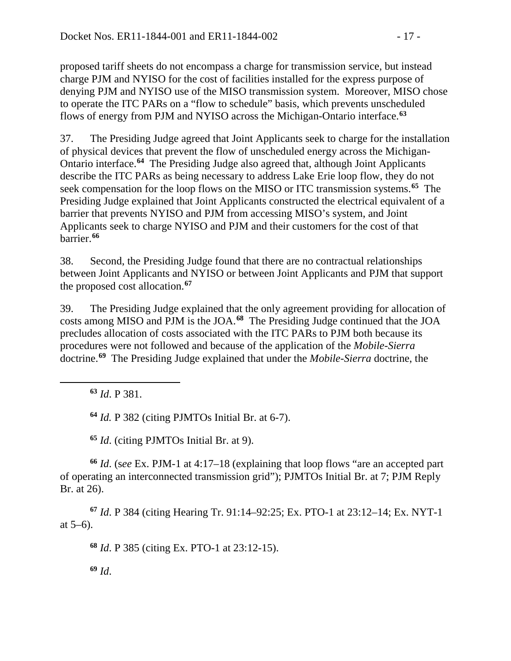proposed tariff sheets do not encompass a charge for transmission service, but instead charge PJM and NYISO for the cost of facilities installed for the express purpose of denying PJM and NYISO use of the MISO transmission system. Moreover, MISO chose to operate the ITC PARs on a "flow to schedule" basis, which prevents unscheduled flows of energy from PJM and NYISO across the Michigan-Ontario interface.**[63](#page-16-0)**

37. The Presiding Judge agreed that Joint Applicants seek to charge for the installation of physical devices that prevent the flow of unscheduled energy across the Michigan-Ontario interface.**[64](#page-16-1)** The Presiding Judge also agreed that, although Joint Applicants describe the ITC PARs as being necessary to address Lake Erie loop flow, they do not seek compensation for the loop flows on the MISO or ITC transmission systems.**[65](#page-16-2)** The Presiding Judge explained that Joint Applicants constructed the electrical equivalent of a barrier that prevents NYISO and PJM from accessing MISO's system, and Joint Applicants seek to charge NYISO and PJM and their customers for the cost of that barrier.**[66](#page-16-3)**

38. Second, the Presiding Judge found that there are no contractual relationships between Joint Applicants and NYISO or between Joint Applicants and PJM that support the proposed cost allocation.**[67](#page-16-4)**

39. The Presiding Judge explained that the only agreement providing for allocation of costs among MISO and PJM is the JOA.**[68](#page-16-5)** The Presiding Judge continued that the JOA precludes allocation of costs associated with the ITC PARs to PJM both because its procedures were not followed and because of the application of the *Mobile-Sierra* doctrine.**[69](#page-16-6)** The Presiding Judge explained that under the *Mobile-Sierra* doctrine, the

**<sup>63</sup>** *Id*. P 381.

<span id="page-16-1"></span><span id="page-16-0"></span> $\overline{a}$ 

**<sup>64</sup>** *Id.* P 382 (citing PJMTOs Initial Br. at 6-7).

**<sup>65</sup>** *Id*. (citing PJMTOs Initial Br. at 9).

<span id="page-16-3"></span><span id="page-16-2"></span>**<sup>66</sup>** *Id*. (s*ee* Ex. PJM-1 at 4:17–18 (explaining that loop flows "are an accepted part of operating an interconnected transmission grid"); PJMTOs Initial Br. at 7; PJM Reply Br. at 26).

<span id="page-16-6"></span><span id="page-16-5"></span><span id="page-16-4"></span>**<sup>67</sup>** *Id*. P 384 (citing Hearing Tr. 91:14–92:25; Ex. PTO-1 at 23:12–14; Ex. NYT-1 at 5–6).

**<sup>68</sup>** *Id*. P 385 (citing Ex. PTO-1 at 23:12-15).

**<sup>69</sup>** *Id*.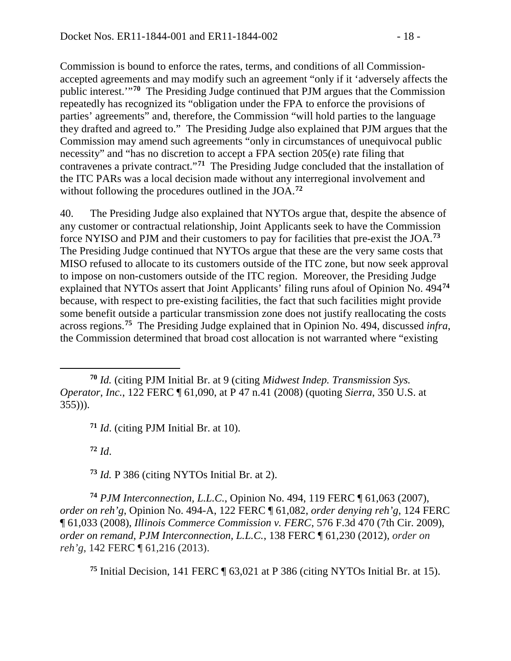Commission is bound to enforce the rates, terms, and conditions of all Commissionaccepted agreements and may modify such an agreement "only if it 'adversely affects the public interest.'"**[70](#page-17-0)** The Presiding Judge continued that PJM argues that the Commission repeatedly has recognized its "obligation under the FPA to enforce the provisions of parties' agreements" and, therefore, the Commission "will hold parties to the language they drafted and agreed to." The Presiding Judge also explained that PJM argues that the Commission may amend such agreements "only in circumstances of unequivocal public necessity" and "has no discretion to accept a FPA section 205(e) rate filing that contravenes a private contract."**[71](#page-17-1)** The Presiding Judge concluded that the installation of the ITC PARs was a local decision made without any interregional involvement and without following the procedures outlined in the JOA.**[72](#page-17-2)**

40. The Presiding Judge also explained that NYTOs argue that, despite the absence of any customer or contractual relationship, Joint Applicants seek to have the Commission force NYISO and PJM and their customers to pay for facilities that pre-exist the JOA.**[73](#page-17-3)** The Presiding Judge continued that NYTOs argue that these are the very same costs that MISO refused to allocate to its customers outside of the ITC zone, but now seek approval to impose on non-customers outside of the ITC region. Moreover, the Presiding Judge explained that NYTOs assert that Joint Applicants' filing runs afoul of Opinion No. 494**[74](#page-17-4)** because, with respect to pre-existing facilities, the fact that such facilities might provide some benefit outside a particular transmission zone does not justify reallocating the costs across regions.**[75](#page-17-5)** The Presiding Judge explained that in Opinion No. 494, discussed *infra*, the Commission determined that broad cost allocation is not warranted where "existing

**<sup>71</sup>** *Id*. (citing PJM Initial Br. at 10).

**<sup>72</sup>** *Id*.

 $\overline{a}$ 

**<sup>73</sup>** *Id.* P 386 (citing NYTOs Initial Br. at 2).

<span id="page-17-4"></span><span id="page-17-3"></span><span id="page-17-2"></span>**<sup>74</sup>** *PJM Interconnection, L.L.C.*, Opinion No. 494, 119 FERC ¶ 61,063 (2007), *order on reh'g*, Opinion No. 494-A, 122 FERC ¶ 61,082, *order denying reh'g*, 124 FERC ¶ 61,033 (2008), *Illinois Commerce Commission v. FERC*, 576 F.3d 470 (7th Cir. 2009), *order on remand*, *PJM Interconnection, L.L.C.*, 138 FERC ¶ 61,230 (2012), *order on reh'g*, 142 FERC ¶ 61,216 (2013).

<span id="page-17-5"></span>**<sup>75</sup>** Initial Decision, 141 FERC ¶ 63,021 at P 386 (citing NYTOs Initial Br. at 15).

<span id="page-17-1"></span><span id="page-17-0"></span>**<sup>70</sup>** *Id.* (citing PJM Initial Br. at 9 (citing *Midwest Indep. Transmission Sys. Operator, Inc.*, 122 FERC ¶ 61,090, at P 47 n.41 (2008) (quoting *Sierra*, 350 U.S. at  $355$ ))).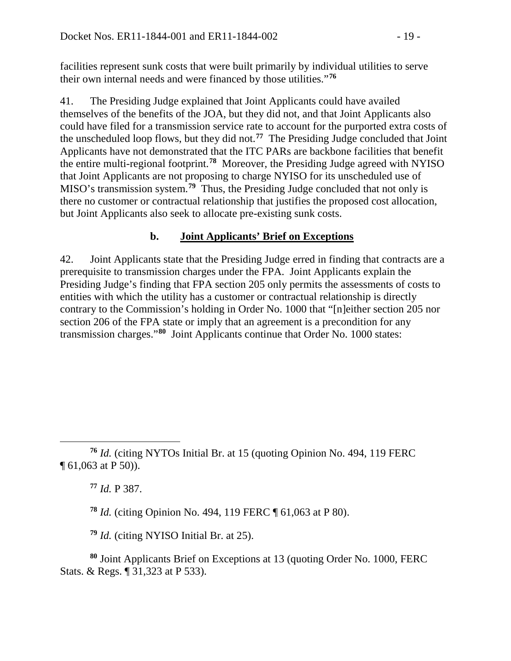facilities represent sunk costs that were built primarily by individual utilities to serve their own internal needs and were financed by those utilities."**[76](#page-18-0)**

41. The Presiding Judge explained that Joint Applicants could have availed themselves of the benefits of the JOA, but they did not, and that Joint Applicants also could have filed for a transmission service rate to account for the purported extra costs of the unscheduled loop flows, but they did not.**[77](#page-18-1)** The Presiding Judge concluded that Joint Applicants have not demonstrated that the ITC PARs are backbone facilities that benefit the entire multi-regional footprint.**[78](#page-18-2)** Moreover, the Presiding Judge agreed with NYISO that Joint Applicants are not proposing to charge NYISO for its unscheduled use of MISO's transmission system.**[79](#page-18-3)** Thus, the Presiding Judge concluded that not only is there no customer or contractual relationship that justifies the proposed cost allocation, but Joint Applicants also seek to allocate pre-existing sunk costs.

### **b. Joint Applicants' Brief on Exceptions**

42. Joint Applicants state that the Presiding Judge erred in finding that contracts are a prerequisite to transmission charges under the FPA. Joint Applicants explain the Presiding Judge's finding that FPA section 205 only permits the assessments of costs to entities with which the utility has a customer or contractual relationship is directly contrary to the Commission's holding in Order No. 1000 that "[n]either section 205 nor section 206 of the FPA state or imply that an agreement is a precondition for any transmission charges."**[80](#page-18-4)** Joint Applicants continue that Order No. 1000 states:

**<sup>77</sup>** *Id.* P 387.

**<sup>78</sup>** *Id.* (citing Opinion No. 494, 119 FERC ¶ 61,063 at P 80).

**<sup>79</sup>** *Id.* (citing NYISO Initial Br. at 25).

<span id="page-18-4"></span><span id="page-18-3"></span><span id="page-18-2"></span>**<sup>80</sup>** Joint Applicants Brief on Exceptions at 13 (quoting Order No. 1000, FERC Stats. & Regs. ¶ 31,323 at P 533).

<span id="page-18-1"></span><span id="page-18-0"></span> $\overline{a}$ **<sup>76</sup>** *Id.* (citing NYTOs Initial Br. at 15 (quoting Opinion No. 494, 119 FERC ¶ 61,063 at P 50)).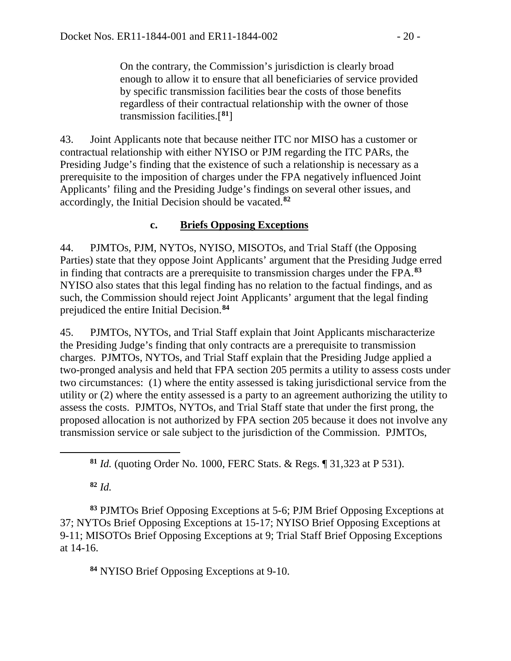On the contrary, the Commission's jurisdiction is clearly broad enough to allow it to ensure that all beneficiaries of service provided by specific transmission facilities bear the costs of those benefits regardless of their contractual relationship with the owner of those transmission facilities.[**[81](#page-19-0)**]

43. Joint Applicants note that because neither ITC nor MISO has a customer or contractual relationship with either NYISO or PJM regarding the ITC PARs, the Presiding Judge's finding that the existence of such a relationship is necessary as a prerequisite to the imposition of charges under the FPA negatively influenced Joint Applicants' filing and the Presiding Judge's findings on several other issues, and accordingly, the Initial Decision should be vacated.**[82](#page-19-1)**

## **c. Briefs Opposing Exceptions**

44. PJMTOs, PJM, NYTOs, NYISO, MISOTOs, and Trial Staff (the Opposing Parties) state that they oppose Joint Applicants' argument that the Presiding Judge erred in finding that contracts are a prerequisite to transmission charges under the FPA.**[83](#page-19-2)** NYISO also states that this legal finding has no relation to the factual findings, and as such, the Commission should reject Joint Applicants' argument that the legal finding prejudiced the entire Initial Decision.**[84](#page-19-3)**

45. PJMTOs, NYTOs, and Trial Staff explain that Joint Applicants mischaracterize the Presiding Judge's finding that only contracts are a prerequisite to transmission charges. PJMTOs, NYTOs, and Trial Staff explain that the Presiding Judge applied a two-pronged analysis and held that FPA section 205 permits a utility to assess costs under two circumstances: (1) where the entity assessed is taking jurisdictional service from the utility or (2) where the entity assessed is a party to an agreement authorizing the utility to assess the costs. PJMTOs, NYTOs, and Trial Staff state that under the first prong, the proposed allocation is not authorized by FPA section 205 because it does not involve any transmission service or sale subject to the jurisdiction of the Commission. PJMTOs,

**<sup>82</sup>** *Id.*

<span id="page-19-0"></span> $\overline{a}$ 

<span id="page-19-3"></span><span id="page-19-2"></span><span id="page-19-1"></span>**<sup>83</sup>** PJMTOs Brief Opposing Exceptions at 5-6; PJM Brief Opposing Exceptions at 37; NYTOs Brief Opposing Exceptions at 15-17; NYISO Brief Opposing Exceptions at 9-11; MISOTOs Brief Opposing Exceptions at 9; Trial Staff Brief Opposing Exceptions at 14-16.

**<sup>84</sup>** NYISO Brief Opposing Exceptions at 9-10.

**<sup>81</sup>** *Id.* (quoting Order No. 1000, FERC Stats. & Regs. ¶ 31,323 at P 531).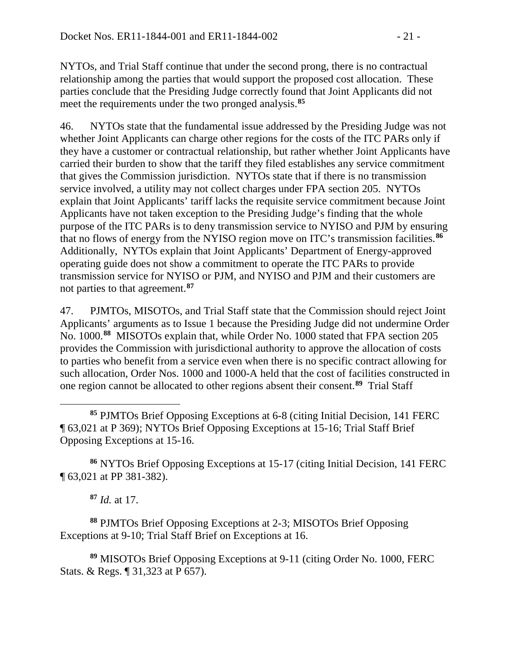NYTOs, and Trial Staff continue that under the second prong, there is no contractual relationship among the parties that would support the proposed cost allocation. These parties conclude that the Presiding Judge correctly found that Joint Applicants did not meet the requirements under the two pronged analysis.**[85](#page-20-0)**

46. NYTOs state that the fundamental issue addressed by the Presiding Judge was not whether Joint Applicants can charge other regions for the costs of the ITC PARs only if they have a customer or contractual relationship, but rather whether Joint Applicants have carried their burden to show that the tariff they filed establishes any service commitment that gives the Commission jurisdiction. NYTOs state that if there is no transmission service involved, a utility may not collect charges under FPA section 205. NYTOs explain that Joint Applicants' tariff lacks the requisite service commitment because Joint Applicants have not taken exception to the Presiding Judge's finding that the whole purpose of the ITC PARs is to deny transmission service to NYISO and PJM by ensuring that no flows of energy from the NYISO region move on ITC's transmission facilities.**[86](#page-20-1)** Additionally, NYTOs explain that Joint Applicants' Department of Energy-approved operating guide does not show a commitment to operate the ITC PARs to provide transmission service for NYISO or PJM, and NYISO and PJM and their customers are not parties to that agreement.**[87](#page-20-2)**

47. PJMTOs, MISOTOs, and Trial Staff state that the Commission should reject Joint Applicants' arguments as to Issue 1 because the Presiding Judge did not undermine Order No. 1000.**[88](#page-20-3)** MISOTOs explain that, while Order No. 1000 stated that FPA section 205 provides the Commission with jurisdictional authority to approve the allocation of costs to parties who benefit from a service even when there is no specific contract allowing for such allocation, Order Nos. 1000 and 1000-A held that the cost of facilities constructed in one region cannot be allocated to other regions absent their consent.**[89](#page-20-4)** Trial Staff

<span id="page-20-0"></span> $\overline{a}$ **<sup>85</sup>** PJMTOs Brief Opposing Exceptions at 6-8 (citing Initial Decision, 141 FERC ¶ 63,021 at P 369); NYTOs Brief Opposing Exceptions at 15-16; Trial Staff Brief Opposing Exceptions at 15-16.

<span id="page-20-1"></span>**<sup>86</sup>** NYTOs Brief Opposing Exceptions at 15-17 (citing Initial Decision, 141 FERC ¶ 63,021 at PP 381-382).

**<sup>87</sup>** *Id.* at 17.

<span id="page-20-3"></span><span id="page-20-2"></span>**<sup>88</sup>** PJMTOs Brief Opposing Exceptions at 2-3; MISOTOs Brief Opposing Exceptions at 9-10; Trial Staff Brief on Exceptions at 16.

<span id="page-20-4"></span>**<sup>89</sup>** MISOTOs Brief Opposing Exceptions at 9-11 (citing Order No. 1000, FERC Stats. & Regs. ¶ 31,323 at P 657).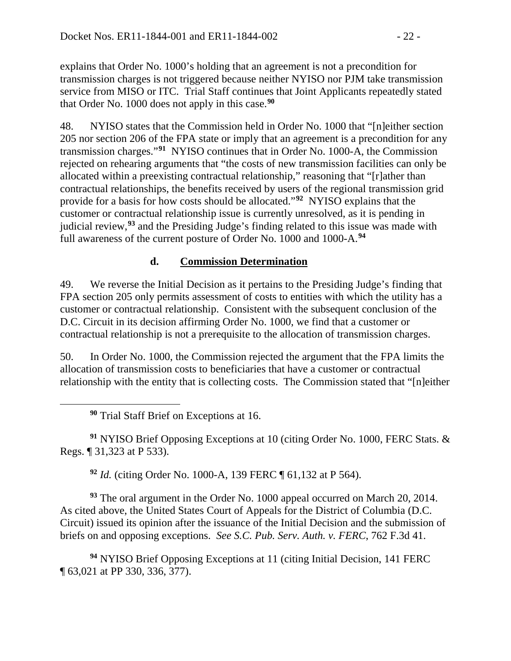explains that Order No. 1000's holding that an agreement is not a precondition for transmission charges is not triggered because neither NYISO nor PJM take transmission service from MISO or ITC. Trial Staff continues that Joint Applicants repeatedly stated that Order No. 1000 does not apply in this case.**[90](#page-21-0)**

48. NYISO states that the Commission held in Order No. 1000 that "[n]either section 205 nor section 206 of the FPA state or imply that an agreement is a precondition for any transmission charges."**[91](#page-21-1)** NYISO continues that in Order No. 1000-A, the Commission rejected on rehearing arguments that "the costs of new transmission facilities can only be allocated within a preexisting contractual relationship," reasoning that "[r]ather than contractual relationships, the benefits received by users of the regional transmission grid provide for a basis for how costs should be allocated."**[92](#page-21-2)** NYISO explains that the customer or contractual relationship issue is currently unresolved, as it is pending in judicial review,**[93](#page-21-3)** and the Presiding Judge's finding related to this issue was made with full awareness of the current posture of Order No. 1000 and 1000-A.**[94](#page-21-4)**

### **d. Commission Determination**

49. We reverse the Initial Decision as it pertains to the Presiding Judge's finding that FPA section 205 only permits assessment of costs to entities with which the utility has a customer or contractual relationship. Consistent with the subsequent conclusion of the D.C. Circuit in its decision affirming Order No. 1000, we find that a customer or contractual relationship is not a prerequisite to the allocation of transmission charges.

50. In Order No. 1000, the Commission rejected the argument that the FPA limits the allocation of transmission costs to beneficiaries that have a customer or contractual relationship with the entity that is collecting costs. The Commission stated that "[n]either

**<sup>90</sup>** Trial Staff Brief on Exceptions at 16.

<span id="page-21-0"></span> $\overline{a}$ 

<span id="page-21-1"></span>**<sup>91</sup>** NYISO Brief Opposing Exceptions at 10 (citing Order No. 1000, FERC Stats. & Regs. ¶ 31,323 at P 533).

**<sup>92</sup>** *Id.* (citing Order No. 1000-A, 139 FERC ¶ 61,132 at P 564).

<span id="page-21-3"></span><span id="page-21-2"></span>**<sup>93</sup>** The oral argument in the Order No. 1000 appeal occurred on March 20, 2014. As cited above, the United States Court of Appeals for the District of Columbia (D.C. Circuit) issued its opinion after the issuance of the Initial Decision and the submission of briefs on and opposing exceptions. *See S.C. Pub. Serv. Auth. v. FERC*, 762 F.3d 41.

<span id="page-21-4"></span>**<sup>94</sup>** NYISO Brief Opposing Exceptions at 11 (citing Initial Decision, 141 FERC ¶ 63,021 at PP 330, 336, 377).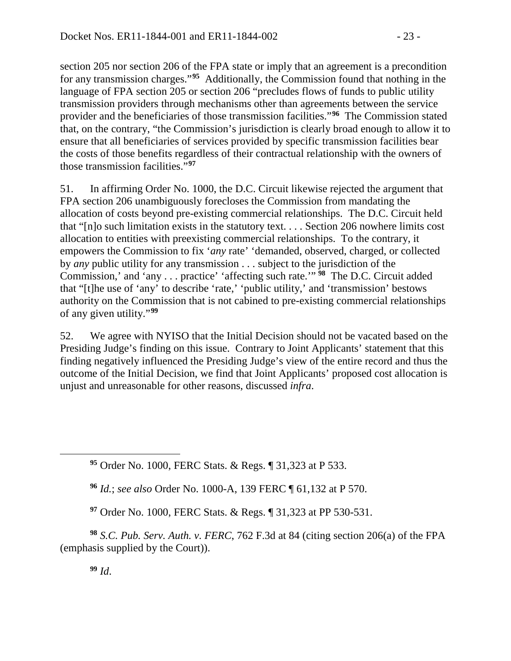section 205 nor section 206 of the FPA state or imply that an agreement is a precondition for any transmission charges."**[95](#page-22-0)** Additionally, the Commission found that nothing in the language of FPA section 205 or section 206 "precludes flows of funds to public utility transmission providers through mechanisms other than agreements between the service provider and the beneficiaries of those transmission facilities."**[96](#page-22-1)** The Commission stated that, on the contrary, "the Commission's jurisdiction is clearly broad enough to allow it to ensure that all beneficiaries of services provided by specific transmission facilities bear the costs of those benefits regardless of their contractual relationship with the owners of those transmission facilities."**[97](#page-22-2)**

51. In affirming Order No. 1000, the D.C. Circuit likewise rejected the argument that FPA section 206 unambiguously forecloses the Commission from mandating the allocation of costs beyond pre-existing commercial relationships. The D.C. Circuit held that "[n]o such limitation exists in the statutory text. . . . Section 206 nowhere limits cost allocation to entities with preexisting commercial relationships. To the contrary, it empowers the Commission to fix '*any* rate' 'demanded, observed, charged, or collected by *any* public utility for any transmission . . . subject to the jurisdiction of the Commission,' and 'any . . . practice' 'affecting such rate.'" **[98](#page-22-3)** The D.C. Circuit added that "[t]he use of 'any' to describe 'rate,' 'public utility,' and 'transmission' bestows authority on the Commission that is not cabined to pre-existing commercial relationships of any given utility."**[99](#page-22-4)**

52. We agree with NYISO that the Initial Decision should not be vacated based on the Presiding Judge's finding on this issue. Contrary to Joint Applicants' statement that this finding negatively influenced the Presiding Judge's view of the entire record and thus the outcome of the Initial Decision, we find that Joint Applicants' proposed cost allocation is unjust and unreasonable for other reasons, discussed *infra*.

**<sup>95</sup>** Order No. 1000, FERC Stats. & Regs. ¶ 31,323 at P 533.

**<sup>96</sup>** *Id.*; *see also* Order No. 1000-A, 139 FERC ¶ 61,132 at P 570.

**<sup>97</sup>** Order No. 1000, FERC Stats. & Regs. ¶ 31,323 at PP 530-531.

<span id="page-22-4"></span><span id="page-22-3"></span><span id="page-22-2"></span>**<sup>98</sup>** *S.C. Pub. Serv. Auth. v. FERC*, 762 F.3d at 84 (citing section 206(a) of the FPA (emphasis supplied by the Court)).

**<sup>99</sup>** *Id*.

<span id="page-22-1"></span><span id="page-22-0"></span> $\overline{a}$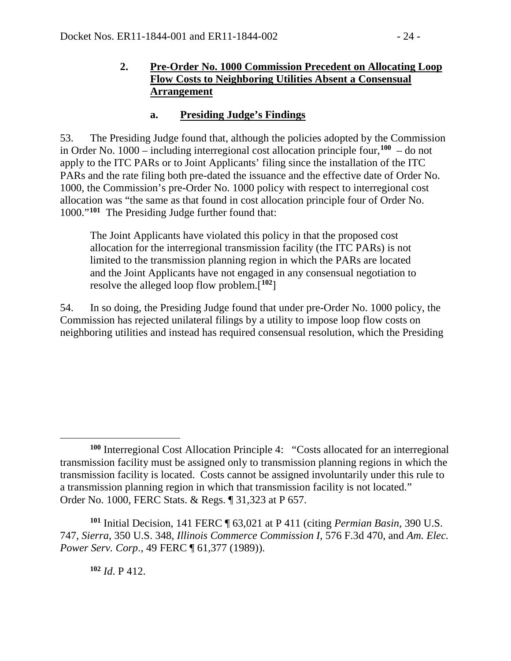#### **2. Pre-Order No. 1000 Commission Precedent on Allocating Loop Flow Costs to Neighboring Utilities Absent a Consensual Arrangement**

#### **a. Presiding Judge's Findings**

53. The Presiding Judge found that, although the policies adopted by the Commission in Order No. 1000 – including interregional cost allocation principle four,**[100](#page-23-0)** – do not apply to the ITC PARs or to Joint Applicants' filing since the installation of the ITC PARs and the rate filing both pre-dated the issuance and the effective date of Order No. 1000, the Commission's pre-Order No. 1000 policy with respect to interregional cost allocation was "the same as that found in cost allocation principle four of Order No. 1000."**[101](#page-23-1)** The Presiding Judge further found that:

The Joint Applicants have violated this policy in that the proposed cost allocation for the interregional transmission facility (the ITC PARs) is not limited to the transmission planning region in which the PARs are located and the Joint Applicants have not engaged in any consensual negotiation to resolve the alleged loop flow problem.[**[102](#page-23-2)**]

54. In so doing, the Presiding Judge found that under pre-Order No. 1000 policy, the Commission has rejected unilateral filings by a utility to impose loop flow costs on neighboring utilities and instead has required consensual resolution, which the Presiding

<span id="page-23-0"></span> $\overline{a}$ **<sup>100</sup>** Interregional Cost Allocation Principle 4: "Costs allocated for an interregional transmission facility must be assigned only to transmission planning regions in which the transmission facility is located. Costs cannot be assigned involuntarily under this rule to a transmission planning region in which that transmission facility is not located." Order No. 1000, FERC Stats. & Regs. ¶ 31,323 at P 657.

<span id="page-23-2"></span><span id="page-23-1"></span>**<sup>101</sup>** Initial Decision, 141 FERC ¶ 63,021 at P 411 (citing *Permian Basin,* 390 U.S. 747, *Sierra*, 350 U.S. 348, *Illinois Commerce Commission I*, 576 F.3d 470, and *Am. Elec. Power Serv. Corp*., 49 FERC ¶ 61,377 (1989)).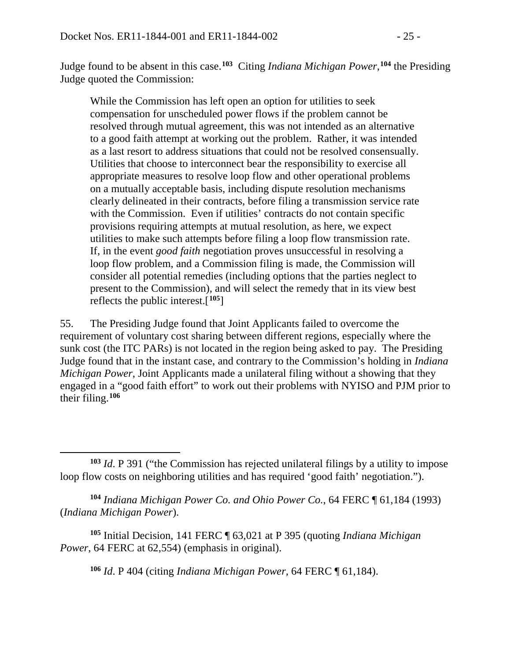$\overline{a}$ 

Judge found to be absent in this case.**[103](#page-24-0)** Citing *Indiana Michigan Power*, **[104](#page-24-1)** the Presiding Judge quoted the Commission:

While the Commission has left open an option for utilities to seek compensation for unscheduled power flows if the problem cannot be resolved through mutual agreement, this was not intended as an alternative to a good faith attempt at working out the problem. Rather, it was intended as a last resort to address situations that could not be resolved consensually. Utilities that choose to interconnect bear the responsibility to exercise all appropriate measures to resolve loop flow and other operational problems on a mutually acceptable basis, including dispute resolution mechanisms clearly delineated in their contracts, before filing a transmission service rate with the Commission. Even if utilities' contracts do not contain specific provisions requiring attempts at mutual resolution, as here, we expect utilities to make such attempts before filing a loop flow transmission rate. If, in the event *good faith* negotiation proves unsuccessful in resolving a loop flow problem, and a Commission filing is made, the Commission will consider all potential remedies (including options that the parties neglect to present to the Commission), and will select the remedy that in its view best reflects the public interest.[**[105](#page-24-2)**]

55. The Presiding Judge found that Joint Applicants failed to overcome the requirement of voluntary cost sharing between different regions, especially where the sunk cost (the ITC PARs) is not located in the region being asked to pay. The Presiding Judge found that in the instant case, and contrary to the Commission's holding in *Indiana Michigan Power*, Joint Applicants made a unilateral filing without a showing that they engaged in a "good faith effort" to work out their problems with NYISO and PJM prior to their filing.**[106](#page-24-3)**

<span id="page-24-1"></span>**<sup>104</sup>** *Indiana Michigan Power Co. and Ohio Power Co.*, 64 FERC ¶ 61,184 (1993) (*Indiana Michigan Power*).

<span id="page-24-3"></span><span id="page-24-2"></span>**<sup>105</sup>** Initial Decision, 141 FERC ¶ 63,021 at P 395 (quoting *Indiana Michigan Power*, 64 FERC at 62,554) (emphasis in original).

**<sup>106</sup>** *Id*. P 404 (citing *Indiana Michigan Power,* 64 FERC ¶ 61,184).

<span id="page-24-0"></span>**<sup>103</sup>** *Id*. P 391 ("the Commission has rejected unilateral filings by a utility to impose loop flow costs on neighboring utilities and has required 'good faith' negotiation.").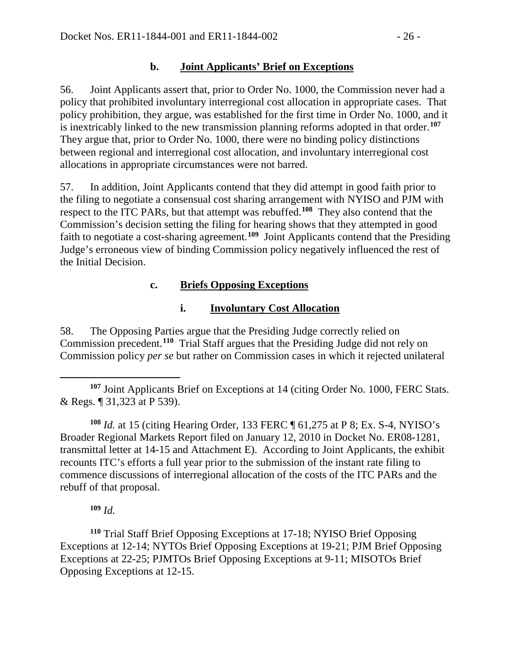## **b. Joint Applicants' Brief on Exceptions**

56. Joint Applicants assert that, prior to Order No. 1000, the Commission never had a policy that prohibited involuntary interregional cost allocation in appropriate cases. That policy prohibition, they argue, was established for the first time in Order No. 1000, and it is inextricably linked to the new transmission planning reforms adopted in that order.**[107](#page-25-0)** They argue that, prior to Order No. 1000, there were no binding policy distinctions between regional and interregional cost allocation, and involuntary interregional cost allocations in appropriate circumstances were not barred.

57. In addition, Joint Applicants contend that they did attempt in good faith prior to the filing to negotiate a consensual cost sharing arrangement with NYISO and PJM with respect to the ITC PARs, but that attempt was rebuffed.**[108](#page-25-1)** They also contend that the Commission's decision setting the filing for hearing shows that they attempted in good faith to negotiate a cost-sharing agreement.<sup>[109](#page-25-2)</sup> Joint Applicants contend that the Presiding Judge's erroneous view of binding Commission policy negatively influenced the rest of the Initial Decision.

## **c. Briefs Opposing Exceptions**

## **i. Involuntary Cost Allocation**

58. The Opposing Parties argue that the Presiding Judge correctly relied on Commission precedent.**[110](#page-25-3)** Trial Staff argues that the Presiding Judge did not rely on Commission policy *per se* but rather on Commission cases in which it rejected unilateral

<span id="page-25-0"></span> $\overline{a}$ **<sup>107</sup>** Joint Applicants Brief on Exceptions at 14 (citing Order No. 1000, FERC Stats. & Regs. ¶ 31,323 at P 539).

<span id="page-25-1"></span>**<sup>108</sup>** *Id.* at 15 (citing Hearing Order, 133 FERC ¶ 61,275 at P 8; Ex. S-4, NYISO's Broader Regional Markets Report filed on January 12, 2010 in Docket No. ER08-1281, transmittal letter at 14-15 and Attachment E). According to Joint Applicants, the exhibit recounts ITC's efforts a full year prior to the submission of the instant rate filing to commence discussions of interregional allocation of the costs of the ITC PARs and the rebuff of that proposal.

### **<sup>109</sup>** *Id.*

<span id="page-25-3"></span><span id="page-25-2"></span>**<sup>110</sup>** Trial Staff Brief Opposing Exceptions at 17-18; NYISO Brief Opposing Exceptions at 12-14; NYTOs Brief Opposing Exceptions at 19-21; PJM Brief Opposing Exceptions at 22-25; PJMTOs Brief Opposing Exceptions at 9-11; MISOTOs Brief Opposing Exceptions at 12-15.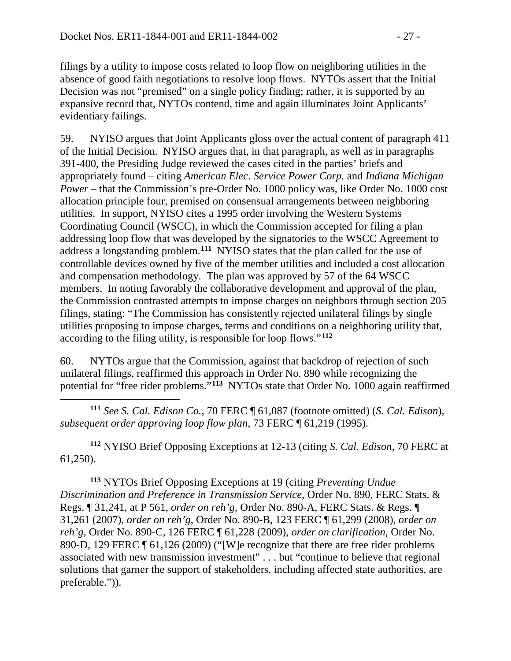filings by a utility to impose costs related to loop flow on neighboring utilities in the absence of good faith negotiations to resolve loop flows. NYTOs assert that the Initial Decision was not "premised" on a single policy finding; rather, it is supported by an expansive record that, NYTOs contend, time and again illuminates Joint Applicants' evidentiary failings.

59. NYISO argues that Joint Applicants gloss over the actual content of paragraph 411 of the Initial Decision. NYISO argues that, in that paragraph, as well as in paragraphs 391-400, the Presiding Judge reviewed the cases cited in the parties' briefs and appropriately found – citing *American Elec. Service Power Corp.* and *Indiana Michigan Power* – that the Commission's pre-Order No. 1000 policy was, like Order No. 1000 cost allocation principle four, premised on consensual arrangements between neighboring utilities. In support, NYISO cites a 1995 order involving the Western Systems Coordinating Council (WSCC), in which the Commission accepted for filing a plan addressing loop flow that was developed by the signatories to the WSCC Agreement to address a longstanding problem.**[111](#page-26-0)** NYISO states that the plan called for the use of controllable devices owned by five of the member utilities and included a cost allocation and compensation methodology. The plan was approved by 57 of the 64 WSCC members. In noting favorably the collaborative development and approval of the plan, the Commission contrasted attempts to impose charges on neighbors through section 205 filings, stating: "The Commission has consistently rejected unilateral filings by single utilities proposing to impose charges, terms and conditions on a neighboring utility that, according to the filing utility, is responsible for loop flows."**[112](#page-26-1)**

60. NYTOs argue that the Commission, against that backdrop of rejection of such unilateral filings, reaffirmed this approach in Order No. 890 while recognizing the potential for "free rider problems."**[113](#page-26-2)** NYTOs state that Order No. 1000 again reaffirmed

<span id="page-26-0"></span> $\overline{a}$ **<sup>111</sup>** *See S. Cal. Edison Co.*, 70 FERC ¶ 61,087 (footnote omitted) (*S. Cal. Edison*), *subsequent order approving loop flow plan,* 73 FERC ¶ 61,219 (1995).

<span id="page-26-1"></span>**<sup>112</sup>** NYISO Brief Opposing Exceptions at 12-13 (citing *S. Cal. Edison*, 70 FERC at 61,250).

<span id="page-26-2"></span>**<sup>113</sup>** NYTOs Brief Opposing Exceptions at 19 (citing *Preventing Undue Discrimination and Preference in Transmission Service*, Order No. 890, FERC Stats. & Regs. ¶ 31,241, at P 561, *order on reh'g*, Order No. 890-A, FERC Stats. & Regs. ¶ 31,261 (2007), *order on reh'g*, Order No. 890-B, 123 FERC ¶ 61,299 (2008), *order on reh'g*, Order No. 890-C, 126 FERC ¶ 61,228 (2009), *order on clarification*, Order No. 890-D, 129 FERC ¶ 61,126 (2009) ("[W]e recognize that there are free rider problems associated with new transmission investment" . . . but "continue to believe that regional solutions that garner the support of stakeholders, including affected state authorities, are preferable.")).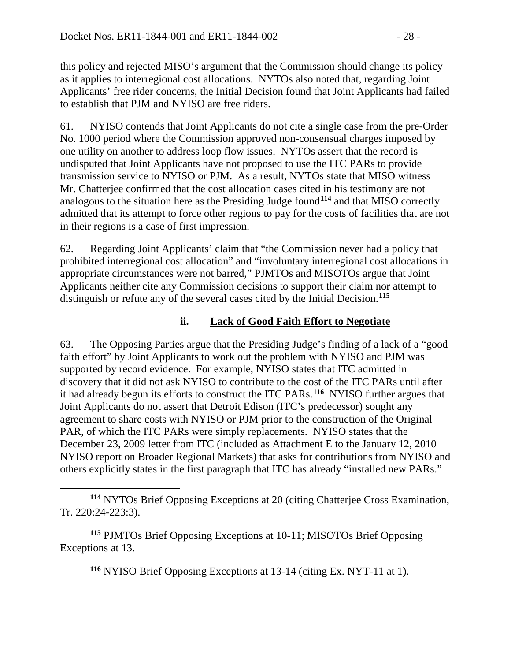this policy and rejected MISO's argument that the Commission should change its policy as it applies to interregional cost allocations. NYTOs also noted that, regarding Joint Applicants' free rider concerns, the Initial Decision found that Joint Applicants had failed to establish that PJM and NYISO are free riders.

61. NYISO contends that Joint Applicants do not cite a single case from the pre-Order No. 1000 period where the Commission approved non-consensual charges imposed by one utility on another to address loop flow issues. NYTOs assert that the record is undisputed that Joint Applicants have not proposed to use the ITC PARs to provide transmission service to NYISO or PJM. As a result, NYTOs state that MISO witness Mr. Chatterjee confirmed that the cost allocation cases cited in his testimony are not analogous to the situation here as the Presiding Judge found**[114](#page-27-0)** and that MISO correctly admitted that its attempt to force other regions to pay for the costs of facilities that are not in their regions is a case of first impression.

62. Regarding Joint Applicants' claim that "the Commission never had a policy that prohibited interregional cost allocation" and "involuntary interregional cost allocations in appropriate circumstances were not barred," PJMTOs and MISOTOs argue that Joint Applicants neither cite any Commission decisions to support their claim nor attempt to distinguish or refute any of the several cases cited by the Initial Decision.**[115](#page-27-1)**

## **ii. Lack of Good Faith Effort to Negotiate**

63. The Opposing Parties argue that the Presiding Judge's finding of a lack of a "good faith effort" by Joint Applicants to work out the problem with NYISO and PJM was supported by record evidence. For example, NYISO states that ITC admitted in discovery that it did not ask NYISO to contribute to the cost of the ITC PARs until after it had already begun its efforts to construct the ITC PARs.**[116](#page-27-2)** NYISO further argues that Joint Applicants do not assert that Detroit Edison (ITC's predecessor) sought any agreement to share costs with NYISO or PJM prior to the construction of the Original PAR, of which the ITC PARs were simply replacements. NYISO states that the December 23, 2009 letter from ITC (included as Attachment E to the January 12, 2010 NYISO report on Broader Regional Markets) that asks for contributions from NYISO and others explicitly states in the first paragraph that ITC has already "installed new PARs."

<span id="page-27-2"></span><span id="page-27-1"></span>**<sup>115</sup>** PJMTOs Brief Opposing Exceptions at 10-11; MISOTOs Brief Opposing Exceptions at 13.

 $\overline{a}$ 

**<sup>116</sup>** NYISO Brief Opposing Exceptions at 13-14 (citing Ex. NYT-11 at 1).

<span id="page-27-0"></span>**<sup>114</sup>** NYTOs Brief Opposing Exceptions at 20 (citing Chatterjee Cross Examination, Tr. 220:24-223:3).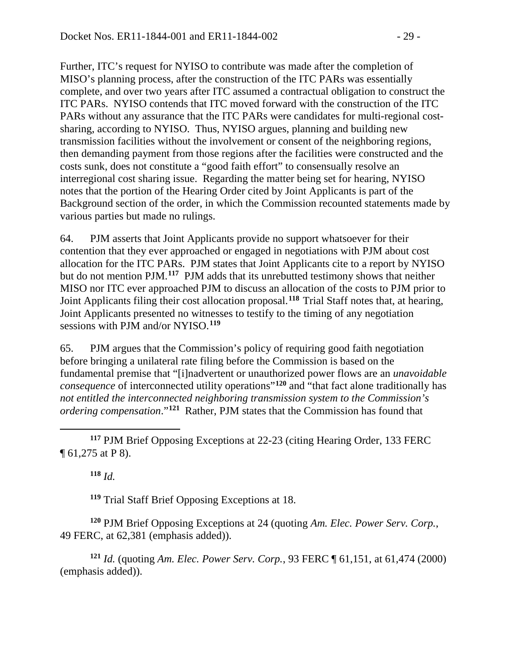Further, ITC's request for NYISO to contribute was made after the completion of MISO's planning process, after the construction of the ITC PARs was essentially complete, and over two years after ITC assumed a contractual obligation to construct the ITC PARs. NYISO contends that ITC moved forward with the construction of the ITC PARs without any assurance that the ITC PARs were candidates for multi-regional costsharing, according to NYISO. Thus, NYISO argues, planning and building new transmission facilities without the involvement or consent of the neighboring regions, then demanding payment from those regions after the facilities were constructed and the costs sunk, does not constitute a "good faith effort" to consensually resolve an interregional cost sharing issue. Regarding the matter being set for hearing, NYISO notes that the portion of the Hearing Order cited by Joint Applicants is part of the Background section of the order, in which the Commission recounted statements made by various parties but made no rulings.

64. PJM asserts that Joint Applicants provide no support whatsoever for their contention that they ever approached or engaged in negotiations with PJM about cost allocation for the ITC PARs. PJM states that Joint Applicants cite to a report by NYISO but do not mention PJM.**[117](#page-28-0)** PJM adds that its unrebutted testimony shows that neither MISO nor ITC ever approached PJM to discuss an allocation of the costs to PJM prior to Joint Applicants filing their cost allocation proposal.**[118](#page-28-1)** Trial Staff notes that, at hearing, Joint Applicants presented no witnesses to testify to the timing of any negotiation sessions with PJM and/or NYISO.**[119](#page-28-2)**

65. PJM argues that the Commission's policy of requiring good faith negotiation before bringing a unilateral rate filing before the Commission is based on the fundamental premise that "[i]nadvertent or unauthorized power flows are an *unavoidable consequence* of interconnected utility operations"**[120](#page-28-3)** and "that fact alone traditionally has *not entitled the interconnected neighboring transmission system to the Commission's ordering compensation*."**[121](#page-28-4)** Rather, PJM states that the Commission has found that

<span id="page-28-0"></span> $\overline{a}$ **<sup>117</sup>** PJM Brief Opposing Exceptions at 22-23 (citing Hearing Order, 133 FERC ¶ 61,275 at P 8).

**<sup>118</sup>** *Id.*

**<sup>119</sup>** Trial Staff Brief Opposing Exceptions at 18.

<span id="page-28-3"></span><span id="page-28-2"></span><span id="page-28-1"></span>**<sup>120</sup>** PJM Brief Opposing Exceptions at 24 (quoting *Am. Elec. Power Serv. Corp.*, 49 FERC, at 62,381 (emphasis added)).

<span id="page-28-4"></span>**<sup>121</sup>** *Id.* (quoting *Am. Elec. Power Serv. Corp.*, 93 FERC ¶ 61,151, at 61,474 (2000) (emphasis added)).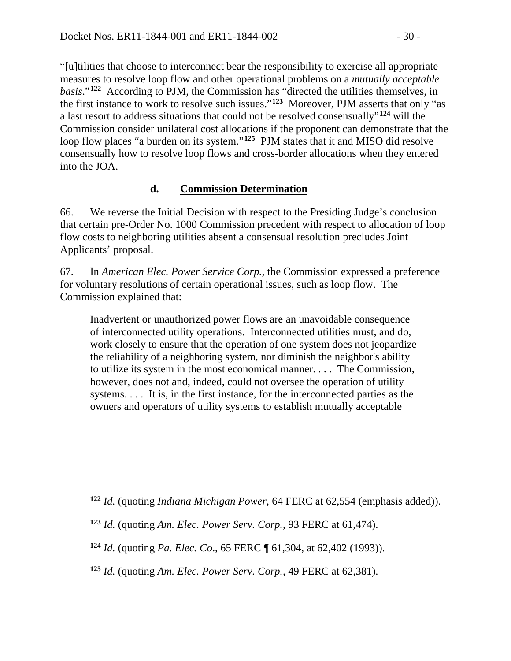"[u]tilities that choose to interconnect bear the responsibility to exercise all appropriate measures to resolve loop flow and other operational problems on a *mutually acceptable basis*."**[122](#page-29-0)** According to PJM, the Commission has "directed the utilities themselves, in the first instance to work to resolve such issues."**[123](#page-29-1)** Moreover, PJM asserts that only "as a last resort to address situations that could not be resolved consensually"**[124](#page-29-2)** will the Commission consider unilateral cost allocations if the proponent can demonstrate that the loop flow places "a burden on its system."<sup>[125](#page-29-3)</sup> PJM states that it and MISO did resolve consensually how to resolve loop flows and cross-border allocations when they entered into the JOA.

## **d. Commission Determination**

66. We reverse the Initial Decision with respect to the Presiding Judge's conclusion that certain pre-Order No. 1000 Commission precedent with respect to allocation of loop flow costs to neighboring utilities absent a consensual resolution precludes Joint Applicants' proposal.

67. In *American Elec. Power Service Corp.*, the Commission expressed a preference for voluntary resolutions of certain operational issues, such as loop flow. The Commission explained that:

Inadvertent or unauthorized power flows are an unavoidable consequence of interconnected utility operations. Interconnected utilities must, and do, work closely to ensure that the operation of one system does not jeopardize the reliability of a neighboring system, nor diminish the neighbor's ability to utilize its system in the most economical manner. . . . The Commission, however, does not and, indeed, could not oversee the operation of utility systems. . . . It is, in the first instance, for the interconnected parties as the owners and operators of utility systems to establish mutually acceptable

<span id="page-29-2"></span><span id="page-29-1"></span><span id="page-29-0"></span> $\overline{a}$ 

**<sup>122</sup>** *Id.* (quoting *Indiana Michigan Power*, 64 FERC at 62,554 (emphasis added)).

**<sup>123</sup>** *Id.* (quoting *Am. Elec. Power Serv. Corp.*, 93 FERC at 61,474).

**<sup>124</sup>** *Id.* (quoting *Pa. Elec. Co*., 65 FERC ¶ 61,304, at 62,402 (1993)).

<span id="page-29-3"></span>**<sup>125</sup>** *Id.* (quoting *Am. Elec. Power Serv. Corp.*, 49 FERC at 62,381).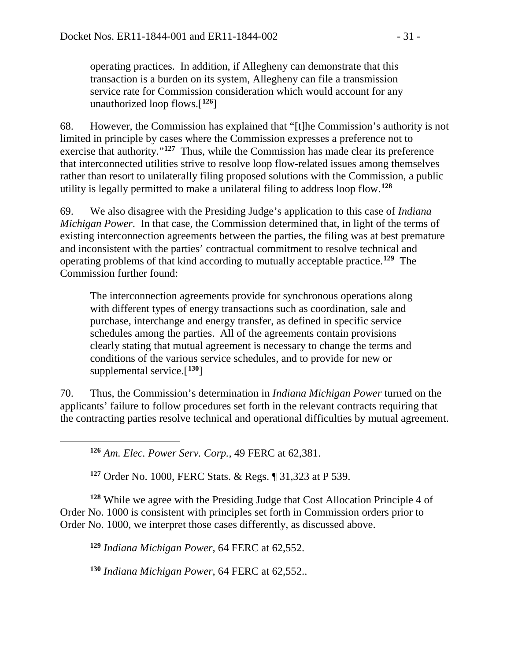operating practices. In addition, if Allegheny can demonstrate that this transaction is a burden on its system, Allegheny can file a transmission service rate for Commission consideration which would account for any unauthorized loop flows.[**[126](#page-30-0)**]

68. However, the Commission has explained that "[t]he Commission's authority is not limited in principle by cases where the Commission expresses a preference not to exercise that authority."**[127](#page-30-1)** Thus, while the Commission has made clear its preference that interconnected utilities strive to resolve loop flow-related issues among themselves rather than resort to unilaterally filing proposed solutions with the Commission, a public utility is legally permitted to make a unilateral filing to address loop flow. **[128](#page-30-2)**

69. We also disagree with the Presiding Judge's application to this case of *Indiana Michigan Power*. In that case, the Commission determined that, in light of the terms of existing interconnection agreements between the parties, the filing was at best premature and inconsistent with the parties' contractual commitment to resolve technical and operating problems of that kind according to mutually acceptable practice.**[129](#page-30-3)** The Commission further found:

The interconnection agreements provide for synchronous operations along with different types of energy transactions such as coordination, sale and purchase, interchange and energy transfer, as defined in specific service schedules among the parties. All of the agreements contain provisions clearly stating that mutual agreement is necessary to change the terms and conditions of the various service schedules, and to provide for new or supplemental service.[**[130](#page-30-4)**]

70. Thus, the Commission's determination in *Indiana Michigan Power* turned on the applicants' failure to follow procedures set forth in the relevant contracts requiring that the contracting parties resolve technical and operational difficulties by mutual agreement.

**<sup>126</sup>** *Am. Elec. Power Serv. Corp.*, 49 FERC at 62,381.

<span id="page-30-0"></span> $\overline{a}$ 

**<sup>127</sup>** Order No. 1000, FERC Stats. & Regs. ¶ 31,323 at P 539.

<span id="page-30-3"></span><span id="page-30-2"></span><span id="page-30-1"></span>**<sup>128</sup>** While we agree with the Presiding Judge that Cost Allocation Principle 4 of Order No. 1000 is consistent with principles set forth in Commission orders prior to Order No. 1000, we interpret those cases differently, as discussed above.

**<sup>129</sup>** *Indiana Michigan Power*, 64 FERC at 62,552.

<span id="page-30-4"></span>**<sup>130</sup>** *Indiana Michigan Power*, 64 FERC at 62,552..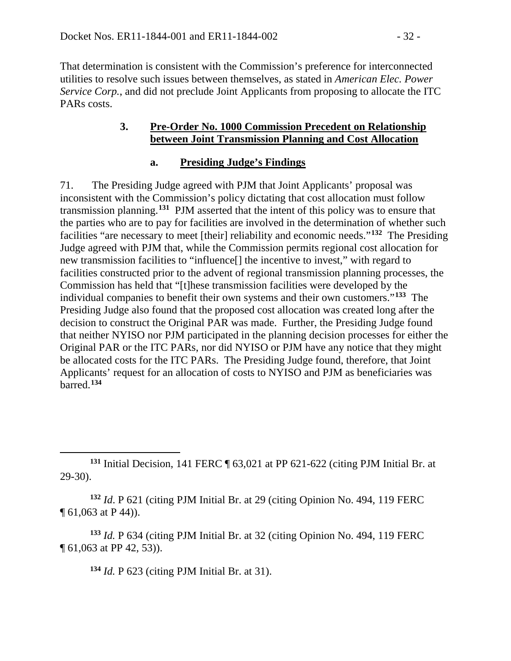That determination is consistent with the Commission's preference for interconnected utilities to resolve such issues between themselves, as stated in *American Elec. Power Service Corp.*, and did not preclude Joint Applicants from proposing to allocate the ITC PAR<sub>s</sub> costs.

#### **3. Pre-Order No. 1000 Commission Precedent on Relationship between Joint Transmission Planning and Cost Allocation**

#### **a. Presiding Judge's Findings**

71. The Presiding Judge agreed with PJM that Joint Applicants' proposal was inconsistent with the Commission's policy dictating that cost allocation must follow transmission planning.**[131](#page-31-0)** PJM asserted that the intent of this policy was to ensure that the parties who are to pay for facilities are involved in the determination of whether such facilities "are necessary to meet [their] reliability and economic needs."**[132](#page-31-1)** The Presiding Judge agreed with PJM that, while the Commission permits regional cost allocation for new transmission facilities to "influence[] the incentive to invest," with regard to facilities constructed prior to the advent of regional transmission planning processes, the Commission has held that "[t]hese transmission facilities were developed by the individual companies to benefit their own systems and their own customers."**[133](#page-31-2)** The Presiding Judge also found that the proposed cost allocation was created long after the decision to construct the Original PAR was made. Further, the Presiding Judge found that neither NYISO nor PJM participated in the planning decision processes for either the Original PAR or the ITC PARs, nor did NYISO or PJM have any notice that they might be allocated costs for the ITC PARs. The Presiding Judge found, therefore, that Joint Applicants' request for an allocation of costs to NYISO and PJM as beneficiaries was barred.**[134](#page-31-3)**

<span id="page-31-1"></span>**<sup>132</sup>** *Id*. P 621 (citing PJM Initial Br. at 29 (citing Opinion No. 494, 119 FERC ¶ 61,063 at P 44)).

<span id="page-31-3"></span><span id="page-31-2"></span>**<sup>133</sup>** *Id.* P 634 (citing PJM Initial Br. at 32 (citing Opinion No. 494, 119 FERC ¶ 61,063 at PP 42, 53)).

**<sup>134</sup>** *Id.* P 623 (citing PJM Initial Br. at 31).

<span id="page-31-0"></span> $\overline{a}$ **<sup>131</sup>** Initial Decision, 141 FERC ¶ 63,021 at PP 621-622 (citing PJM Initial Br. at 29-30).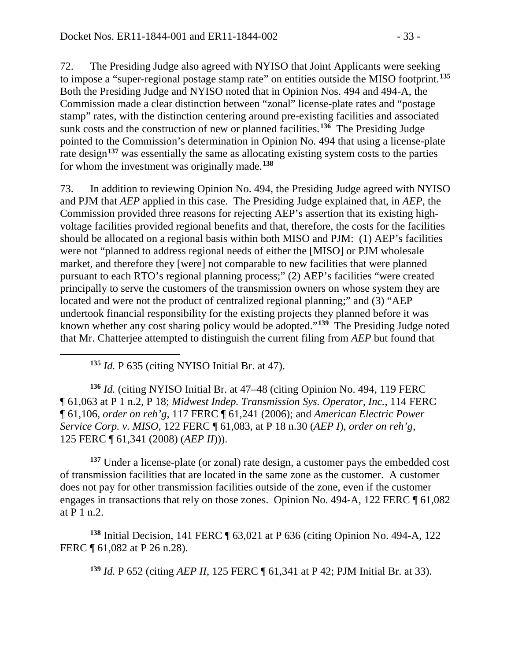72. The Presiding Judge also agreed with NYISO that Joint Applicants were seeking to impose a "super-regional postage stamp rate" on entities outside the MISO footprint.**[135](#page-32-0)** Both the Presiding Judge and NYISO noted that in Opinion Nos. 494 and 494-A, the Commission made a clear distinction between "zonal" license-plate rates and "postage stamp" rates, with the distinction centering around pre-existing facilities and associated sunk costs and the construction of new or planned facilities.**[136](#page-32-1)** The Presiding Judge pointed to the Commission's determination in Opinion No. 494 that using a license-plate rate design**[137](#page-32-2)** was essentially the same as allocating existing system costs to the parties for whom the investment was originally made.**[138](#page-32-3)**

73. In addition to reviewing Opinion No. 494, the Presiding Judge agreed with NYISO and PJM that *AEP* applied in this case. The Presiding Judge explained that, in *AEP*, the Commission provided three reasons for rejecting AEP's assertion that its existing highvoltage facilities provided regional benefits and that, therefore, the costs for the facilities should be allocated on a regional basis within both MISO and PJM: (1) AEP's facilities were not "planned to address regional needs of either the [MISO] or PJM wholesale market, and therefore they [were] not comparable to new facilities that were planned pursuant to each RTO's regional planning process;" (2) AEP's facilities "were created principally to serve the customers of the transmission owners on whose system they are located and were not the product of centralized regional planning;" and (3) "AEP undertook financial responsibility for the existing projects they planned before it was known whether any cost sharing policy would be adopted."**[139](#page-32-4)** The Presiding Judge noted that Mr. Chatterjee attempted to distinguish the current filing from *AEP* but found that

**<sup>135</sup>** *Id.* P 635 (citing NYISO Initial Br. at 47).

<span id="page-32-0"></span> $\overline{a}$ 

<span id="page-32-1"></span>**<sup>136</sup>** *Id.* (citing NYISO Initial Br. at 47–48 (citing Opinion No. 494, 119 FERC ¶ 61,063 at P 1 n.2, P 18; *Midwest Indep. Transmission Sys. Operator, Inc.*, 114 FERC ¶ 61,106, *order on reh'g*, 117 FERC ¶ 61,241 (2006); and *American Electric Power Service Corp. v. MISO*, 122 FERC ¶ 61,083, at P 18 n.30 (*AEP I*), *order on reh'g*, 125 FERC ¶ 61,341 (2008) (*AEP II*))).

<span id="page-32-2"></span>**<sup>137</sup>** Under a license-plate (or zonal) rate design, a customer pays the embedded cost of transmission facilities that are located in the same zone as the customer. A customer does not pay for other transmission facilities outside of the zone, even if the customer engages in transactions that rely on those zones. Opinion No. 494-A, 122 FERC ¶ 61,082 at P 1 n.2.

<span id="page-32-4"></span><span id="page-32-3"></span>**<sup>138</sup>** Initial Decision, 141 FERC ¶ 63,021 at P 636 (citing Opinion No. 494-A, 122 FERC ¶ 61,082 at P 26 n.28).

**<sup>139</sup>** *Id.* P 652 (citing *AEP II*, 125 FERC ¶ 61,341 at P 42; PJM Initial Br. at 33).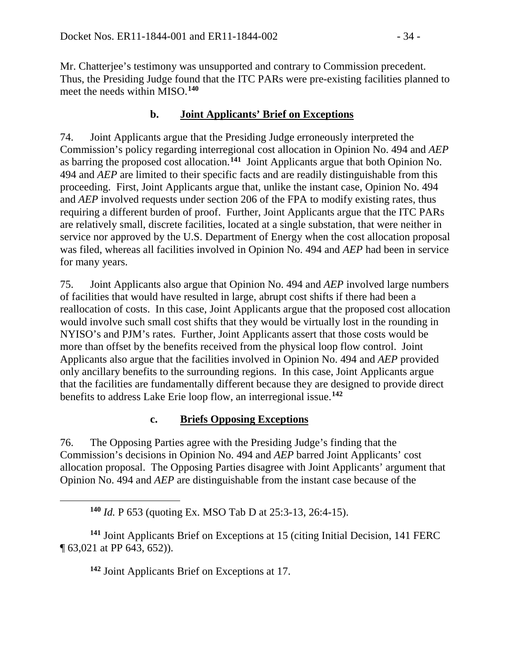Mr. Chatterjee's testimony was unsupported and contrary to Commission precedent. Thus, the Presiding Judge found that the ITC PARs were pre-existing facilities planned to meet the needs within MISO.**[140](#page-33-0)**

## **b. Joint Applicants' Brief on Exceptions**

74. Joint Applicants argue that the Presiding Judge erroneously interpreted the Commission's policy regarding interregional cost allocation in Opinion No. 494 and *AEP*  as barring the proposed cost allocation.**[141](#page-33-1)** Joint Applicants argue that both Opinion No. 494 and *AEP* are limited to their specific facts and are readily distinguishable from this proceeding. First, Joint Applicants argue that, unlike the instant case, Opinion No. 494 and *AEP* involved requests under section 206 of the FPA to modify existing rates, thus requiring a different burden of proof. Further, Joint Applicants argue that the ITC PARs are relatively small, discrete facilities, located at a single substation, that were neither in service nor approved by the U.S. Department of Energy when the cost allocation proposal was filed, whereas all facilities involved in Opinion No. 494 and *AEP* had been in service for many years.

75. Joint Applicants also argue that Opinion No. 494 and *AEP* involved large numbers of facilities that would have resulted in large, abrupt cost shifts if there had been a reallocation of costs. In this case, Joint Applicants argue that the proposed cost allocation would involve such small cost shifts that they would be virtually lost in the rounding in NYISO's and PJM's rates. Further, Joint Applicants assert that those costs would be more than offset by the benefits received from the physical loop flow control. Joint Applicants also argue that the facilities involved in Opinion No. 494 and *AEP* provided only ancillary benefits to the surrounding regions. In this case, Joint Applicants argue that the facilities are fundamentally different because they are designed to provide direct benefits to address Lake Erie loop flow, an interregional issue.**[142](#page-33-2)**

## **c. Briefs Opposing Exceptions**

76. The Opposing Parties agree with the Presiding Judge's finding that the Commission's decisions in Opinion No. 494 and *AEP* barred Joint Applicants' cost allocation proposal. The Opposing Parties disagree with Joint Applicants' argument that Opinion No. 494 and *AEP* are distinguishable from the instant case because of the

**<sup>140</sup>** *Id.* P 653 (quoting Ex. MSO Tab D at 25:3-13, 26:4-15).

<span id="page-33-2"></span><span id="page-33-1"></span>**<sup>141</sup>** Joint Applicants Brief on Exceptions at 15 (citing Initial Decision, 141 FERC ¶ 63,021 at PP 643, 652)).

**<sup>142</sup>** Joint Applicants Brief on Exceptions at 17.

<span id="page-33-0"></span> $\overline{a}$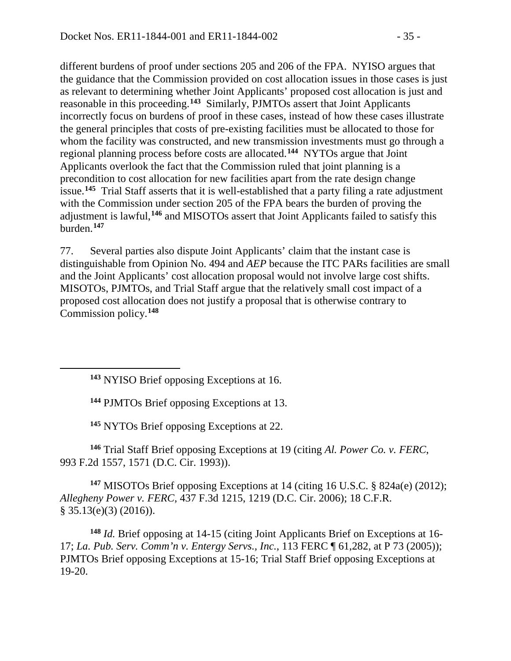different burdens of proof under sections 205 and 206 of the FPA. NYISO argues that the guidance that the Commission provided on cost allocation issues in those cases is just as relevant to determining whether Joint Applicants' proposed cost allocation is just and reasonable in this proceeding.**[143](#page-34-0)** Similarly, PJMTOs assert that Joint Applicants incorrectly focus on burdens of proof in these cases, instead of how these cases illustrate the general principles that costs of pre-existing facilities must be allocated to those for whom the facility was constructed, and new transmission investments must go through a regional planning process before costs are allocated.**[144](#page-34-1)** NYTOs argue that Joint Applicants overlook the fact that the Commission ruled that joint planning is a precondition to cost allocation for new facilities apart from the rate design change issue.**[145](#page-34-2)** Trial Staff asserts that it is well-established that a party filing a rate adjustment with the Commission under section 205 of the FPA bears the burden of proving the adjustment is lawful,**[146](#page-34-3)** and MISOTOs assert that Joint Applicants failed to satisfy this burden.**[147](#page-34-4)**

77. Several parties also dispute Joint Applicants' claim that the instant case is distinguishable from Opinion No. 494 and *AEP* because the ITC PARs facilities are small and the Joint Applicants' cost allocation proposal would not involve large cost shifts. MISOTOs, PJMTOs, and Trial Staff argue that the relatively small cost impact of a proposed cost allocation does not justify a proposal that is otherwise contrary to Commission policy.**[148](#page-34-5)**

**<sup>143</sup>** NYISO Brief opposing Exceptions at 16.

<span id="page-34-1"></span><span id="page-34-0"></span> $\overline{a}$ 

**<sup>144</sup>** PJMTOs Brief opposing Exceptions at 13.

**<sup>145</sup>** NYTOs Brief opposing Exceptions at 22.

<span id="page-34-3"></span><span id="page-34-2"></span>**<sup>146</sup>** Trial Staff Brief opposing Exceptions at 19 (citing *Al. Power Co. v. FERC*, 993 F.2d 1557, 1571 (D.C. Cir. 1993)).

<span id="page-34-4"></span>**<sup>147</sup>** MISOTOs Brief opposing Exceptions at 14 (citing 16 U.S.C. § 824a(e) (2012); *Allegheny Power v. FERC*, 437 F.3d 1215, 1219 (D.C. Cir. 2006); 18 C.F.R.  $§ 35.13(e)(3) (2016)$ .

<span id="page-34-5"></span>**<sup>148</sup>** *Id.* Brief opposing at 14-15 (citing Joint Applicants Brief on Exceptions at 16- 17; *La. Pub. Serv. Comm'n v. Entergy Servs., Inc.*, 113 FERC ¶ 61,282, at P 73 (2005)); PJMTOs Brief opposing Exceptions at 15-16; Trial Staff Brief opposing Exceptions at 19-20.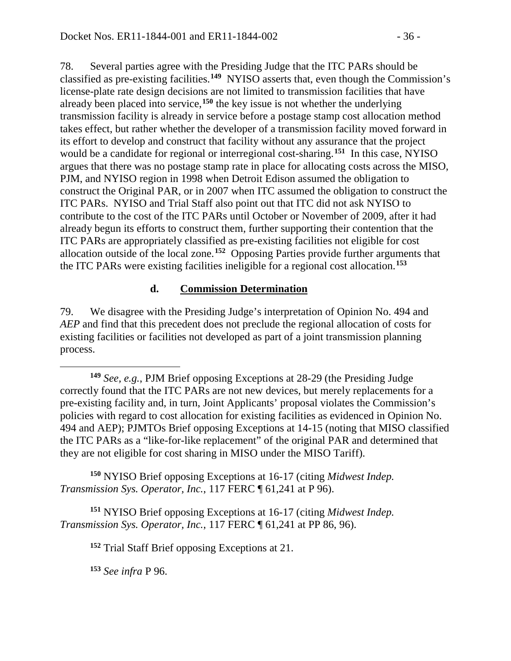78. Several parties agree with the Presiding Judge that the ITC PARs should be classified as pre-existing facilities.**[149](#page-35-0)** NYISO asserts that, even though the Commission's license-plate rate design decisions are not limited to transmission facilities that have already been placed into service,**[150](#page-35-1)** the key issue is not whether the underlying transmission facility is already in service before a postage stamp cost allocation method takes effect, but rather whether the developer of a transmission facility moved forward in its effort to develop and construct that facility without any assurance that the project would be a candidate for regional or interregional cost-sharing.**[151](#page-35-2)** In this case, NYISO argues that there was no postage stamp rate in place for allocating costs across the MISO, PJM, and NYISO region in 1998 when Detroit Edison assumed the obligation to construct the Original PAR, or in 2007 when ITC assumed the obligation to construct the ITC PARs. NYISO and Trial Staff also point out that ITC did not ask NYISO to contribute to the cost of the ITC PARs until October or November of 2009, after it had already begun its efforts to construct them, further supporting their contention that the ITC PARs are appropriately classified as pre-existing facilities not eligible for cost allocation outside of the local zone. **[152](#page-35-3)** Opposing Parties provide further arguments that the ITC PARs were existing facilities ineligible for a regional cost allocation.**[153](#page-35-4)**

#### **d. Commission Determination**

79. We disagree with the Presiding Judge's interpretation of Opinion No. 494 and *AEP* and find that this precedent does not preclude the regional allocation of costs for existing facilities or facilities not developed as part of a joint transmission planning process.

<span id="page-35-1"></span>**<sup>150</sup>** NYISO Brief opposing Exceptions at 16-17 (citing *Midwest Indep. Transmission Sys. Operator, Inc.*, 117 FERC ¶ 61,241 at P 96).

<span id="page-35-4"></span><span id="page-35-3"></span><span id="page-35-2"></span>**<sup>151</sup>** NYISO Brief opposing Exceptions at 16-17 (citing *Midwest Indep. Transmission Sys. Operator, Inc.*, 117 FERC ¶ 61,241 at PP 86, 96).

**<sup>152</sup>** Trial Staff Brief opposing Exceptions at 21.

**<sup>153</sup>** *See infra* P 96.

 $\overline{a}$ 

<span id="page-35-0"></span>**<sup>149</sup>** *See, e.g.*, PJM Brief opposing Exceptions at 28-29 (the Presiding Judge correctly found that the ITC PARs are not new devices, but merely replacements for a pre-existing facility and, in turn, Joint Applicants' proposal violates the Commission's policies with regard to cost allocation for existing facilities as evidenced in Opinion No. 494 and AEP); PJMTOs Brief opposing Exceptions at 14-15 (noting that MISO classified the ITC PARs as a "like-for-like replacement" of the original PAR and determined that they are not eligible for cost sharing in MISO under the MISO Tariff).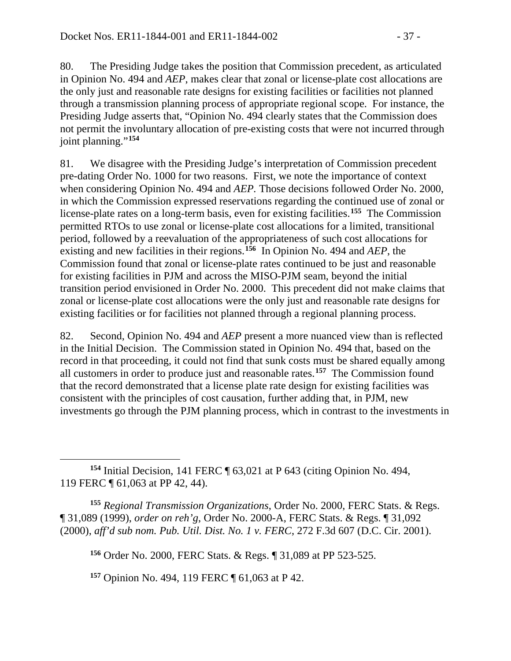80. The Presiding Judge takes the position that Commission precedent, as articulated in Opinion No. 494 and *AEP*, makes clear that zonal or license-plate cost allocations are the only just and reasonable rate designs for existing facilities or facilities not planned through a transmission planning process of appropriate regional scope. For instance, the Presiding Judge asserts that, "Opinion No. 494 clearly states that the Commission does not permit the involuntary allocation of pre-existing costs that were not incurred through joint planning."**[154](#page-36-0)**

81. We disagree with the Presiding Judge's interpretation of Commission precedent pre-dating Order No. 1000 for two reasons. First, we note the importance of context when considering Opinion No. 494 and *AEP.* Those decisions followed Order No. 2000, in which the Commission expressed reservations regarding the continued use of zonal or license-plate rates on a long-term basis, even for existing facilities.**[155](#page-36-1)** The Commission permitted RTOs to use zonal or license-plate cost allocations for a limited, transitional period, followed by a reevaluation of the appropriateness of such cost allocations for existing and new facilities in their regions.**[156](#page-36-2)** In Opinion No. 494 and *AEP*, the Commission found that zonal or license-plate rates continued to be just and reasonable for existing facilities in PJM and across the MISO-PJM seam, beyond the initial transition period envisioned in Order No. 2000. This precedent did not make claims that zonal or license-plate cost allocations were the only just and reasonable rate designs for existing facilities or for facilities not planned through a regional planning process.

82. Second, Opinion No. 494 and *AEP* present a more nuanced view than is reflected in the Initial Decision. The Commission stated in Opinion No. 494 that, based on the record in that proceeding, it could not find that sunk costs must be shared equally among all customers in order to produce just and reasonable rates.**[157](#page-36-3)** The Commission found that the record demonstrated that a license plate rate design for existing facilities was consistent with the principles of cost causation, further adding that, in PJM, new investments go through the PJM planning process, which in contrast to the investments in

<span id="page-36-0"></span> $\overline{a}$ **<sup>154</sup>** Initial Decision, 141 FERC ¶ 63,021 at P 643 (citing Opinion No. 494, 119 FERC ¶ 61,063 at PP 42, 44).

<span id="page-36-2"></span><span id="page-36-1"></span>**<sup>155</sup>** *Regional Transmission Organizations*, Order No. 2000, FERC Stats. & Regs. ¶ 31,089 (1999), *order on reh'g*, Order No. 2000-A, FERC Stats. & Regs. ¶ 31,092 (2000), *aff'd sub nom. Pub. Util. Dist. No. 1 v. FERC*, 272 F.3d 607 (D.C. Cir. 2001).

**<sup>156</sup>** Order No. 2000, FERC Stats. & Regs. ¶ 31,089 at PP 523-525.

<span id="page-36-3"></span>**<sup>157</sup>** Opinion No. 494, 119 FERC ¶ 61,063 at P 42.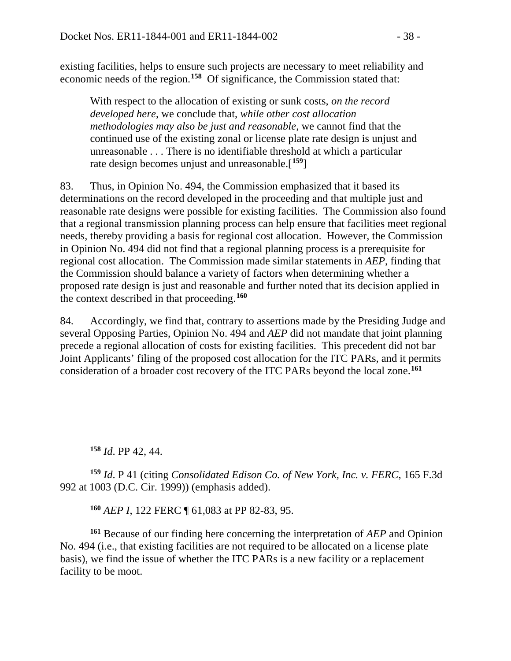existing facilities, helps to ensure such projects are necessary to meet reliability and economic needs of the region.**[158](#page-37-0)** Of significance, the Commission stated that:

With respect to the allocation of existing or sunk costs, *on the record developed here*, we conclude that, *while other cost allocation methodologies may also be just and reasonable*, we cannot find that the continued use of the existing zonal or license plate rate design is unjust and unreasonable . . . There is no identifiable threshold at which a particular rate design becomes unjust and unreasonable.[**[159](#page-37-1)**]

83. Thus, in Opinion No. 494, the Commission emphasized that it based its determinations on the record developed in the proceeding and that multiple just and reasonable rate designs were possible for existing facilities. The Commission also found that a regional transmission planning process can help ensure that facilities meet regional needs, thereby providing a basis for regional cost allocation. However, the Commission in Opinion No. 494 did not find that a regional planning process is a prerequisite for regional cost allocation. The Commission made similar statements in *AEP*, finding that the Commission should balance a variety of factors when determining whether a proposed rate design is just and reasonable and further noted that its decision applied in the context described in that proceeding.**[160](#page-37-2)**

84. Accordingly, we find that, contrary to assertions made by the Presiding Judge and several Opposing Parties, Opinion No. 494 and *AEP* did not mandate that joint planning precede a regional allocation of costs for existing facilities. This precedent did not bar Joint Applicants' filing of the proposed cost allocation for the ITC PARs, and it permits consideration of a broader cost recovery of the ITC PARs beyond the local zone.**[161](#page-37-3)**

**<sup>158</sup>** *Id*. PP 42, 44.

<span id="page-37-0"></span> $\overline{a}$ 

<span id="page-37-1"></span>**<sup>159</sup>** *Id*. P 41 (citing *Consolidated Edison Co. of New York, Inc. v. FERC*, 165 F.3d 992 at 1003 (D.C. Cir. 1999)) (emphasis added).

**<sup>160</sup>** *AEP I*, 122 FERC ¶ 61,083 at PP 82-83, 95.

<span id="page-37-3"></span><span id="page-37-2"></span>**<sup>161</sup>** Because of our finding here concerning the interpretation of *AEP* and Opinion No. 494 (i.e., that existing facilities are not required to be allocated on a license plate basis), we find the issue of whether the ITC PARs is a new facility or a replacement facility to be moot.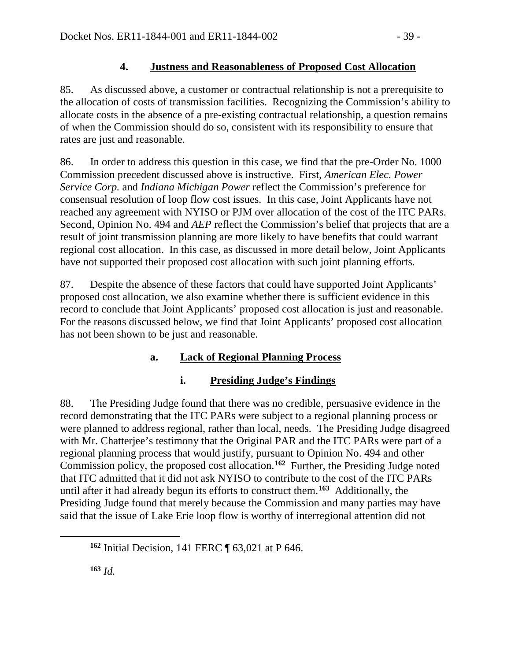## **4. Justness and Reasonableness of Proposed Cost Allocation**

85. As discussed above, a customer or contractual relationship is not a prerequisite to the allocation of costs of transmission facilities. Recognizing the Commission's ability to allocate costs in the absence of a pre-existing contractual relationship, a question remains of when the Commission should do so, consistent with its responsibility to ensure that rates are just and reasonable.

86. In order to address this question in this case, we find that the pre-Order No. 1000 Commission precedent discussed above is instructive. First, *American Elec. Power Service Corp.* and *Indiana Michigan Power* reflect the Commission's preference for consensual resolution of loop flow cost issues. In this case, Joint Applicants have not reached any agreement with NYISO or PJM over allocation of the cost of the ITC PARs. Second, Opinion No. 494 and *AEP* reflect the Commission's belief that projects that are a result of joint transmission planning are more likely to have benefits that could warrant regional cost allocation. In this case, as discussed in more detail below, Joint Applicants have not supported their proposed cost allocation with such joint planning efforts.

87. Despite the absence of these factors that could have supported Joint Applicants' proposed cost allocation, we also examine whether there is sufficient evidence in this record to conclude that Joint Applicants' proposed cost allocation is just and reasonable. For the reasons discussed below, we find that Joint Applicants' proposed cost allocation has not been shown to be just and reasonable.

# **a. Lack of Regional Planning Process**

## **i. Presiding Judge's Findings**

88. The Presiding Judge found that there was no credible, persuasive evidence in the record demonstrating that the ITC PARs were subject to a regional planning process or were planned to address regional, rather than local, needs. The Presiding Judge disagreed with Mr. Chatterjee's testimony that the Original PAR and the ITC PARs were part of a regional planning process that would justify, pursuant to Opinion No. 494 and other Commission policy, the proposed cost allocation.**[162](#page-38-0)** Further, the Presiding Judge noted that ITC admitted that it did not ask NYISO to contribute to the cost of the ITC PARs until after it had already begun its efforts to construct them.**[163](#page-38-1)** Additionally, the Presiding Judge found that merely because the Commission and many parties may have said that the issue of Lake Erie loop flow is worthy of interregional attention did not

<span id="page-38-1"></span><span id="page-38-0"></span> $\overline{a}$ 

**<sup>162</sup>** Initial Decision, 141 FERC ¶ 63,021 at P 646.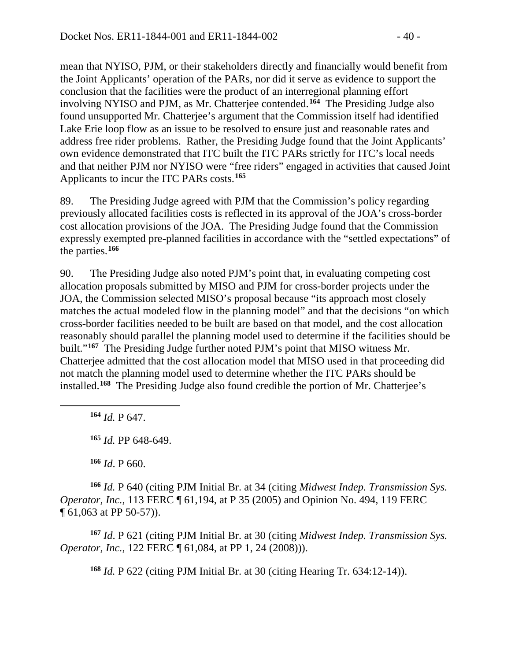mean that NYISO, PJM, or their stakeholders directly and financially would benefit from the Joint Applicants' operation of the PARs, nor did it serve as evidence to support the conclusion that the facilities were the product of an interregional planning effort involving NYISO and PJM, as Mr. Chatterjee contended.**[164](#page-39-0)** The Presiding Judge also found unsupported Mr. Chatterjee's argument that the Commission itself had identified Lake Erie loop flow as an issue to be resolved to ensure just and reasonable rates and address free rider problems. Rather, the Presiding Judge found that the Joint Applicants' own evidence demonstrated that ITC built the ITC PARs strictly for ITC's local needs and that neither PJM nor NYISO were "free riders" engaged in activities that caused Joint Applicants to incur the ITC PARs costs.**[165](#page-39-1)**

89. The Presiding Judge agreed with PJM that the Commission's policy regarding previously allocated facilities costs is reflected in its approval of the JOA's cross-border cost allocation provisions of the JOA. The Presiding Judge found that the Commission expressly exempted pre-planned facilities in accordance with the "settled expectations" of the parties.**[166](#page-39-2)**

90. The Presiding Judge also noted PJM's point that, in evaluating competing cost allocation proposals submitted by MISO and PJM for cross-border projects under the JOA, the Commission selected MISO's proposal because "its approach most closely matches the actual modeled flow in the planning model" and that the decisions "on which cross-border facilities needed to be built are based on that model, and the cost allocation reasonably should parallel the planning model used to determine if the facilities should be built."**[167](#page-39-3)** The Presiding Judge further noted PJM's point that MISO witness Mr. Chatterjee admitted that the cost allocation model that MISO used in that proceeding did not match the planning model used to determine whether the ITC PARs should be installed.**[168](#page-39-4)** The Presiding Judge also found credible the portion of Mr. Chatterjee's

**<sup>164</sup>** *Id.* P 647.

<span id="page-39-1"></span><span id="page-39-0"></span> $\overline{a}$ 

**<sup>165</sup>** *Id.* PP 648-649.

**<sup>166</sup>** *Id*. P 660.

<span id="page-39-2"></span>**<sup>166</sup>** *Id.* P 640 (citing PJM Initial Br. at 34 (citing *Midwest Indep. Transmission Sys. Operator, Inc.*, 113 FERC ¶ 61,194, at P 35 (2005) and Opinion No. 494, 119 FERC ¶ 61,063 at PP 50-57)).

<span id="page-39-4"></span><span id="page-39-3"></span>**<sup>167</sup>** *Id*. P 621 (citing PJM Initial Br. at 30 (citing *Midwest Indep. Transmission Sys. Operator, Inc.*, 122 FERC ¶ 61,084, at PP 1, 24 (2008))).

**<sup>168</sup>** *Id.* P 622 (citing PJM Initial Br. at 30 (citing Hearing Tr. 634:12-14)).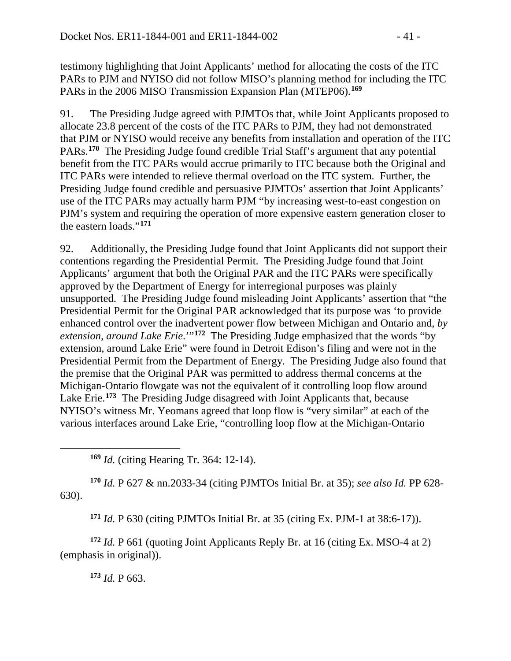testimony highlighting that Joint Applicants' method for allocating the costs of the ITC PARs to PJM and NYISO did not follow MISO's planning method for including the ITC PARs in the 2006 MISO Transmission Expansion Plan (MTEP06).**[169](#page-40-0)**

91. The Presiding Judge agreed with PJMTOs that, while Joint Applicants proposed to allocate 23.8 percent of the costs of the ITC PARs to PJM, they had not demonstrated that PJM or NYISO would receive any benefits from installation and operation of the ITC PARs.**[170](#page-40-1)** The Presiding Judge found credible Trial Staff's argument that any potential benefit from the ITC PARs would accrue primarily to ITC because both the Original and ITC PARs were intended to relieve thermal overload on the ITC system. Further, the Presiding Judge found credible and persuasive PJMTOs' assertion that Joint Applicants' use of the ITC PARs may actually harm PJM "by increasing west-to-east congestion on PJM's system and requiring the operation of more expensive eastern generation closer to the eastern loads."**[171](#page-40-2)**

92. Additionally, the Presiding Judge found that Joint Applicants did not support their contentions regarding the Presidential Permit. The Presiding Judge found that Joint Applicants' argument that both the Original PAR and the ITC PARs were specifically approved by the Department of Energy for interregional purposes was plainly unsupported. The Presiding Judge found misleading Joint Applicants' assertion that "the Presidential Permit for the Original PAR acknowledged that its purpose was 'to provide enhanced control over the inadvertent power flow between Michigan and Ontario and, *by extension, around Lake Erie*.'"**[172](#page-40-3)** The Presiding Judge emphasized that the words "by extension, around Lake Erie" were found in Detroit Edison's filing and were not in the Presidential Permit from the Department of Energy. The Presiding Judge also found that the premise that the Original PAR was permitted to address thermal concerns at the Michigan-Ontario flowgate was not the equivalent of it controlling loop flow around Lake Erie.**[173](#page-40-4)** The Presiding Judge disagreed with Joint Applicants that, because NYISO's witness Mr. Yeomans agreed that loop flow is "very similar" at each of the various interfaces around Lake Erie, "controlling loop flow at the Michigan-Ontario

**<sup>169</sup>** *Id.* (citing Hearing Tr. 364: 12-14).

<span id="page-40-1"></span>**<sup>170</sup>** *Id.* P 627 & nn.2033-34 (citing PJMTOs Initial Br. at 35); *see also Id.* PP 628- 630).

**<sup>171</sup>** *Id.* P 630 (citing PJMTOs Initial Br. at 35 (citing Ex. PJM-1 at 38:6-17)).

<span id="page-40-4"></span><span id="page-40-3"></span><span id="page-40-2"></span>**<sup>172</sup>** *Id.* P 661 (quoting Joint Applicants Reply Br. at 16 (citing Ex. MSO-4 at 2) (emphasis in original)).

**<sup>173</sup>** *Id.* P 663.

<span id="page-40-0"></span> $\overline{a}$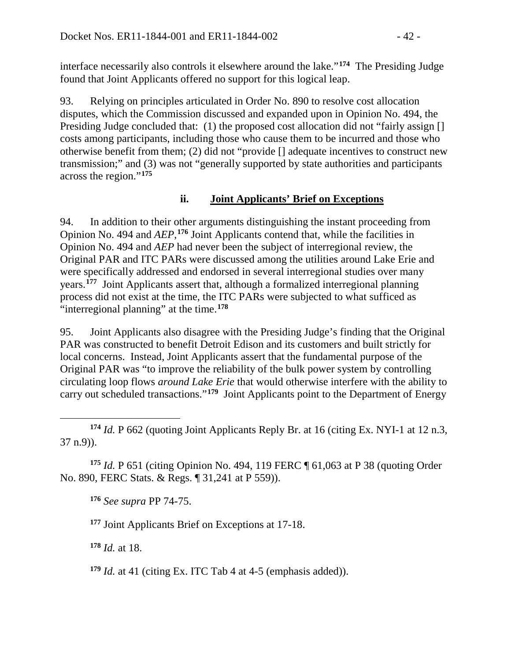interface necessarily also controls it elsewhere around the lake."**[174](#page-41-0)** The Presiding Judge found that Joint Applicants offered no support for this logical leap.

93. Relying on principles articulated in Order No. 890 to resolve cost allocation disputes, which the Commission discussed and expanded upon in Opinion No. 494, the Presiding Judge concluded that: (1) the proposed cost allocation did not "fairly assign [] costs among participants, including those who cause them to be incurred and those who otherwise benefit from them; (2) did not "provide [] adequate incentives to construct new transmission;" and (3) was not "generally supported by state authorities and participants across the region."**[175](#page-41-1)**

## **ii. Joint Applicants' Brief on Exceptions**

94. In addition to their other arguments distinguishing the instant proceeding from Opinion No. 494 and *AEP*, **[176](#page-41-2)** Joint Applicants contend that, while the facilities in Opinion No. 494 and *AEP* had never been the subject of interregional review, the Original PAR and ITC PARs were discussed among the utilities around Lake Erie and were specifically addressed and endorsed in several interregional studies over many years.**[177](#page-41-3)** Joint Applicants assert that, although a formalized interregional planning process did not exist at the time, the ITC PARs were subjected to what sufficed as "interregional planning" at the time.**[178](#page-41-4)**

95. Joint Applicants also disagree with the Presiding Judge's finding that the Original PAR was constructed to benefit Detroit Edison and its customers and built strictly for local concerns. Instead, Joint Applicants assert that the fundamental purpose of the Original PAR was "to improve the reliability of the bulk power system by controlling circulating loop flows *around Lake Erie* that would otherwise interfere with the ability to carry out scheduled transactions."**[179](#page-41-5)** Joint Applicants point to the Department of Energy

<span id="page-41-3"></span><span id="page-41-2"></span><span id="page-41-1"></span>**<sup>175</sup>** *Id.* P 651 (citing Opinion No. 494, 119 FERC ¶ 61,063 at P 38 (quoting Order No. 890, FERC Stats. & Regs. ¶ 31,241 at P 559)).

**<sup>176</sup>** *See supra* PP 74-75.

**<sup>177</sup>** Joint Applicants Brief on Exceptions at 17-18.

<span id="page-41-4"></span>**<sup>178</sup>** *Id.* at 18.

<span id="page-41-5"></span>**<sup>179</sup>** *Id.* at 41 (citing Ex. ITC Tab 4 at 4-5 (emphasis added)).

<span id="page-41-0"></span> $\overline{a}$ **<sup>174</sup>** *Id.* P 662 (quoting Joint Applicants Reply Br. at 16 (citing Ex. NYI-1 at 12 n.3, 37 n.9)).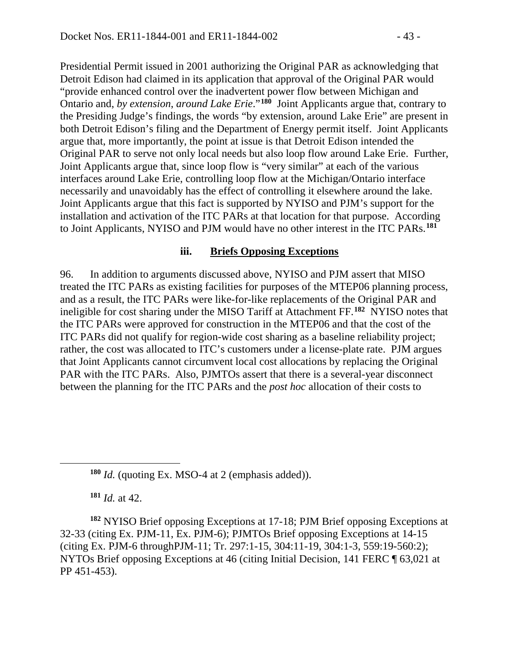Presidential Permit issued in 2001 authorizing the Original PAR as acknowledging that Detroit Edison had claimed in its application that approval of the Original PAR would "provide enhanced control over the inadvertent power flow between Michigan and Ontario and, *by extension*, *around Lake Erie*."**[180](#page-42-0)** Joint Applicants argue that, contrary to the Presiding Judge's findings, the words "by extension, around Lake Erie" are present in both Detroit Edison's filing and the Department of Energy permit itself. Joint Applicants argue that, more importantly, the point at issue is that Detroit Edison intended the Original PAR to serve not only local needs but also loop flow around Lake Erie. Further, Joint Applicants argue that, since loop flow is "very similar" at each of the various interfaces around Lake Erie, controlling loop flow at the Michigan/Ontario interface necessarily and unavoidably has the effect of controlling it elsewhere around the lake. Joint Applicants argue that this fact is supported by NYISO and PJM's support for the installation and activation of the ITC PARs at that location for that purpose. According to Joint Applicants, NYISO and PJM would have no other interest in the ITC PARs.**[181](#page-42-1)**

#### **iii. Briefs Opposing Exceptions**

96. In addition to arguments discussed above, NYISO and PJM assert that MISO treated the ITC PARs as existing facilities for purposes of the MTEP06 planning process, and as a result, the ITC PARs were like-for-like replacements of the Original PAR and ineligible for cost sharing under the MISO Tariff at Attachment FF.**[182](#page-42-2)** NYISO notes that the ITC PARs were approved for construction in the MTEP06 and that the cost of the ITC PARs did not qualify for region-wide cost sharing as a baseline reliability project; rather, the cost was allocated to ITC's customers under a license-plate rate. PJM argues that Joint Applicants cannot circumvent local cost allocations by replacing the Original PAR with the ITC PARs. Also, PJMTOs assert that there is a several-year disconnect between the planning for the ITC PARs and the *post hoc* allocation of their costs to

**<sup>180</sup>** *Id.* (quoting Ex. MSO-4 at 2 (emphasis added)).

**<sup>181</sup>** *Id.* at 42.

<span id="page-42-0"></span> $\overline{a}$ 

<span id="page-42-2"></span><span id="page-42-1"></span>**<sup>182</sup>** NYISO Brief opposing Exceptions at 17-18; PJM Brief opposing Exceptions at 32-33 (citing Ex. PJM-11, Ex. PJM-6); PJMTOs Brief opposing Exceptions at 14-15 (citing Ex. PJM-6 throughPJM-11; Tr. 297:1-15, 304:11-19, 304:1-3, 559:19-560:2); NYTOs Brief opposing Exceptions at 46 (citing Initial Decision, 141 FERC ¶ 63,021 at PP 451-453).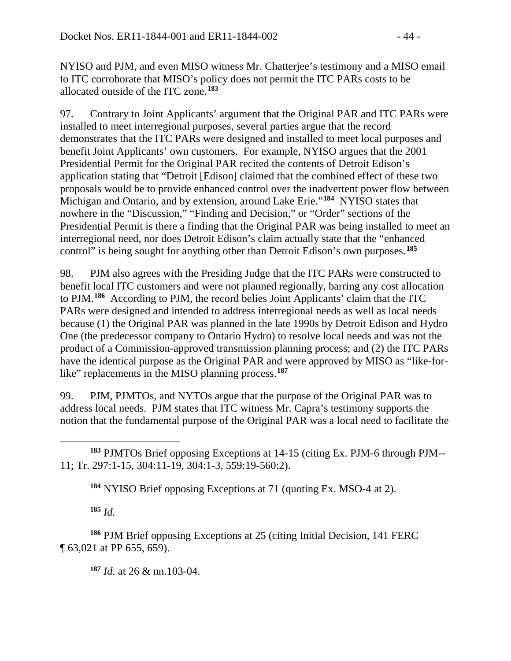NYISO and PJM, and even MISO witness Mr. Chatterjee's testimony and a MISO email to ITC corroborate that MISO's policy does not permit the ITC PARs costs to be allocated outside of the ITC zone.**[183](#page-43-0)**

97. Contrary to Joint Applicants' argument that the Original PAR and ITC PARs were installed to meet interregional purposes, several parties argue that the record demonstrates that the ITC PARs were designed and installed to meet local purposes and benefit Joint Applicants' own customers. For example, NYISO argues that the 2001 Presidential Permit for the Original PAR recited the contents of Detroit Edison's application stating that "Detroit [Edison] claimed that the combined effect of these two proposals would be to provide enhanced control over the inadvertent power flow between Michigan and Ontario, and by extension, around Lake Erie."**[184](#page-43-1)** NYISO states that nowhere in the "Discussion," "Finding and Decision," or "Order" sections of the Presidential Permit is there a finding that the Original PAR was being installed to meet an interregional need, nor does Detroit Edison's claim actually state that the "enhanced control" is being sought for anything other than Detroit Edison's own purposes.**[185](#page-43-2)**

98. PJM also agrees with the Presiding Judge that the ITC PARs were constructed to benefit local ITC customers and were not planned regionally, barring any cost allocation to PJM.**[186](#page-43-3)** According to PJM, the record belies Joint Applicants' claim that the ITC PARs were designed and intended to address interregional needs as well as local needs because (1) the Original PAR was planned in the late 1990s by Detroit Edison and Hydro One (the predecessor company to Ontario Hydro) to resolve local needs and was not the product of a Commission-approved transmission planning process; and (2) the ITC PARs have the identical purpose as the Original PAR and were approved by MISO as "like-for-like" replacements in the MISO planning process.<sup>[187](#page-43-4)</sup>

99. PJM, PJMTOs, and NYTOs argue that the purpose of the Original PAR was to address local needs. PJM states that ITC witness Mr. Capra's testimony supports the notion that the fundamental purpose of the Original PAR was a local need to facilitate the

**<sup>184</sup>** NYISO Brief opposing Exceptions at 71 (quoting Ex. MSO-4 at 2).

**<sup>185</sup>** *Id.*

<span id="page-43-4"></span><span id="page-43-3"></span><span id="page-43-2"></span><span id="page-43-1"></span>**<sup>186</sup>** PJM Brief opposing Exceptions at 25 (citing Initial Decision, 141 FERC ¶ 63,021 at PP 655, 659).

**<sup>187</sup>** *Id.* at 26 & nn.103-04.

<span id="page-43-0"></span> $\overline{a}$ **<sup>183</sup>** PJMTOs Brief opposing Exceptions at 14-15 (citing Ex. PJM-6 through PJM-- 11; Tr. 297:1-15, 304:11-19, 304:1-3, 559:19-560:2).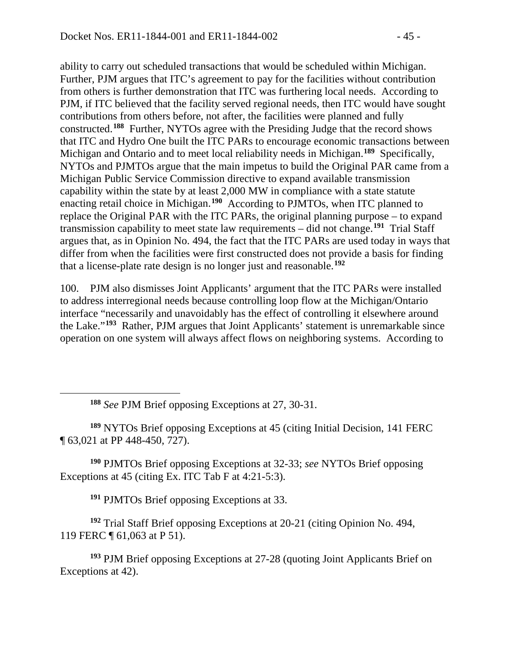ability to carry out scheduled transactions that would be scheduled within Michigan. Further, PJM argues that ITC's agreement to pay for the facilities without contribution from others is further demonstration that ITC was furthering local needs. According to PJM, if ITC believed that the facility served regional needs, then ITC would have sought contributions from others before, not after, the facilities were planned and fully constructed.**[188](#page-44-0)** Further, NYTOs agree with the Presiding Judge that the record shows that ITC and Hydro One built the ITC PARs to encourage economic transactions between Michigan and Ontario and to meet local reliability needs in Michigan.**[189](#page-44-1)** Specifically, NYTOs and PJMTOs argue that the main impetus to build the Original PAR came from a Michigan Public Service Commission directive to expand available transmission capability within the state by at least 2,000 MW in compliance with a state statute enacting retail choice in Michigan.**[190](#page-44-2)** According to PJMTOs, when ITC planned to replace the Original PAR with the ITC PARs, the original planning purpose – to expand transmission capability to meet state law requirements – did not change.**[191](#page-44-3)** Trial Staff argues that, as in Opinion No. 494, the fact that the ITC PARs are used today in ways that differ from when the facilities were first constructed does not provide a basis for finding that a license-plate rate design is no longer just and reasonable.**[192](#page-44-4)**

100. PJM also dismisses Joint Applicants' argument that the ITC PARs were installed to address interregional needs because controlling loop flow at the Michigan/Ontario interface "necessarily and unavoidably has the effect of controlling it elsewhere around the Lake."**[193](#page-44-5)** Rather, PJM argues that Joint Applicants' statement is unremarkable since operation on one system will always affect flows on neighboring systems. According to

**<sup>188</sup>** *See* PJM Brief opposing Exceptions at 27, 30-31.

<span id="page-44-0"></span> $\overline{a}$ 

<span id="page-44-1"></span>**<sup>189</sup>** NYTOs Brief opposing Exceptions at 45 (citing Initial Decision, 141 FERC ¶ 63,021 at PP 448-450, 727).

<span id="page-44-2"></span>**<sup>190</sup>** PJMTOs Brief opposing Exceptions at 32-33; *see* NYTOs Brief opposing Exceptions at 45 (citing Ex. ITC Tab F at 4:21-5:3).

**<sup>191</sup>** PJMTOs Brief opposing Exceptions at 33.

<span id="page-44-4"></span><span id="page-44-3"></span>**<sup>192</sup>** Trial Staff Brief opposing Exceptions at 20-21 (citing Opinion No. 494, 119 FERC ¶ 61,063 at P 51).

<span id="page-44-5"></span>**<sup>193</sup>** PJM Brief opposing Exceptions at 27-28 (quoting Joint Applicants Brief on Exceptions at 42).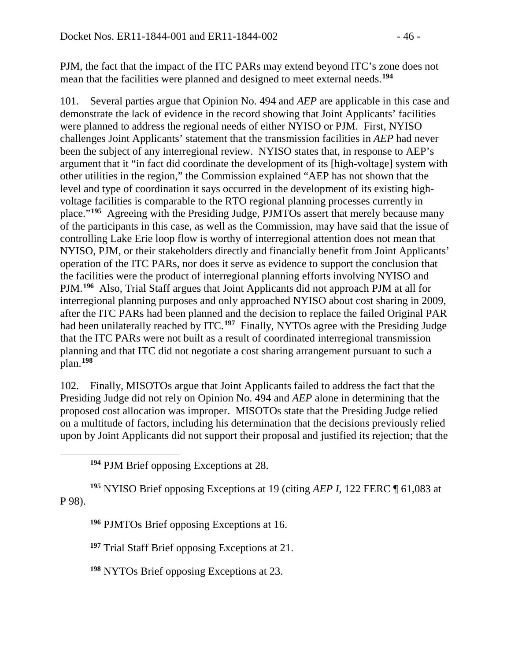PJM, the fact that the impact of the ITC PARs may extend beyond ITC's zone does not mean that the facilities were planned and designed to meet external needs.**[194](#page-45-0)**

101. Several parties argue that Opinion No. 494 and *AEP* are applicable in this case and demonstrate the lack of evidence in the record showing that Joint Applicants' facilities were planned to address the regional needs of either NYISO or PJM. First, NYISO challenges Joint Applicants' statement that the transmission facilities in *AEP* had never been the subject of any interregional review. NYISO states that, in response to AEP's argument that it "in fact did coordinate the development of its [high-voltage] system with other utilities in the region," the Commission explained "AEP has not shown that the level and type of coordination it says occurred in the development of its existing highvoltage facilities is comparable to the RTO regional planning processes currently in place."**[195](#page-45-1)** Agreeing with the Presiding Judge, PJMTOs assert that merely because many of the participants in this case, as well as the Commission, may have said that the issue of controlling Lake Erie loop flow is worthy of interregional attention does not mean that NYISO, PJM, or their stakeholders directly and financially benefit from Joint Applicants' operation of the ITC PARs, nor does it serve as evidence to support the conclusion that the facilities were the product of interregional planning efforts involving NYISO and PJM.**[196](#page-45-2)** Also, Trial Staff argues that Joint Applicants did not approach PJM at all for interregional planning purposes and only approached NYISO about cost sharing in 2009, after the ITC PARs had been planned and the decision to replace the failed Original PAR had been unilaterally reached by ITC.**[197](#page-45-3)** Finally, NYTOs agree with the Presiding Judge that the ITC PARs were not built as a result of coordinated interregional transmission planning and that ITC did not negotiate a cost sharing arrangement pursuant to such a plan.**[198](#page-45-4)**

102. Finally, MISOTOs argue that Joint Applicants failed to address the fact that the Presiding Judge did not rely on Opinion No. 494 and *AEP* alone in determining that the proposed cost allocation was improper. MISOTOs state that the Presiding Judge relied on a multitude of factors, including his determination that the decisions previously relied upon by Joint Applicants did not support their proposal and justified its rejection; that the

**<sup>194</sup>** PJM Brief opposing Exceptions at 28.

<span id="page-45-0"></span> $\overline{a}$ 

<span id="page-45-3"></span><span id="page-45-2"></span><span id="page-45-1"></span>**<sup>195</sup>** NYISO Brief opposing Exceptions at 19 (citing *AEP I*, 122 FERC ¶ 61,083 at P 98).

**<sup>196</sup>** PJMTOs Brief opposing Exceptions at 16.

**<sup>197</sup>** Trial Staff Brief opposing Exceptions at 21.

<span id="page-45-4"></span>**<sup>198</sup>** NYTOs Brief opposing Exceptions at 23.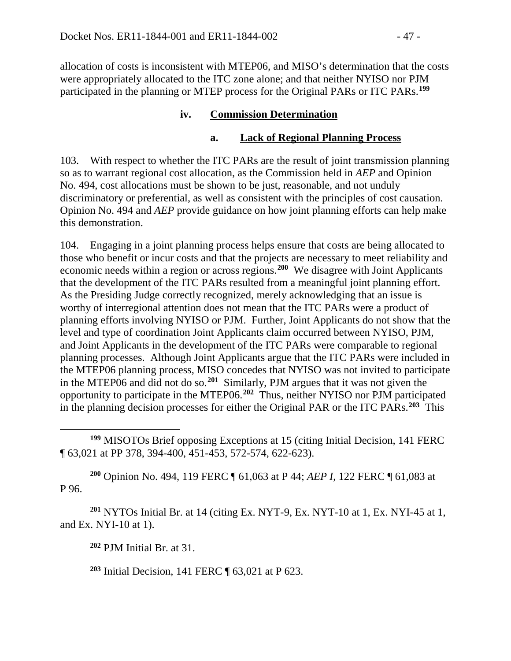allocation of costs is inconsistent with MTEP06, and MISO's determination that the costs were appropriately allocated to the ITC zone alone; and that neither NYISO nor PJM participated in the planning or MTEP process for the Original PARs or ITC PARs.**[199](#page-46-0)**

### **iv. Commission Determination**

### **a. Lack of Regional Planning Process**

103. With respect to whether the ITC PARs are the result of joint transmission planning so as to warrant regional cost allocation, as the Commission held in *AEP* and Opinion No. 494, cost allocations must be shown to be just, reasonable, and not unduly discriminatory or preferential, as well as consistent with the principles of cost causation. Opinion No. 494 and *AEP* provide guidance on how joint planning efforts can help make this demonstration.

104. Engaging in a joint planning process helps ensure that costs are being allocated to those who benefit or incur costs and that the projects are necessary to meet reliability and economic needs within a region or across regions.**[200](#page-46-1)** We disagree with Joint Applicants that the development of the ITC PARs resulted from a meaningful joint planning effort. As the Presiding Judge correctly recognized, merely acknowledging that an issue is worthy of interregional attention does not mean that the ITC PARs were a product of planning efforts involving NYISO or PJM. Further, Joint Applicants do not show that the level and type of coordination Joint Applicants claim occurred between NYISO, PJM, and Joint Applicants in the development of the ITC PARs were comparable to regional planning processes. Although Joint Applicants argue that the ITC PARs were included in the MTEP06 planning process, MISO concedes that NYISO was not invited to participate in the MTEP06 and did not do so.**[201](#page-46-2)** Similarly, PJM argues that it was not given the opportunity to participate in the MTEP06.**[202](#page-46-3)** Thus, neither NYISO nor PJM participated in the planning decision processes for either the Original PAR or the ITC PARs.**[203](#page-46-4)** This

<span id="page-46-0"></span> $\overline{a}$ **<sup>199</sup>** MISOTOs Brief opposing Exceptions at 15 (citing Initial Decision, 141 FERC ¶ 63,021 at PP 378, 394-400, 451-453, 572-574, 622-623).

<span id="page-46-1"></span>**<sup>200</sup>** Opinion No. 494, 119 FERC ¶ 61,063 at P 44; *AEP I*, 122 FERC ¶ 61,083 at P 96.

<span id="page-46-4"></span><span id="page-46-3"></span><span id="page-46-2"></span>**<sup>201</sup>** NYTOs Initial Br. at 14 (citing Ex. NYT-9, Ex. NYT-10 at 1, Ex. NYI-45 at 1, and Ex. NYI-10 at 1).

**<sup>202</sup>** PJM Initial Br. at 31.

**<sup>203</sup>** Initial Decision, 141 FERC ¶ 63,021 at P 623.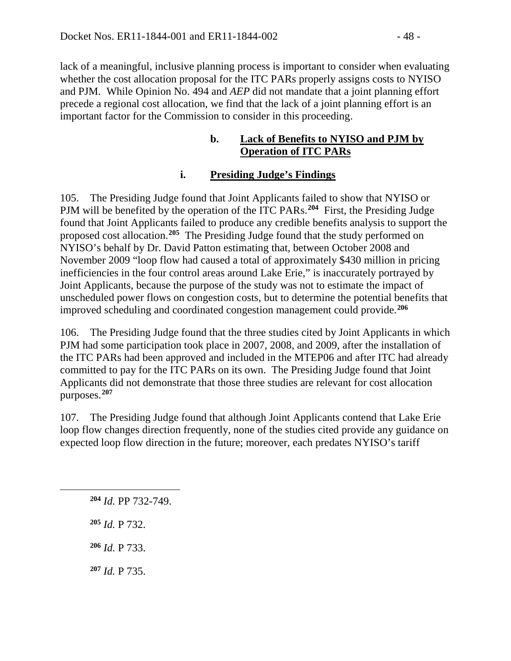lack of a meaningful, inclusive planning process is important to consider when evaluating whether the cost allocation proposal for the ITC PARs properly assigns costs to NYISO and PJM. While Opinion No. 494 and *AEP* did not mandate that a joint planning effort precede a regional cost allocation, we find that the lack of a joint planning effort is an important factor for the Commission to consider in this proceeding.

#### **b. Lack of Benefits to NYISO and PJM by Operation of ITC PARs**

### **i. Presiding Judge's Findings**

105. The Presiding Judge found that Joint Applicants failed to show that NYISO or PJM will be benefited by the operation of the ITC PARs.**[204](#page-47-0)** First, the Presiding Judge found that Joint Applicants failed to produce any credible benefits analysis to support the proposed cost allocation.**[205](#page-47-1)** The Presiding Judge found that the study performed on NYISO's behalf by Dr. David Patton estimating that, between October 2008 and November 2009 "loop flow had caused a total of approximately \$430 million in pricing inefficiencies in the four control areas around Lake Erie," is inaccurately portrayed by Joint Applicants, because the purpose of the study was not to estimate the impact of unscheduled power flows on congestion costs, but to determine the potential benefits that improved scheduling and coordinated congestion management could provide.**[206](#page-47-2)**

106. The Presiding Judge found that the three studies cited by Joint Applicants in which PJM had some participation took place in 2007, 2008, and 2009, after the installation of the ITC PARs had been approved and included in the MTEP06 and after ITC had already committed to pay for the ITC PARs on its own. The Presiding Judge found that Joint Applicants did not demonstrate that those three studies are relevant for cost allocation purposes.**[207](#page-47-3)**

107. The Presiding Judge found that although Joint Applicants contend that Lake Erie loop flow changes direction frequently, none of the studies cited provide any guidance on expected loop flow direction in the future; moreover, each predates NYISO's tariff

**<sup>204</sup>** *Id.* PP 732-749.

**<sup>205</sup>** *Id.* P 732.

<span id="page-47-2"></span><span id="page-47-1"></span><span id="page-47-0"></span> $\overline{a}$ 

**<sup>206</sup>** *Id.* P 733.

<span id="page-47-3"></span>**<sup>207</sup>** *Id.* P 735.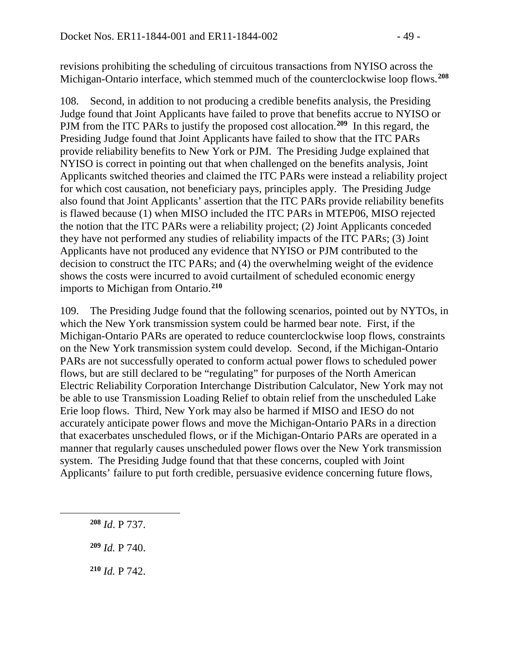revisions prohibiting the scheduling of circuitous transactions from NYISO across the Michigan-Ontario interface, which stemmed much of the counterclockwise loop flows.**[208](#page-48-0)**

108. Second, in addition to not producing a credible benefits analysis, the Presiding Judge found that Joint Applicants have failed to prove that benefits accrue to NYISO or PJM from the ITC PARs to justify the proposed cost allocation.<sup>[209](#page-48-1)</sup> In this regard, the Presiding Judge found that Joint Applicants have failed to show that the ITC PARs provide reliability benefits to New York or PJM. The Presiding Judge explained that NYISO is correct in pointing out that when challenged on the benefits analysis, Joint Applicants switched theories and claimed the ITC PARs were instead a reliability project for which cost causation, not beneficiary pays, principles apply. The Presiding Judge also found that Joint Applicants' assertion that the ITC PARs provide reliability benefits is flawed because (1) when MISO included the ITC PARs in MTEP06, MISO rejected the notion that the ITC PARs were a reliability project; (2) Joint Applicants conceded they have not performed any studies of reliability impacts of the ITC PARs; (3) Joint Applicants have not produced any evidence that NYISO or PJM contributed to the decision to construct the ITC PARs; and (4) the overwhelming weight of the evidence shows the costs were incurred to avoid curtailment of scheduled economic energy imports to Michigan from Ontario.**[210](#page-48-2)**

109. The Presiding Judge found that the following scenarios, pointed out by NYTOs, in which the New York transmission system could be harmed bear note. First, if the Michigan-Ontario PARs are operated to reduce counterclockwise loop flows, constraints on the New York transmission system could develop. Second, if the Michigan-Ontario PARs are not successfully operated to conform actual power flows to scheduled power flows, but are still declared to be "regulating" for purposes of the North American Electric Reliability Corporation Interchange Distribution Calculator, New York may not be able to use Transmission Loading Relief to obtain relief from the unscheduled Lake Erie loop flows. Third, New York may also be harmed if MISO and IESO do not accurately anticipate power flows and move the Michigan-Ontario PARs in a direction that exacerbates unscheduled flows, or if the Michigan-Ontario PARs are operated in a manner that regularly causes unscheduled power flows over the New York transmission system. The Presiding Judge found that that these concerns, coupled with Joint Applicants' failure to put forth credible, persuasive evidence concerning future flows,

**<sup>208</sup>** *Id*. P 737.

<span id="page-48-2"></span><span id="page-48-1"></span><span id="page-48-0"></span> $\overline{a}$ 

**<sup>209</sup>** *Id.* P 740.

**<sup>210</sup>** *Id.* P 742.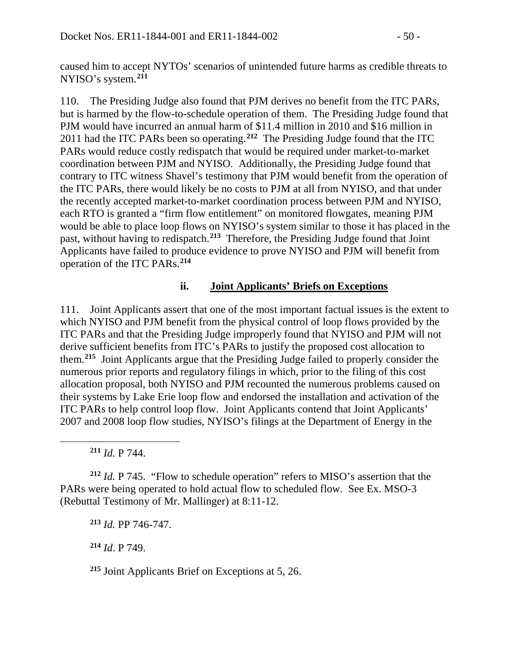caused him to accept NYTOs' scenarios of unintended future harms as credible threats to NYISO's system.**[211](#page-49-0)**

110. The Presiding Judge also found that PJM derives no benefit from the ITC PARs, but is harmed by the flow-to-schedule operation of them. The Presiding Judge found that PJM would have incurred an annual harm of \$11.4 million in 2010 and \$16 million in 2011 had the ITC PARs been so operating.**[212](#page-49-1)** The Presiding Judge found that the ITC PARs would reduce costly redispatch that would be required under market-to-market coordination between PJM and NYISO. Additionally, the Presiding Judge found that contrary to ITC witness Shavel's testimony that PJM would benefit from the operation of the ITC PARs, there would likely be no costs to PJM at all from NYISO, and that under the recently accepted market-to-market coordination process between PJM and NYISO, each RTO is granted a "firm flow entitlement" on monitored flowgates, meaning PJM would be able to place loop flows on NYISO's system similar to those it has placed in the past, without having to redispatch.**[213](#page-49-2)** Therefore, the Presiding Judge found that Joint Applicants have failed to produce evidence to prove NYISO and PJM will benefit from operation of the ITC PARs.**[214](#page-49-3)**

#### **ii. Joint Applicants' Briefs on Exceptions**

111. Joint Applicants assert that one of the most important factual issues is the extent to which NYISO and PJM benefit from the physical control of loop flows provided by the ITC PARs and that the Presiding Judge improperly found that NYISO and PJM will not derive sufficient benefits from ITC's PARs to justify the proposed cost allocation to them.**[215](#page-49-4)** Joint Applicants argue that the Presiding Judge failed to properly consider the numerous prior reports and regulatory filings in which, prior to the filing of this cost allocation proposal, both NYISO and PJM recounted the numerous problems caused on their systems by Lake Erie loop flow and endorsed the installation and activation of the ITC PARs to help control loop flow. Joint Applicants contend that Joint Applicants' 2007 and 2008 loop flow studies, NYISO's filings at the Department of Energy in the

**<sup>211</sup>** *Id.* P 744.

<span id="page-49-0"></span> $\overline{a}$ 

<span id="page-49-2"></span><span id="page-49-1"></span>**<sup>212</sup>** *Id.* P 745. "Flow to schedule operation" refers to MISO's assertion that the PARs were being operated to hold actual flow to scheduled flow. See Ex. MSO-3 (Rebuttal Testimony of Mr. Mallinger) at 8:11-12.

**<sup>213</sup>** *Id.* PP 746-747.

<span id="page-49-3"></span>**<sup>214</sup>** *Id*. P 749.

<span id="page-49-4"></span>**<sup>215</sup>** Joint Applicants Brief on Exceptions at 5, 26.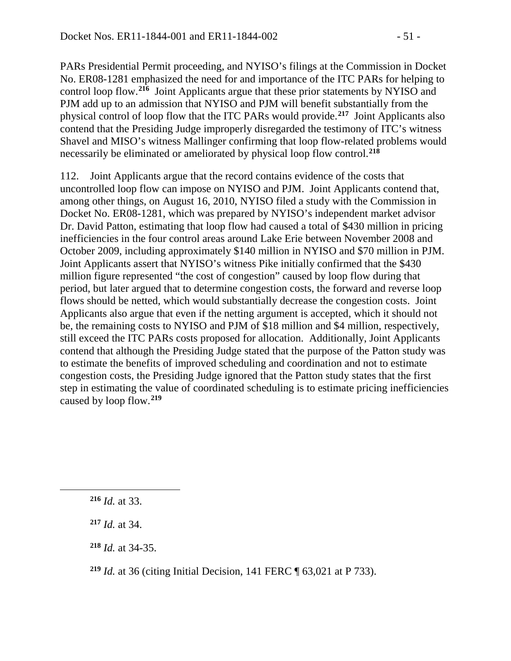PARs Presidential Permit proceeding, and NYISO's filings at the Commission in Docket No. ER08-1281 emphasized the need for and importance of the ITC PARs for helping to control loop flow.**[216](#page-50-0)** Joint Applicants argue that these prior statements by NYISO and PJM add up to an admission that NYISO and PJM will benefit substantially from the physical control of loop flow that the ITC PARs would provide.**[217](#page-50-1)** Joint Applicants also contend that the Presiding Judge improperly disregarded the testimony of ITC's witness Shavel and MISO's witness Mallinger confirming that loop flow-related problems would necessarily be eliminated or ameliorated by physical loop flow control.**[218](#page-50-2)**

112. Joint Applicants argue that the record contains evidence of the costs that uncontrolled loop flow can impose on NYISO and PJM. Joint Applicants contend that, among other things, on August 16, 2010, NYISO filed a study with the Commission in Docket No. ER08-1281, which was prepared by NYISO's independent market advisor Dr. David Patton, estimating that loop flow had caused a total of \$430 million in pricing inefficiencies in the four control areas around Lake Erie between November 2008 and October 2009, including approximately \$140 million in NYISO and \$70 million in PJM. Joint Applicants assert that NYISO's witness Pike initially confirmed that the \$430 million figure represented "the cost of congestion" caused by loop flow during that period, but later argued that to determine congestion costs, the forward and reverse loop flows should be netted, which would substantially decrease the congestion costs. Joint Applicants also argue that even if the netting argument is accepted, which it should not be, the remaining costs to NYISO and PJM of \$18 million and \$4 million, respectively, still exceed the ITC PARs costs proposed for allocation. Additionally, Joint Applicants contend that although the Presiding Judge stated that the purpose of the Patton study was to estimate the benefits of improved scheduling and coordination and not to estimate congestion costs, the Presiding Judge ignored that the Patton study states that the first step in estimating the value of coordinated scheduling is to estimate pricing inefficiencies caused by loop flow.**[219](#page-50-3)**

<span id="page-50-2"></span><span id="page-50-1"></span><span id="page-50-0"></span> $\overline{a}$ 

**<sup>218</sup>** *Id.* at 34-35.

**<sup>216</sup>** *Id.* at 33.

**<sup>217</sup>** *Id.* at 34.

<span id="page-50-3"></span>**<sup>219</sup>** *Id.* at 36 (citing Initial Decision, 141 FERC ¶ 63,021 at P 733).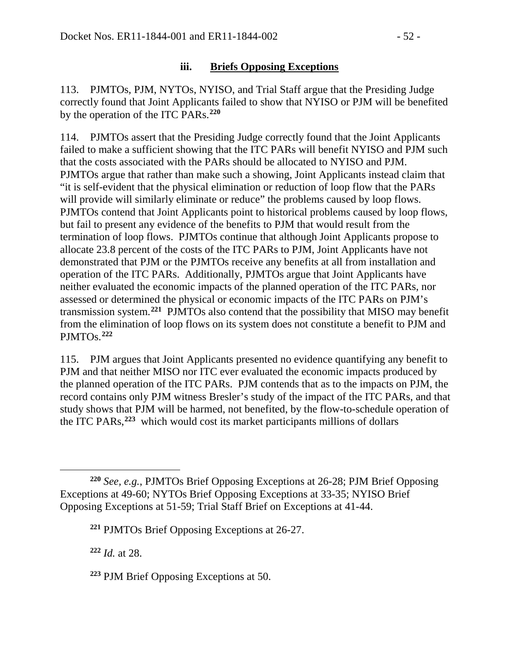#### **iii. Briefs Opposing Exceptions**

113. PJMTOs, PJM, NYTOs, NYISO, and Trial Staff argue that the Presiding Judge correctly found that Joint Applicants failed to show that NYISO or PJM will be benefited by the operation of the ITC PARs.**[220](#page-51-0)**

114. PJMTOs assert that the Presiding Judge correctly found that the Joint Applicants failed to make a sufficient showing that the ITC PARs will benefit NYISO and PJM such that the costs associated with the PARs should be allocated to NYISO and PJM. PJMTOs argue that rather than make such a showing, Joint Applicants instead claim that "it is self-evident that the physical elimination or reduction of loop flow that the PARs will provide will similarly eliminate or reduce" the problems caused by loop flows. PJMTOs contend that Joint Applicants point to historical problems caused by loop flows, but fail to present any evidence of the benefits to PJM that would result from the termination of loop flows. PJMTOs continue that although Joint Applicants propose to allocate 23.8 percent of the costs of the ITC PARs to PJM, Joint Applicants have not demonstrated that PJM or the PJMTOs receive any benefits at all from installation and operation of the ITC PARs. Additionally, PJMTOs argue that Joint Applicants have neither evaluated the economic impacts of the planned operation of the ITC PARs, nor assessed or determined the physical or economic impacts of the ITC PARs on PJM's transmission system.**[221](#page-51-1)** PJMTOs also contend that the possibility that MISO may benefit from the elimination of loop flows on its system does not constitute a benefit to PJM and PJMTOs.**[222](#page-51-2)**

115. PJM argues that Joint Applicants presented no evidence quantifying any benefit to PJM and that neither MISO nor ITC ever evaluated the economic impacts produced by the planned operation of the ITC PARs. PJM contends that as to the impacts on PJM, the record contains only PJM witness Bresler's study of the impact of the ITC PARs, and that study shows that PJM will be harmed, not benefited, by the flow-to-schedule operation of the ITC PARs, **[223](#page-51-3)** which would cost its market participants millions of dollars

<span id="page-51-2"></span>**<sup>222</sup>** *Id.* at 28.

 $\overline{a}$ 

<span id="page-51-3"></span>**<sup>223</sup>** PJM Brief Opposing Exceptions at 50.

<span id="page-51-1"></span><span id="page-51-0"></span>**<sup>220</sup>** *See, e.g.*, PJMTOs Brief Opposing Exceptions at 26-28; PJM Brief Opposing Exceptions at 49-60; NYTOs Brief Opposing Exceptions at 33-35; NYISO Brief Opposing Exceptions at 51-59; Trial Staff Brief on Exceptions at 41-44.

**<sup>221</sup>** PJMTOs Brief Opposing Exceptions at 26-27.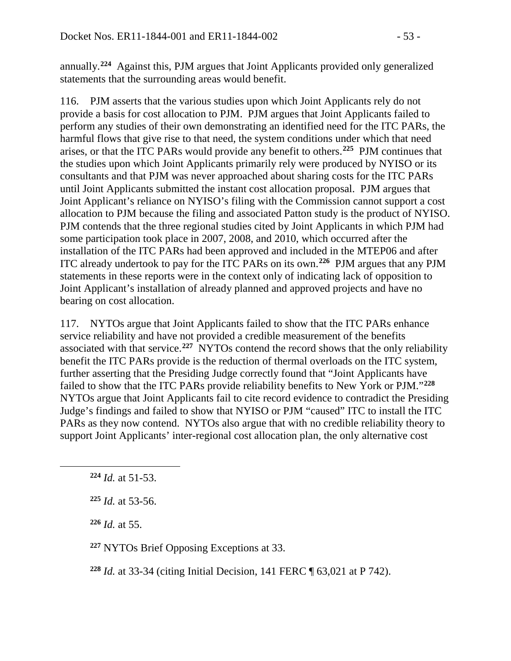annually.**[224](#page-52-0)** Against this, PJM argues that Joint Applicants provided only generalized statements that the surrounding areas would benefit.

116. PJM asserts that the various studies upon which Joint Applicants rely do not provide a basis for cost allocation to PJM. PJM argues that Joint Applicants failed to perform any studies of their own demonstrating an identified need for the ITC PARs, the harmful flows that give rise to that need, the system conditions under which that need arises, or that the ITC PARs would provide any benefit to others.**[225](#page-52-1)** PJM continues that the studies upon which Joint Applicants primarily rely were produced by NYISO or its consultants and that PJM was never approached about sharing costs for the ITC PARs until Joint Applicants submitted the instant cost allocation proposal. PJM argues that Joint Applicant's reliance on NYISO's filing with the Commission cannot support a cost allocation to PJM because the filing and associated Patton study is the product of NYISO. PJM contends that the three regional studies cited by Joint Applicants in which PJM had some participation took place in 2007, 2008, and 2010, which occurred after the installation of the ITC PARs had been approved and included in the MTEP06 and after ITC already undertook to pay for the ITC PARs on its own.**[226](#page-52-2)** PJM argues that any PJM statements in these reports were in the context only of indicating lack of opposition to Joint Applicant's installation of already planned and approved projects and have no bearing on cost allocation.

117. NYTOs argue that Joint Applicants failed to show that the ITC PARs enhance service reliability and have not provided a credible measurement of the benefits associated with that service.**[227](#page-52-3)** NYTOs contend the record shows that the only reliability benefit the ITC PARs provide is the reduction of thermal overloads on the ITC system, further asserting that the Presiding Judge correctly found that "Joint Applicants have failed to show that the ITC PARs provide reliability benefits to New York or PJM."**[228](#page-52-4)** NYTOs argue that Joint Applicants fail to cite record evidence to contradict the Presiding Judge's findings and failed to show that NYISO or PJM "caused" ITC to install the ITC PARs as they now contend. NYTOs also argue that with no credible reliability theory to support Joint Applicants' inter-regional cost allocation plan, the only alternative cost

<span id="page-52-2"></span><span id="page-52-1"></span><span id="page-52-0"></span> $\overline{a}$ 

**<sup>226</sup>** *Id.* at 55.

<span id="page-52-3"></span>**<sup>227</sup>** NYTOs Brief Opposing Exceptions at 33.

<span id="page-52-4"></span>**<sup>228</sup>** *Id.* at 33-34 (citing Initial Decision, 141 FERC ¶ 63,021 at P 742).

**<sup>224</sup>** *Id.* at 51-53.

**<sup>225</sup>** *Id.* at 53-56.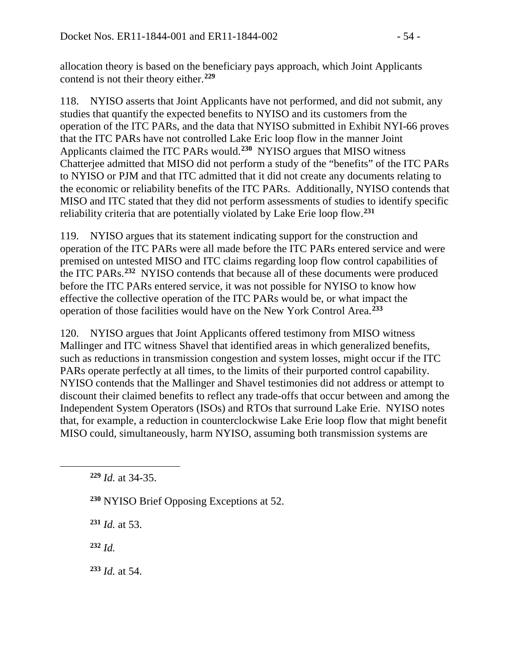allocation theory is based on the beneficiary pays approach, which Joint Applicants contend is not their theory either.**[229](#page-53-0)**

118. NYISO asserts that Joint Applicants have not performed, and did not submit, any studies that quantify the expected benefits to NYISO and its customers from the operation of the ITC PARs, and the data that NYISO submitted in Exhibit NYI-66 proves that the ITC PARs have not controlled Lake Eric loop flow in the manner Joint Applicants claimed the ITC PARs would.**[230](#page-53-1)** NYISO argues that MISO witness Chatterjee admitted that MISO did not perform a study of the "benefits" of the ITC PARs to NYISO or PJM and that ITC admitted that it did not create any documents relating to the economic or reliability benefits of the ITC PARs. Additionally, NYISO contends that MISO and ITC stated that they did not perform assessments of studies to identify specific reliability criteria that are potentially violated by Lake Erie loop flow.**[231](#page-53-2)**

119. NYISO argues that its statement indicating support for the construction and operation of the ITC PARs were all made before the ITC PARs entered service and were premised on untested MISO and ITC claims regarding loop flow control capabilities of the ITC PARs.**[232](#page-53-3)** NYISO contends that because all of these documents were produced before the ITC PARs entered service, it was not possible for NYISO to know how effective the collective operation of the ITC PARs would be, or what impact the operation of those facilities would have on the New York Control Area.**[233](#page-53-4)**

120. NYISO argues that Joint Applicants offered testimony from MISO witness Mallinger and ITC witness Shavel that identified areas in which generalized benefits, such as reductions in transmission congestion and system losses, might occur if the ITC PARs operate perfectly at all times, to the limits of their purported control capability. NYISO contends that the Mallinger and Shavel testimonies did not address or attempt to discount their claimed benefits to reflect any trade-offs that occur between and among the Independent System Operators (ISOs) and RTOs that surround Lake Erie. NYISO notes that, for example, a reduction in counterclockwise Lake Erie loop flow that might benefit MISO could, simultaneously, harm NYISO, assuming both transmission systems are

- **<sup>230</sup>** NYISO Brief Opposing Exceptions at 52.
- **<sup>231</sup>** *Id.* at 53.
- <span id="page-53-3"></span>**<sup>232</sup>** *Id.*

<span id="page-53-2"></span><span id="page-53-1"></span><span id="page-53-0"></span> $\overline{a}$ 

<span id="page-53-4"></span>**<sup>233</sup>** *Id.* at 54.

**<sup>229</sup>** *Id.* at 34-35.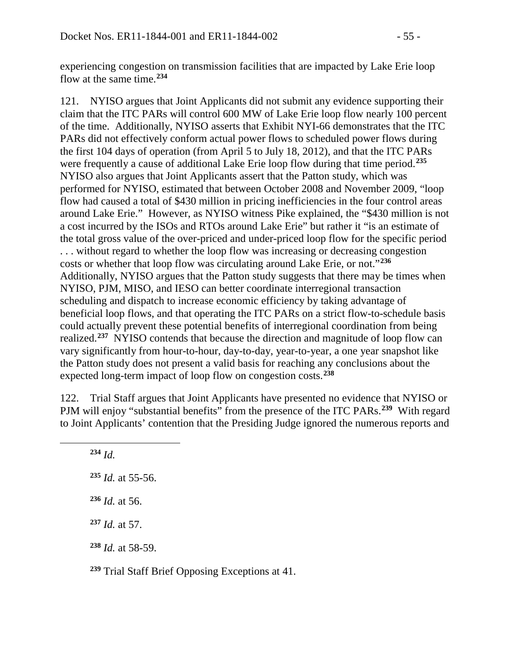experiencing congestion on transmission facilities that are impacted by Lake Erie loop flow at the same time.**[234](#page-54-0)**

121. NYISO argues that Joint Applicants did not submit any evidence supporting their claim that the ITC PARs will control 600 MW of Lake Erie loop flow nearly 100 percent of the time. Additionally, NYISO asserts that Exhibit NYI-66 demonstrates that the ITC PARs did not effectively conform actual power flows to scheduled power flows during the first 104 days of operation (from April 5 to July 18, 2012), and that the ITC PARs were frequently a cause of additional Lake Erie loop flow during that time period.**[235](#page-54-1)** NYISO also argues that Joint Applicants assert that the Patton study, which was performed for NYISO, estimated that between October 2008 and November 2009, "loop flow had caused a total of \$430 million in pricing inefficiencies in the four control areas around Lake Erie." However, as NYISO witness Pike explained, the "\$430 million is not a cost incurred by the ISOs and RTOs around Lake Erie" but rather it "is an estimate of the total gross value of the over-priced and under-priced loop flow for the specific period . . . without regard to whether the loop flow was increasing or decreasing congestion costs or whether that loop flow was circulating around Lake Erie, or not."**[236](#page-54-2)** Additionally, NYISO argues that the Patton study suggests that there may be times when NYISO, PJM, MISO, and IESO can better coordinate interregional transaction scheduling and dispatch to increase economic efficiency by taking advantage of beneficial loop flows, and that operating the ITC PARs on a strict flow-to-schedule basis could actually prevent these potential benefits of interregional coordination from being realized.**[237](#page-54-3)** NYISO contends that because the direction and magnitude of loop flow can vary significantly from hour-to-hour, day-to-day, year-to-year, a one year snapshot like the Patton study does not present a valid basis for reaching any conclusions about the expected long-term impact of loop flow on congestion costs.**[238](#page-54-4)**

122. Trial Staff argues that Joint Applicants have presented no evidence that NYISO or PJM will enjoy "substantial benefits" from the presence of the ITC PARs.**[239](#page-54-5)** With regard to Joint Applicants' contention that the Presiding Judge ignored the numerous reports and

**<sup>234</sup>** *Id. Id.* at 55-56. *Id.* at 56. *Id.* at 57. *Id.* at 58-59.

<span id="page-54-3"></span><span id="page-54-2"></span><span id="page-54-1"></span><span id="page-54-0"></span> $\overline{a}$ 

<span id="page-54-5"></span><span id="page-54-4"></span>**<sup>239</sup>** Trial Staff Brief Opposing Exceptions at 41.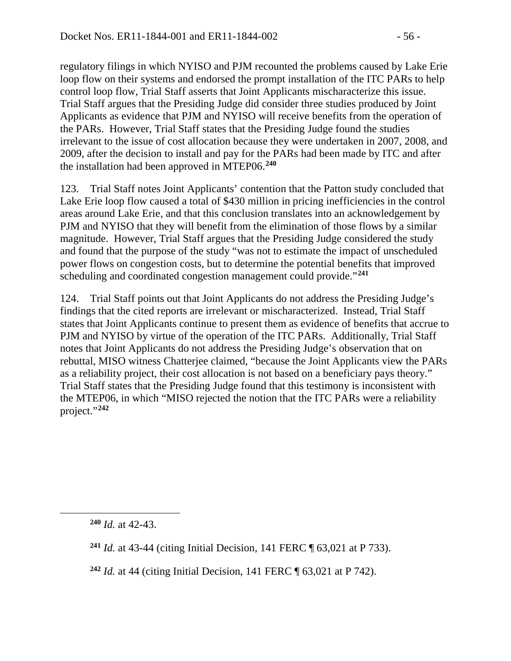regulatory filings in which NYISO and PJM recounted the problems caused by Lake Erie loop flow on their systems and endorsed the prompt installation of the ITC PARs to help control loop flow, Trial Staff asserts that Joint Applicants mischaracterize this issue. Trial Staff argues that the Presiding Judge did consider three studies produced by Joint Applicants as evidence that PJM and NYISO will receive benefits from the operation of the PARs. However, Trial Staff states that the Presiding Judge found the studies irrelevant to the issue of cost allocation because they were undertaken in 2007, 2008, and 2009, after the decision to install and pay for the PARs had been made by ITC and after the installation had been approved in MTEP06.**[240](#page-55-0)**

123. Trial Staff notes Joint Applicants' contention that the Patton study concluded that Lake Erie loop flow caused a total of \$430 million in pricing inefficiencies in the control areas around Lake Erie, and that this conclusion translates into an acknowledgement by PJM and NYISO that they will benefit from the elimination of those flows by a similar magnitude. However, Trial Staff argues that the Presiding Judge considered the study and found that the purpose of the study "was not to estimate the impact of unscheduled power flows on congestion costs, but to determine the potential benefits that improved scheduling and coordinated congestion management could provide."**[241](#page-55-1)**

124. Trial Staff points out that Joint Applicants do not address the Presiding Judge's findings that the cited reports are irrelevant or mischaracterized. Instead, Trial Staff states that Joint Applicants continue to present them as evidence of benefits that accrue to PJM and NYISO by virtue of the operation of the ITC PARs. Additionally, Trial Staff notes that Joint Applicants do not address the Presiding Judge's observation that on rebuttal, MISO witness Chatterjee claimed, "because the Joint Applicants view the PARs as a reliability project, their cost allocation is not based on a beneficiary pays theory." Trial Staff states that the Presiding Judge found that this testimony is inconsistent with the MTEP06, in which "MISO rejected the notion that the ITC PARs were a reliability project."**[242](#page-55-2)**

<span id="page-55-2"></span><span id="page-55-1"></span><span id="page-55-0"></span> $\overline{a}$ 

**<sup>240</sup>** *Id.* at 42-43.

**<sup>241</sup>** *Id.* at 43-44 (citing Initial Decision, 141 FERC ¶ 63,021 at P 733).

**<sup>242</sup>** *Id.* at 44 (citing Initial Decision, 141 FERC ¶ 63,021 at P 742).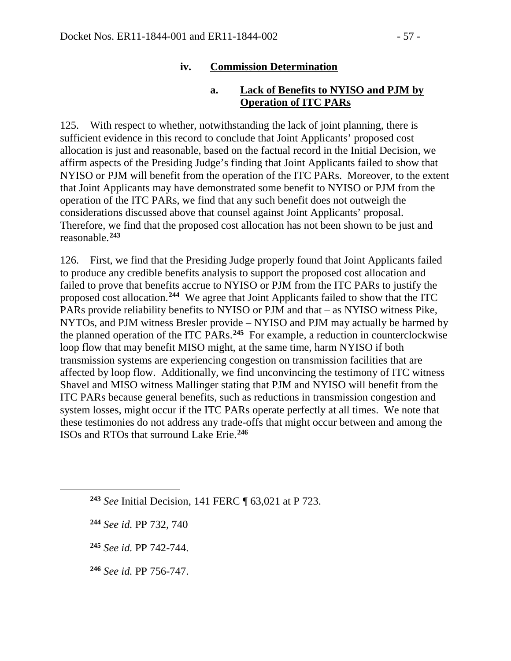#### **iv. Commission Determination**

#### **a. Lack of Benefits to NYISO and PJM by Operation of ITC PARs**

125. With respect to whether, notwithstanding the lack of joint planning, there is sufficient evidence in this record to conclude that Joint Applicants' proposed cost allocation is just and reasonable, based on the factual record in the Initial Decision, we affirm aspects of the Presiding Judge's finding that Joint Applicants failed to show that NYISO or PJM will benefit from the operation of the ITC PARs. Moreover, to the extent that Joint Applicants may have demonstrated some benefit to NYISO or PJM from the operation of the ITC PARs, we find that any such benefit does not outweigh the considerations discussed above that counsel against Joint Applicants' proposal. Therefore, we find that the proposed cost allocation has not been shown to be just and reasonable.**[243](#page-56-0)**

126. First, we find that the Presiding Judge properly found that Joint Applicants failed to produce any credible benefits analysis to support the proposed cost allocation and failed to prove that benefits accrue to NYISO or PJM from the ITC PARs to justify the proposed cost allocation.**[244](#page-56-1)** We agree that Joint Applicants failed to show that the ITC PARs provide reliability benefits to NYISO or PJM and that – as NYISO witness Pike, NYTOs, and PJM witness Bresler provide – NYISO and PJM may actually be harmed by the planned operation of the ITC PARs.**[245](#page-56-2)** For example, a reduction in counterclockwise loop flow that may benefit MISO might, at the same time, harm NYISO if both transmission systems are experiencing congestion on transmission facilities that are affected by loop flow. Additionally, we find unconvincing the testimony of ITC witness Shavel and MISO witness Mallinger stating that PJM and NYISO will benefit from the ITC PARs because general benefits, such as reductions in transmission congestion and system losses, might occur if the ITC PARs operate perfectly at all times. We note that these testimonies do not address any trade-offs that might occur between and among the ISOs and RTOs that surround Lake Erie.**[246](#page-56-3)**

<span id="page-56-2"></span><span id="page-56-1"></span><span id="page-56-0"></span> $\overline{a}$ 

**<sup>243</sup>** *See* Initial Decision, 141 FERC ¶ 63,021 at P 723.

**<sup>244</sup>** *See id.* PP 732, 740

**<sup>245</sup>** *See id.* PP 742-744.

<span id="page-56-3"></span>**<sup>246</sup>** *See id.* PP 756-747.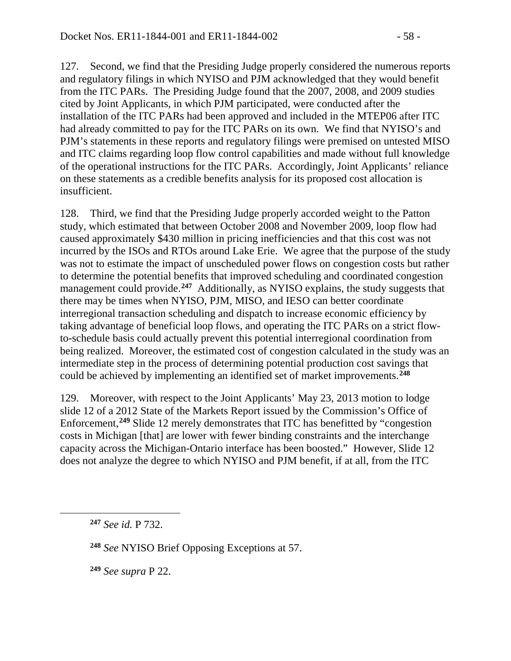127. Second, we find that the Presiding Judge properly considered the numerous reports and regulatory filings in which NYISO and PJM acknowledged that they would benefit from the ITC PARs. The Presiding Judge found that the 2007, 2008, and 2009 studies cited by Joint Applicants, in which PJM participated, were conducted after the installation of the ITC PARs had been approved and included in the MTEP06 after ITC had already committed to pay for the ITC PARs on its own. We find that NYISO's and PJM's statements in these reports and regulatory filings were premised on untested MISO and ITC claims regarding loop flow control capabilities and made without full knowledge of the operational instructions for the ITC PARs. Accordingly, Joint Applicants' reliance on these statements as a credible benefits analysis for its proposed cost allocation is insufficient.

128. Third, we find that the Presiding Judge properly accorded weight to the Patton study, which estimated that between October 2008 and November 2009, loop flow had caused approximately \$430 million in pricing inefficiencies and that this cost was not incurred by the ISOs and RTOs around Lake Erie. We agree that the purpose of the study was not to estimate the impact of unscheduled power flows on congestion costs but rather to determine the potential benefits that improved scheduling and coordinated congestion management could provide.<sup>[247](#page-57-0)</sup> Additionally, as NYISO explains, the study suggests that there may be times when NYISO, PJM, MISO, and IESO can better coordinate interregional transaction scheduling and dispatch to increase economic efficiency by taking advantage of beneficial loop flows, and operating the ITC PARs on a strict flowto-schedule basis could actually prevent this potential interregional coordination from being realized. Moreover, the estimated cost of congestion calculated in the study was an intermediate step in the process of determining potential production cost savings that could be achieved by implementing an identified set of market improvements.**[248](#page-57-1)**

129. Moreover, with respect to the Joint Applicants' May 23, 2013 motion to lodge slide 12 of a 2012 State of the Markets Report issued by the Commission's Office of Enforcement, **[249](#page-57-2)** Slide 12 merely demonstrates that ITC has benefitted by "congestion costs in Michigan [that] are lower with fewer binding constraints and the interchange capacity across the Michigan-Ontario interface has been boosted." However, Slide 12 does not analyze the degree to which NYISO and PJM benefit, if at all, from the ITC

<span id="page-57-2"></span><span id="page-57-1"></span><span id="page-57-0"></span> $\overline{a}$ 

**<sup>249</sup>** *See supra* P 22.

**<sup>247</sup>** *See id.* P 732.

**<sup>248</sup>** *See* NYISO Brief Opposing Exceptions at 57.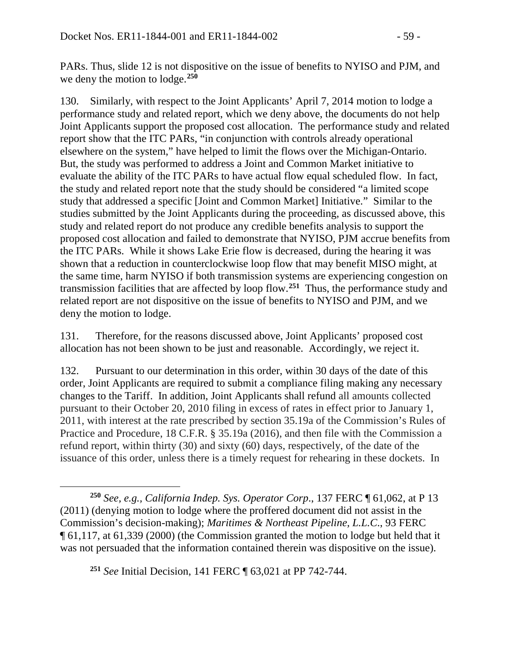PARs. Thus, slide 12 is not dispositive on the issue of benefits to NYISO and PJM, and we deny the motion to lodge.**[250](#page-58-0)**

130. Similarly, with respect to the Joint Applicants' April 7, 2014 motion to lodge a performance study and related report, which we deny above, the documents do not help Joint Applicants support the proposed cost allocation. The performance study and related report show that the ITC PARs, "in conjunction with controls already operational elsewhere on the system," have helped to limit the flows over the Michigan-Ontario. But, the study was performed to address a Joint and Common Market initiative to evaluate the ability of the ITC PARs to have actual flow equal scheduled flow. In fact, the study and related report note that the study should be considered "a limited scope study that addressed a specific [Joint and Common Market] Initiative." Similar to the studies submitted by the Joint Applicants during the proceeding, as discussed above, this study and related report do not produce any credible benefits analysis to support the proposed cost allocation and failed to demonstrate that NYISO, PJM accrue benefits from the ITC PARs. While it shows Lake Erie flow is decreased, during the hearing it was shown that a reduction in counterclockwise loop flow that may benefit MISO might, at the same time, harm NYISO if both transmission systems are experiencing congestion on transmission facilities that are affected by loop flow.**[251](#page-58-1)** Thus, the performance study and related report are not dispositive on the issue of benefits to NYISO and PJM, and we deny the motion to lodge.

131. Therefore, for the reasons discussed above, Joint Applicants' proposed cost allocation has not been shown to be just and reasonable. Accordingly, we reject it.

132. Pursuant to our determination in this order, within 30 days of the date of this order, Joint Applicants are required to submit a compliance filing making any necessary changes to the Tariff. In addition, Joint Applicants shall refund all amounts collected pursuant to their October 20, 2010 filing in excess of rates in effect prior to January 1, 2011, with interest at the rate prescribed by section 35.19a of the Commission's Rules of Practice and Procedure, 18 C.F.R. § 35.19a (2016), and then file with the Commission a refund report, within thirty (30) and sixty (60) days, respectively, of the date of the issuance of this order, unless there is a timely request for rehearing in these dockets. In

<span id="page-58-1"></span>**<sup>251</sup>** *See* Initial Decision, 141 FERC ¶ 63,021 at PP 742-744.

 $\overline{a}$ 

<span id="page-58-0"></span>**<sup>250</sup>** *See, e.g., California Indep. Sys. Operator Corp*., 137 FERC ¶ 61,062, at P 13 (2011) (denying motion to lodge where the proffered document did not assist in the Commission's decision-making); *Maritimes & Northeast Pipeline, L.L.C*., 93 FERC ¶ 61,117, at 61,339 (2000) (the Commission granted the motion to lodge but held that it was not persuaded that the information contained therein was dispositive on the issue).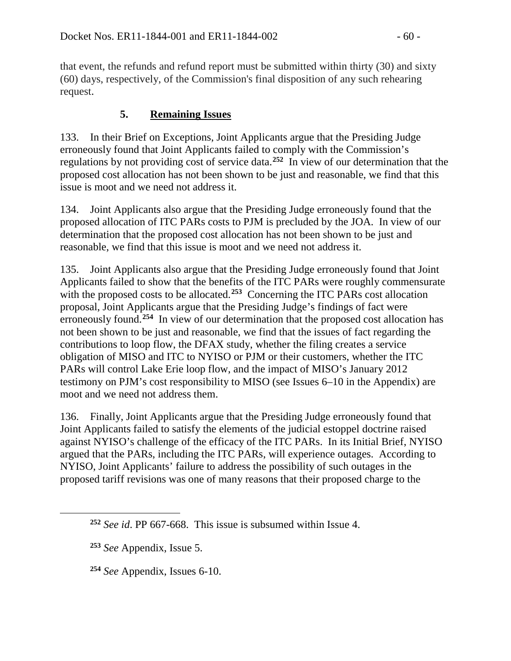that event, the refunds and refund report must be submitted within thirty (30) and sixty (60) days, respectively, of the Commission's final disposition of any such rehearing request.

## **5. Remaining Issues**

133. In their Brief on Exceptions, Joint Applicants argue that the Presiding Judge erroneously found that Joint Applicants failed to comply with the Commission's regulations by not providing cost of service data.**[252](#page-59-0)** In view of our determination that the proposed cost allocation has not been shown to be just and reasonable, we find that this issue is moot and we need not address it.

134. Joint Applicants also argue that the Presiding Judge erroneously found that the proposed allocation of ITC PARs costs to PJM is precluded by the JOA. In view of our determination that the proposed cost allocation has not been shown to be just and reasonable, we find that this issue is moot and we need not address it.

135. Joint Applicants also argue that the Presiding Judge erroneously found that Joint Applicants failed to show that the benefits of the ITC PARs were roughly commensurate with the proposed costs to be allocated.<sup>[253](#page-59-1)</sup> Concerning the ITC PARs cost allocation proposal, Joint Applicants argue that the Presiding Judge's findings of fact were erroneously found.<sup>[254](#page-59-2)</sup> In view of our determination that the proposed cost allocation has not been shown to be just and reasonable, we find that the issues of fact regarding the contributions to loop flow, the DFAX study, whether the filing creates a service obligation of MISO and ITC to NYISO or PJM or their customers, whether the ITC PARs will control Lake Erie loop flow, and the impact of MISO's January 2012 testimony on PJM's cost responsibility to MISO (see Issues 6–10 in the Appendix) are moot and we need not address them.

136. Finally, Joint Applicants argue that the Presiding Judge erroneously found that Joint Applicants failed to satisfy the elements of the judicial estoppel doctrine raised against NYISO's challenge of the efficacy of the ITC PARs. In its Initial Brief, NYISO argued that the PARs, including the ITC PARs, will experience outages. According to NYISO, Joint Applicants' failure to address the possibility of such outages in the proposed tariff revisions was one of many reasons that their proposed charge to the

<span id="page-59-2"></span><span id="page-59-1"></span><span id="page-59-0"></span> $\overline{a}$ 

**<sup>254</sup>** *See* Appendix, Issues 6-10.

**<sup>252</sup>** *See id*. PP 667-668. This issue is subsumed within Issue 4.

**<sup>253</sup>** *See* Appendix, Issue 5.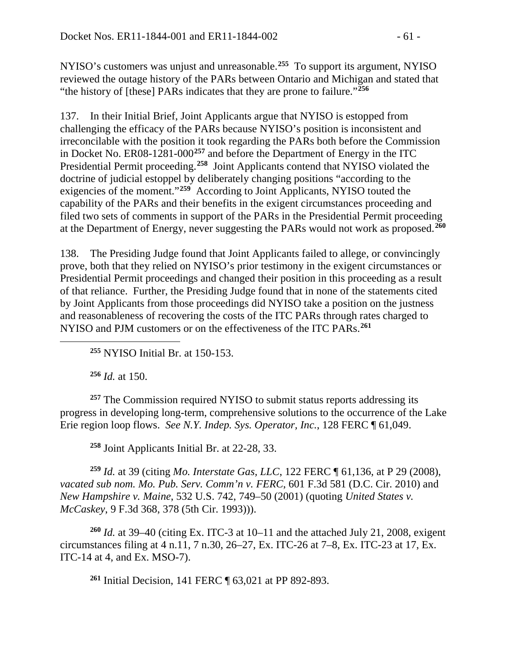NYISO's customers was unjust and unreasonable.**[255](#page-60-0)** To support its argument, NYISO reviewed the outage history of the PARs between Ontario and Michigan and stated that "the history of [these] PARs indicates that they are prone to failure."<sup>[256](#page-60-1)</sup>

137. In their Initial Brief, Joint Applicants argue that NYISO is estopped from challenging the efficacy of the PARs because NYISO's position is inconsistent and irreconcilable with the position it took regarding the PARs both before the Commission in Docket No. ER08-1281-000**[257](#page-60-2)** and before the Department of Energy in the ITC Presidential Permit proceeding.**[258](#page-60-3)** Joint Applicants contend that NYISO violated the doctrine of judicial estoppel by deliberately changing positions "according to the exigencies of the moment."**[259](#page-60-4)** According to Joint Applicants, NYISO touted the capability of the PARs and their benefits in the exigent circumstances proceeding and filed two sets of comments in support of the PARs in the Presidential Permit proceeding at the Department of Energy, never suggesting the PARs would not work as proposed.**[260](#page-60-5)**

138. The Presiding Judge found that Joint Applicants failed to allege, or convincingly prove, both that they relied on NYISO's prior testimony in the exigent circumstances or Presidential Permit proceedings and changed their position in this proceeding as a result of that reliance. Further, the Presiding Judge found that in none of the statements cited by Joint Applicants from those proceedings did NYISO take a position on the justness and reasonableness of recovering the costs of the ITC PARs through rates charged to NYISO and PJM customers or on the effectiveness of the ITC PARs.**[261](#page-60-6)**

**<sup>255</sup>** NYISO Initial Br. at 150-153.

**<sup>256</sup>** *Id.* at 150.

<span id="page-60-0"></span> $\overline{a}$ 

<span id="page-60-2"></span><span id="page-60-1"></span>**<sup>257</sup>** The Commission required NYISO to submit status reports addressing its progress in developing long-term, comprehensive solutions to the occurrence of the Lake Erie region loop flows. *See N.Y. Indep. Sys. Operator, Inc.*, 128 FERC ¶ 61,049.

**<sup>258</sup>** Joint Applicants Initial Br. at 22-28, 33.

<span id="page-60-4"></span><span id="page-60-3"></span>**<sup>259</sup>** *Id.* at 39 (citing *Mo. Interstate Gas, LLC*, 122 FERC ¶ 61,136, at P 29 (2008), *vacated sub nom. Mo. Pub. Serv. Comm'n v. FERC*, 601 F.3d 581 (D.C. Cir. 2010) and *New Hampshire v. Maine*, 532 U.S. 742, 749–50 (2001) (quoting *United States v. McCaskey*, 9 F.3d 368, 378 (5th Cir. 1993))).

<span id="page-60-6"></span><span id="page-60-5"></span>**<sup>260</sup>** *Id.* at 39–40 (citing Ex. ITC-3 at 10–11 and the attached July 21, 2008, exigent circumstances filing at 4 n.11, 7 n.30, 26–27, Ex. ITC-26 at 7–8, Ex. ITC-23 at 17, Ex. ITC-14 at 4, and Ex. MSO-7).

**<sup>261</sup>** Initial Decision, 141 FERC ¶ 63,021 at PP 892-893.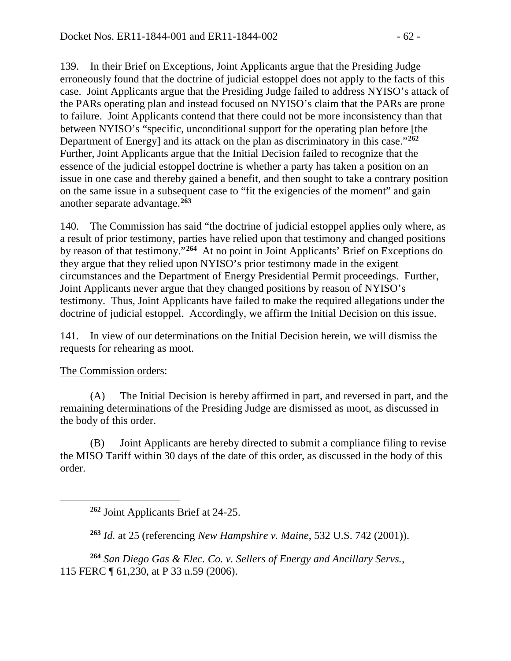139. In their Brief on Exceptions, Joint Applicants argue that the Presiding Judge erroneously found that the doctrine of judicial estoppel does not apply to the facts of this case. Joint Applicants argue that the Presiding Judge failed to address NYISO's attack of the PARs operating plan and instead focused on NYISO's claim that the PARs are prone to failure. Joint Applicants contend that there could not be more inconsistency than that between NYISO's "specific, unconditional support for the operating plan before [the Department of Energy] and its attack on the plan as discriminatory in this case."**[262](#page-61-0)** Further, Joint Applicants argue that the Initial Decision failed to recognize that the essence of the judicial estoppel doctrine is whether a party has taken a position on an issue in one case and thereby gained a benefit, and then sought to take a contrary position on the same issue in a subsequent case to "fit the exigencies of the moment" and gain another separate advantage.**[263](#page-61-1)**

140. The Commission has said "the doctrine of judicial estoppel applies only where, as a result of prior testimony, parties have relied upon that testimony and changed positions by reason of that testimony."**[264](#page-61-2)** At no point in Joint Applicants' Brief on Exceptions do they argue that they relied upon NYISO's prior testimony made in the exigent circumstances and the Department of Energy Presidential Permit proceedings. Further, Joint Applicants never argue that they changed positions by reason of NYISO's testimony. Thus, Joint Applicants have failed to make the required allegations under the doctrine of judicial estoppel. Accordingly, we affirm the Initial Decision on this issue.

141. In view of our determinations on the Initial Decision herein, we will dismiss the requests for rehearing as moot.

### The Commission orders:

<span id="page-61-0"></span> $\overline{a}$ 

(A) The Initial Decision is hereby affirmed in part, and reversed in part, and the remaining determinations of the Presiding Judge are dismissed as moot, as discussed in the body of this order.

(B) Joint Applicants are hereby directed to submit a compliance filing to revise the MISO Tariff within 30 days of the date of this order, as discussed in the body of this order.

**<sup>263</sup>** *Id.* at 25 (referencing *New Hampshire v. Maine*, 532 U.S. 742 (2001)).

<span id="page-61-2"></span><span id="page-61-1"></span>**<sup>264</sup>** *San Diego Gas & Elec. Co. v. Sellers of Energy and Ancillary Servs.*, 115 FERC ¶ 61,230, at P 33 n.59 (2006).

**<sup>262</sup>** Joint Applicants Brief at 24-25.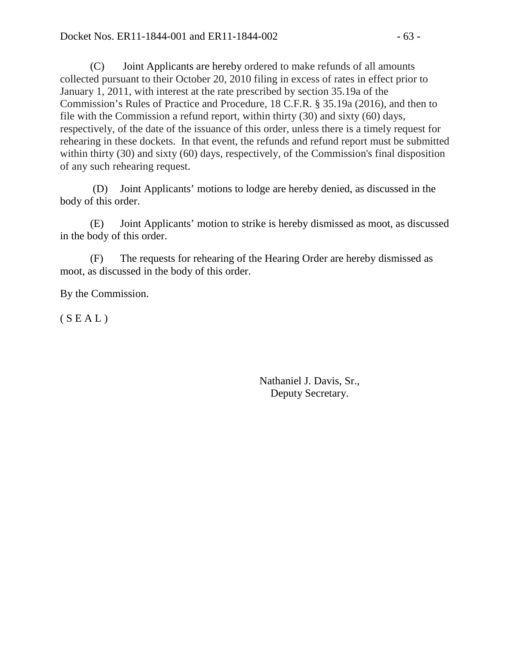(C) Joint Applicants are hereby ordered to make refunds of all amounts collected pursuant to their October 20, 2010 filing in excess of rates in effect prior to January 1, 2011, with interest at the rate prescribed by section 35.19a of the Commission's Rules of Practice and Procedure, 18 C.F.R. § 35.19a (2016), and then to file with the Commission a refund report, within thirty (30) and sixty (60) days, respectively, of the date of the issuance of this order, unless there is a timely request for rehearing in these dockets. In that event, the refunds and refund report must be submitted within thirty (30) and sixty (60) days, respectively, of the Commission's final disposition of any such rehearing request.

(D) Joint Applicants' motions to lodge are hereby denied, as discussed in the body of this order.

(E) Joint Applicants' motion to strike is hereby dismissed as moot, as discussed in the body of this order.

(F) The requests for rehearing of the Hearing Order are hereby dismissed as moot, as discussed in the body of this order.

By the Commission.

 $(S E A L)$ 

Nathaniel J. Davis, Sr., Deputy Secretary.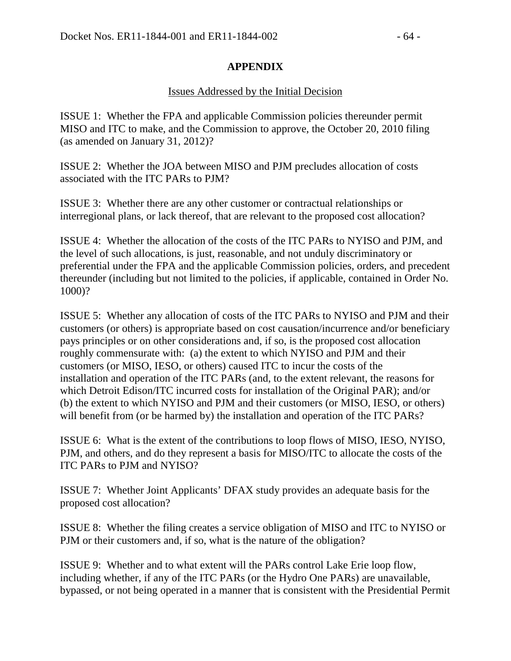#### **APPENDIX**

#### Issues Addressed by the Initial Decision

ISSUE 1: Whether the FPA and applicable Commission policies thereunder permit MISO and ITC to make, and the Commission to approve, the October 20, 2010 filing (as amended on January 31, 2012)?

ISSUE 2: Whether the JOA between MISO and PJM precludes allocation of costs associated with the ITC PARs to PJM?

ISSUE 3: Whether there are any other customer or contractual relationships or interregional plans, or lack thereof, that are relevant to the proposed cost allocation?

ISSUE 4: Whether the allocation of the costs of the ITC PARs to NYISO and PJM, and the level of such allocations, is just, reasonable, and not unduly discriminatory or preferential under the FPA and the applicable Commission policies, orders, and precedent thereunder (including but not limited to the policies, if applicable, contained in Order No. 1000)?

ISSUE 5: Whether any allocation of costs of the ITC PARs to NYISO and PJM and their customers (or others) is appropriate based on cost causation/incurrence and/or beneficiary pays principles or on other considerations and, if so, is the proposed cost allocation roughly commensurate with: (a) the extent to which NYISO and PJM and their customers (or MISO, IESO, or others) caused ITC to incur the costs of the installation and operation of the ITC PARs (and, to the extent relevant, the reasons for which Detroit Edison/ITC incurred costs for installation of the Original PAR); and/or (b) the extent to which NYISO and PJM and their customers (or MISO, IESO, or others) will benefit from (or be harmed by) the installation and operation of the ITC PARs?

ISSUE 6: What is the extent of the contributions to loop flows of MISO, IESO, NYISO, PJM, and others, and do they represent a basis for MISO/ITC to allocate the costs of the ITC PARs to PJM and NYISO?

ISSUE 7: Whether Joint Applicants' DFAX study provides an adequate basis for the proposed cost allocation?

ISSUE 8: Whether the filing creates a service obligation of MISO and ITC to NYISO or PJM or their customers and, if so, what is the nature of the obligation?

ISSUE 9: Whether and to what extent will the PARs control Lake Erie loop flow, including whether, if any of the ITC PARs (or the Hydro One PARs) are unavailable, bypassed, or not being operated in a manner that is consistent with the Presidential Permit